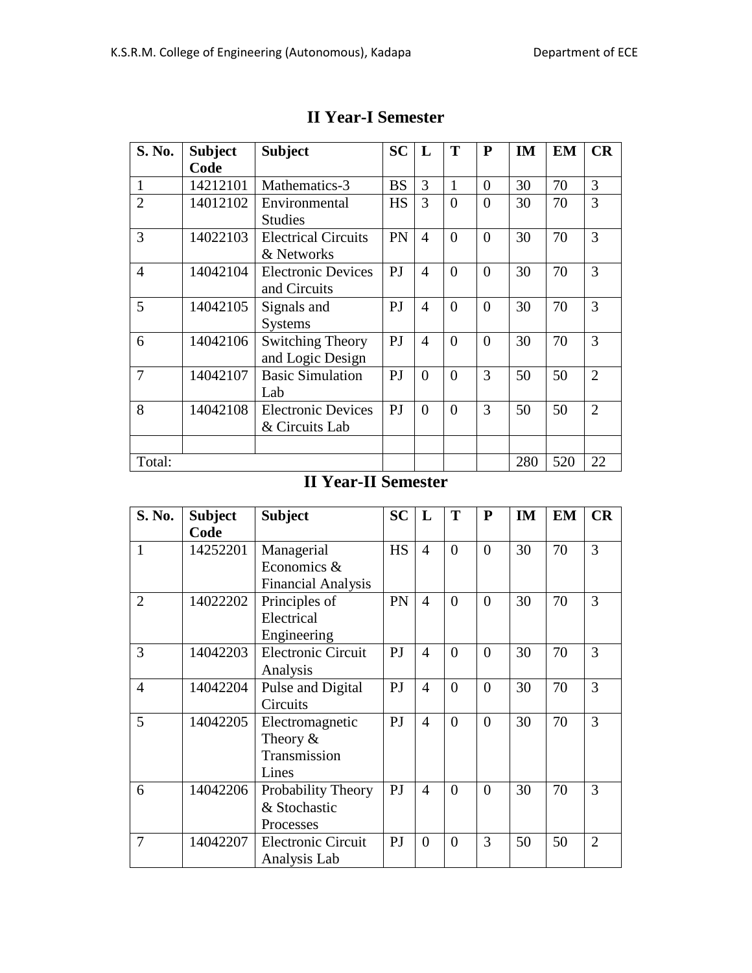| S. No.         | <b>Subject</b> | <b>Subject</b>             | <b>SC</b> | L              | T        | ${\bf P}$      | IM  | <b>EM</b> | CR             |
|----------------|----------------|----------------------------|-----------|----------------|----------|----------------|-----|-----------|----------------|
|                | Code           |                            |           |                |          |                |     |           |                |
| $\mathbf{1}$   | 14212101       | Mathematics-3              | <b>BS</b> | 3              | 1        | $\overline{0}$ | 30  | 70        | 3              |
| $\overline{2}$ | 14012102       | Environmental              | <b>HS</b> | 3              | $\Omega$ | $\theta$       | 30  | 70        | 3              |
|                |                | <b>Studies</b>             |           |                |          |                |     |           |                |
| 3              | 14022103       | <b>Electrical Circuits</b> | PN        | $\overline{4}$ | $\Omega$ | $\overline{0}$ | 30  | 70        | 3              |
|                |                | & Networks                 |           |                |          |                |     |           |                |
| $\overline{4}$ | 14042104       | <b>Electronic Devices</b>  | PJ        | $\overline{4}$ | $\theta$ | $\theta$       | 30  | 70        | 3              |
|                |                | and Circuits               |           |                |          |                |     |           |                |
| 5              | 14042105       | Signals and                | PJ        | $\overline{4}$ | $\theta$ | $\overline{0}$ | 30  | 70        | 3              |
|                |                | <b>Systems</b>             |           |                |          |                |     |           |                |
| 6              | 14042106       | <b>Switching Theory</b>    | PJ        | $\overline{4}$ | $\Omega$ | $\theta$       | 30  | 70        | 3              |
|                |                | and Logic Design           |           |                |          |                |     |           |                |
| 7              | 14042107       | <b>Basic Simulation</b>    | PJ        | $\Omega$       | $\Omega$ | 3              | 50  | 50        | $\overline{2}$ |
|                |                | Lab                        |           |                |          |                |     |           |                |
| 8              | 14042108       | <b>Electronic Devices</b>  | PJ        | $\theta$       | $\Omega$ | 3              | 50  | 50        | $\overline{2}$ |
|                |                | & Circuits Lab             |           |                |          |                |     |           |                |
|                |                |                            |           |                |          |                |     |           |                |
| Total:         |                |                            |           |                |          |                | 280 | 520       | 22             |

# **II Year-I Semester**

# **II Year-II Semester**

| S. No.         | <b>Subject</b><br>Code | <b>Subject</b>            | <b>SC</b> | L              | T        | P              | IM | <b>EM</b> | CR             |
|----------------|------------------------|---------------------------|-----------|----------------|----------|----------------|----|-----------|----------------|
| 1              | 14252201               | Managerial                | <b>HS</b> | $\overline{4}$ | $\theta$ | $\overline{0}$ | 30 | 70        | 3              |
|                |                        | Economics &               |           |                |          |                |    |           |                |
|                |                        | <b>Financial Analysis</b> |           |                |          |                |    |           |                |
| $\overline{2}$ | 14022202               | Principles of             | PN        | $\overline{4}$ | $\theta$ | $\theta$       | 30 | 70        | 3              |
|                |                        | Electrical                |           |                |          |                |    |           |                |
|                |                        | Engineering               |           |                |          |                |    |           |                |
| 3              | 14042203               | <b>Electronic Circuit</b> | PI        | 4              | $\theta$ | $\theta$       | 30 | 70        | 3              |
|                |                        | Analysis                  |           |                |          |                |    |           |                |
| $\overline{4}$ | 14042204               | Pulse and Digital         | PJ        | $\overline{4}$ | $\theta$ | $\theta$       | 30 | 70        | 3              |
|                |                        | Circuits                  |           |                |          |                |    |           |                |
| 5              | 14042205               | Electromagnetic           | PJ        | $\overline{4}$ | $\theta$ | $\overline{0}$ | 30 | 70        | 3              |
|                |                        | Theory $&$                |           |                |          |                |    |           |                |
|                |                        | Transmission              |           |                |          |                |    |           |                |
|                |                        | Lines                     |           |                |          |                |    |           |                |
| 6              | 14042206               | Probability Theory        | PJ        | $\overline{4}$ | $\theta$ | $\theta$       | 30 | 70        | 3              |
|                |                        | & Stochastic              |           |                |          |                |    |           |                |
|                |                        | Processes                 |           |                |          |                |    |           |                |
| 7              | 14042207               | <b>Electronic Circuit</b> | PJ        | $\theta$       | $\Omega$ | 3              | 50 | 50        | $\overline{2}$ |
|                |                        | Analysis Lab              |           |                |          |                |    |           |                |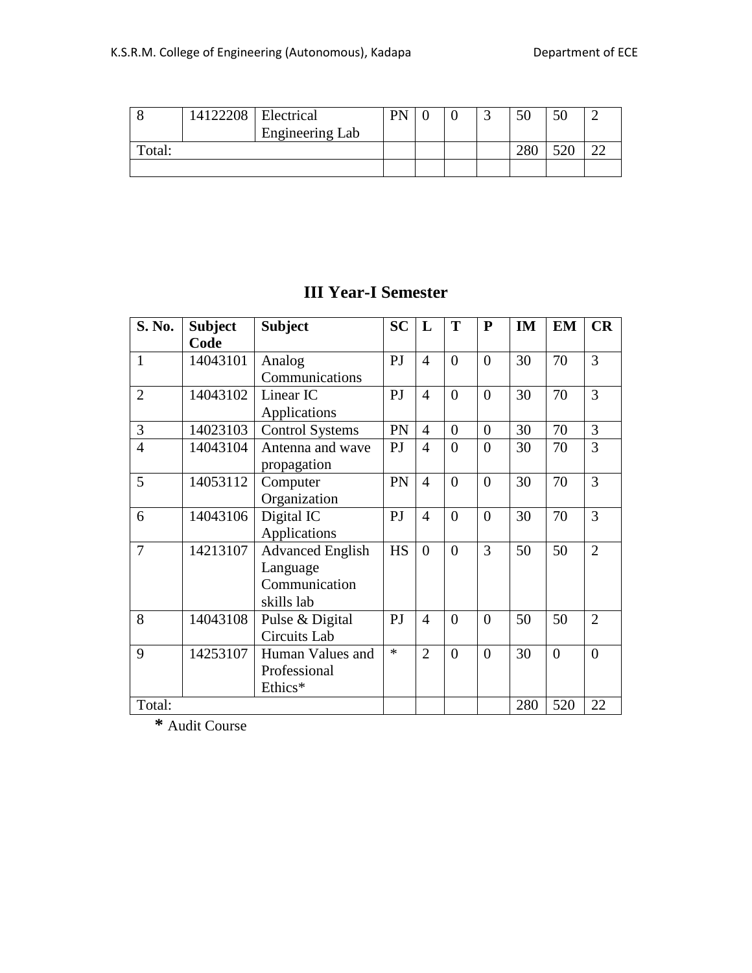|        | 14122208   Electrical | DNI |  | cΛ<br>υc   | 50   |  |
|--------|-----------------------|-----|--|------------|------|--|
|        | Engineering Lab       |     |  |            |      |  |
| Total: |                       |     |  | oor<br>∠ou | یہ ہ |  |
|        |                       |     |  |            |      |  |

# **III Year-I Semester**

| S. No.         | <b>Subject</b> | <b>Subject</b>          | <b>SC</b> | L              | T              | ${\bf P}$      | IM  | <b>EM</b> | CR             |
|----------------|----------------|-------------------------|-----------|----------------|----------------|----------------|-----|-----------|----------------|
|                | Code           |                         |           |                |                |                |     |           |                |
| $\mathbf{1}$   | 14043101       | Analog                  | PJ        | $\overline{4}$ | $\theta$       | $\theta$       | 30  | 70        | 3              |
|                |                | Communications          |           |                |                |                |     |           |                |
| $\overline{2}$ | 14043102       | Linear IC               | PJ        | $\overline{4}$ | $\theta$       | $\overline{0}$ | 30  | 70        | 3              |
|                |                | Applications            |           |                |                |                |     |           |                |
| 3              | 14023103       | <b>Control Systems</b>  | PN        | $\overline{4}$ | $\overline{0}$ | $\overline{0}$ | 30  | 70        | 3              |
| $\overline{4}$ | 14043104       | Antenna and wave        | PJ        | $\overline{4}$ | $\theta$       | $\theta$       | 30  | 70        | 3              |
|                |                | propagation             |           |                |                |                |     |           |                |
| 5              | 14053112       | Computer                | PN        | $\overline{4}$ | $\theta$       | $\overline{0}$ | 30  | 70        | 3              |
|                |                | Organization            |           |                |                |                |     |           |                |
| 6              | 14043106       | Digital IC              | PJ        | $\overline{4}$ | $\theta$       | $\overline{0}$ | 30  | 70        | 3              |
|                |                | Applications            |           |                |                |                |     |           |                |
| $\overline{7}$ | 14213107       | <b>Advanced English</b> | <b>HS</b> | $\theta$       | $\theta$       | 3              | 50  | 50        | $\overline{2}$ |
|                |                | Language                |           |                |                |                |     |           |                |
|                |                | Communication           |           |                |                |                |     |           |                |
|                |                | skills lab              |           |                |                |                |     |           |                |
| 8              | 14043108       | Pulse & Digital         | PJ        | $\overline{4}$ | $\theta$       | $\overline{0}$ | 50  | 50        | $\overline{2}$ |
|                |                | Circuits Lab            |           |                |                |                |     |           |                |
| 9              | 14253107       | Human Values and        | $\ast$    | $\overline{2}$ | $\theta$       | $\overline{0}$ | 30  | $\theta$  | $\theta$       |
|                |                | Professional            |           |                |                |                |     |           |                |
|                |                | Ethics*                 |           |                |                |                |     |           |                |
| Total:         |                |                         |           |                |                |                | 280 | 520       | 22             |

**\*** Audit Course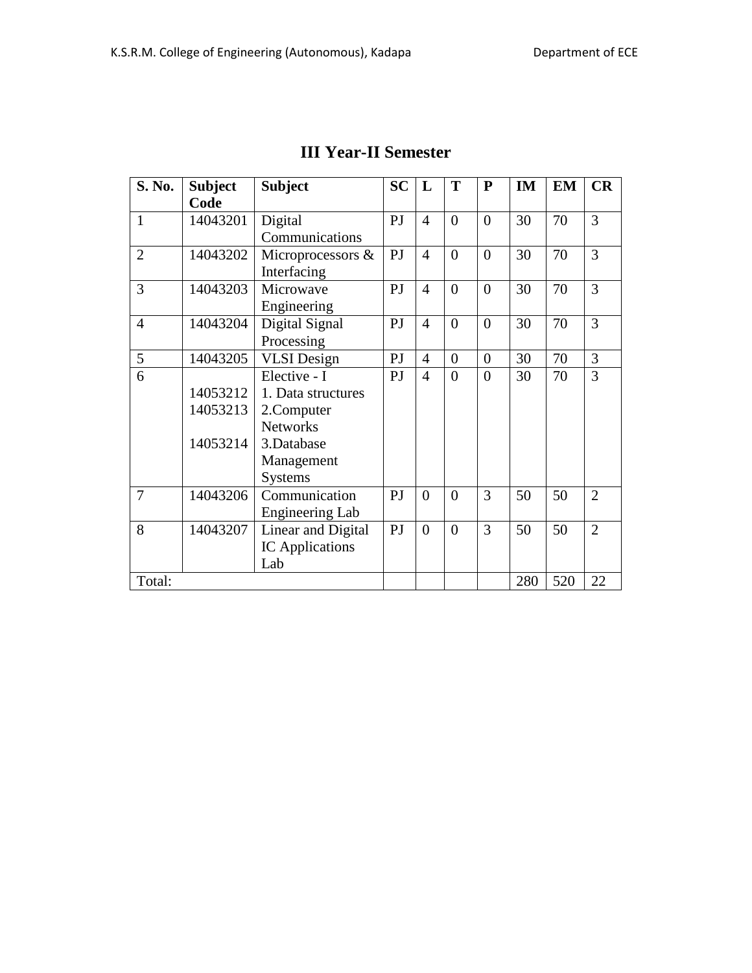| S. No.         | <b>Subject</b> | <b>Subject</b>         | <b>SC</b> | L              | T              | $\mathbf{P}$   | IM  | <b>EM</b> | CR             |
|----------------|----------------|------------------------|-----------|----------------|----------------|----------------|-----|-----------|----------------|
|                | Code           |                        |           |                |                |                |     |           |                |
| $\mathbf{1}$   | 14043201       | Digital                | PJ        | $\overline{4}$ | $\overline{0}$ | $\theta$       | 30  | 70        | 3              |
|                |                | Communications         |           |                |                |                |     |           |                |
| $\overline{2}$ | 14043202       | Microprocessors &      | PJ        | $\overline{4}$ | $\theta$       | $\overline{0}$ | 30  | 70        | 3              |
|                |                | Interfacing            |           |                |                |                |     |           |                |
| 3              | 14043203       | Microwave              | PJ        | $\overline{4}$ | $\theta$       | $\theta$       | 30  | 70        | 3              |
|                |                | Engineering            |           |                |                |                |     |           |                |
| $\overline{4}$ | 14043204       | Digital Signal         | PJ        | $\overline{4}$ | $\overline{0}$ | $\overline{0}$ | 30  | 70        | 3              |
|                |                | Processing             |           |                |                |                |     |           |                |
| 5              | 14043205       | <b>VLSI</b> Design     | PJ        | $\overline{4}$ | $\overline{0}$ | $\overline{0}$ | 30  | 70        | 3              |
| 6              |                | Elective - I           | PJ        | $\overline{4}$ | $\theta$       | $\theta$       | 30  | 70        | 3              |
|                | 14053212       | 1. Data structures     |           |                |                |                |     |           |                |
|                | 14053213       | 2.Computer             |           |                |                |                |     |           |                |
|                |                | <b>Networks</b>        |           |                |                |                |     |           |                |
|                | 14053214       | 3.Database             |           |                |                |                |     |           |                |
|                |                | Management             |           |                |                |                |     |           |                |
|                |                | <b>Systems</b>         |           |                |                |                |     |           |                |
| 7              | 14043206       | Communication          | PJ        | $\theta$       | $\theta$       | 3              | 50  | 50        | $\overline{2}$ |
|                |                | <b>Engineering Lab</b> |           |                |                |                |     |           |                |
| 8              | 14043207       | Linear and Digital     | PJ        | $\theta$       | $\theta$       | 3              | 50  | 50        | $\overline{2}$ |
|                |                | <b>IC</b> Applications |           |                |                |                |     |           |                |
|                |                | Lab                    |           |                |                |                |     |           |                |
| Total:         |                |                        |           |                |                |                | 280 | 520       | 22             |

# **III Year-II Semester**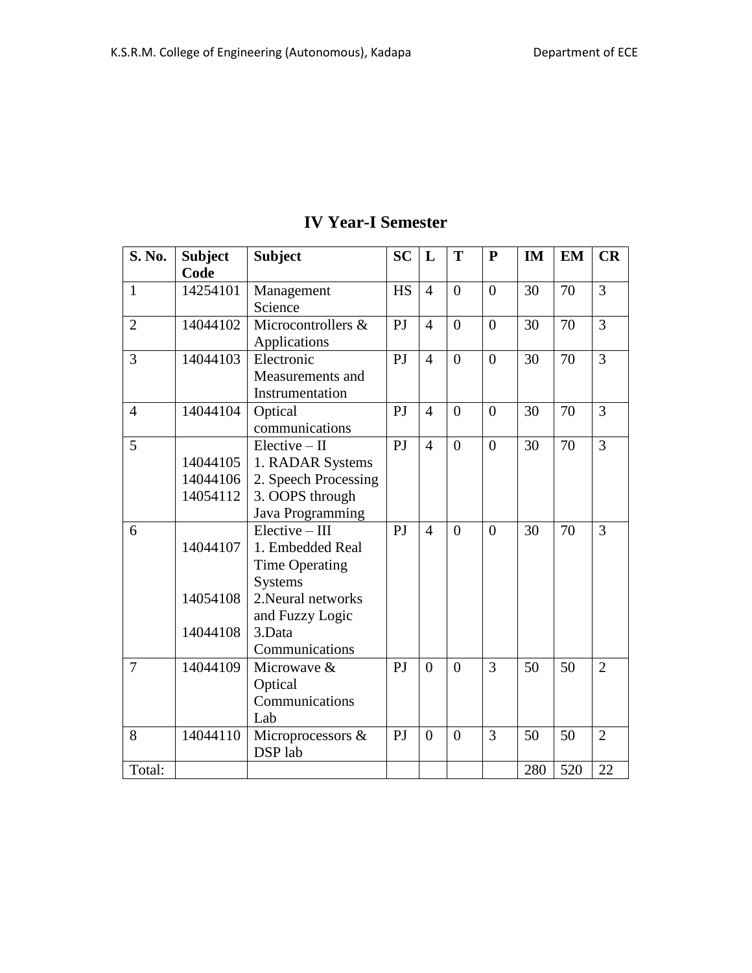| S. No.         | <b>Subject</b> | <b>Subject</b>            | <b>SC</b>      | L              | T              | ${\bf P}$      | IM  | <b>EM</b> | CR             |
|----------------|----------------|---------------------------|----------------|----------------|----------------|----------------|-----|-----------|----------------|
|                | Code           |                           |                |                |                |                |     |           |                |
| $\mathbf{1}$   | 14254101       | Management<br>Science     | <b>HS</b>      | $\overline{4}$ | $\theta$       | $\theta$       | 30  | 70        | $\overline{3}$ |
| $\overline{2}$ | 14044102       | Microcontrollers &        | P <sub>J</sub> | $\overline{4}$ | $\overline{0}$ | $\overline{0}$ | 30  | 70        | 3              |
|                |                | Applications              |                |                |                |                |     |           |                |
| 3              | 14044103       | Electronic                | PJ             | $\overline{4}$ | $\theta$       | $\overline{0}$ | 30  | 70        | 3              |
|                |                | Measurements and          |                |                |                |                |     |           |                |
|                |                | Instrumentation           |                |                |                |                |     |           |                |
| $\overline{4}$ | 14044104       | Optical                   | PJ             | $\overline{4}$ | $\theta$       | $\theta$       | 30  | 70        | 3              |
|                |                | communications            |                |                |                |                |     |           |                |
| 5              |                | Elective $-\overline{II}$ | PJ             | $\overline{4}$ | $\overline{0}$ | $\overline{0}$ | 30  | 70        | 3              |
|                | 14044105       | 1. RADAR Systems          |                |                |                |                |     |           |                |
|                | 14044106       | 2. Speech Processing      |                |                |                |                |     |           |                |
|                | 14054112       | 3. OOPS through           |                |                |                |                |     |           |                |
|                |                | Java Programming          |                |                |                |                |     |           |                |
| 6              |                | $Elective - III$          | PJ             | $\overline{4}$ | $\overline{0}$ | $\overline{0}$ | 30  | 70        | 3              |
|                | 14044107       | 1. Embedded Real          |                |                |                |                |     |           |                |
|                |                | Time Operating            |                |                |                |                |     |           |                |
|                |                | <b>Systems</b>            |                |                |                |                |     |           |                |
|                | 14054108       | 2. Neural networks        |                |                |                |                |     |           |                |
|                |                | and Fuzzy Logic           |                |                |                |                |     |           |                |
|                | 14044108       | 3.Data                    |                |                |                |                |     |           |                |
|                |                | Communications            |                |                |                |                |     |           |                |
| 7              | 14044109       | Microwave &               | PJ             | $\theta$       | $\theta$       | 3              | 50  | 50        | $\overline{2}$ |
|                |                | Optical                   |                |                |                |                |     |           |                |
|                |                | Communications            |                |                |                |                |     |           |                |
|                |                | Lab                       |                |                |                |                |     |           |                |
| 8              | 14044110       | Microprocessors &         | PJ             | $\theta$       | $\overline{0}$ | 3              | 50  | 50        | $\overline{2}$ |
|                |                | DSP lab                   |                |                |                |                |     |           |                |
| Total:         |                |                           |                |                |                |                | 280 | 520       | 22             |

# **IV Year-I Semester**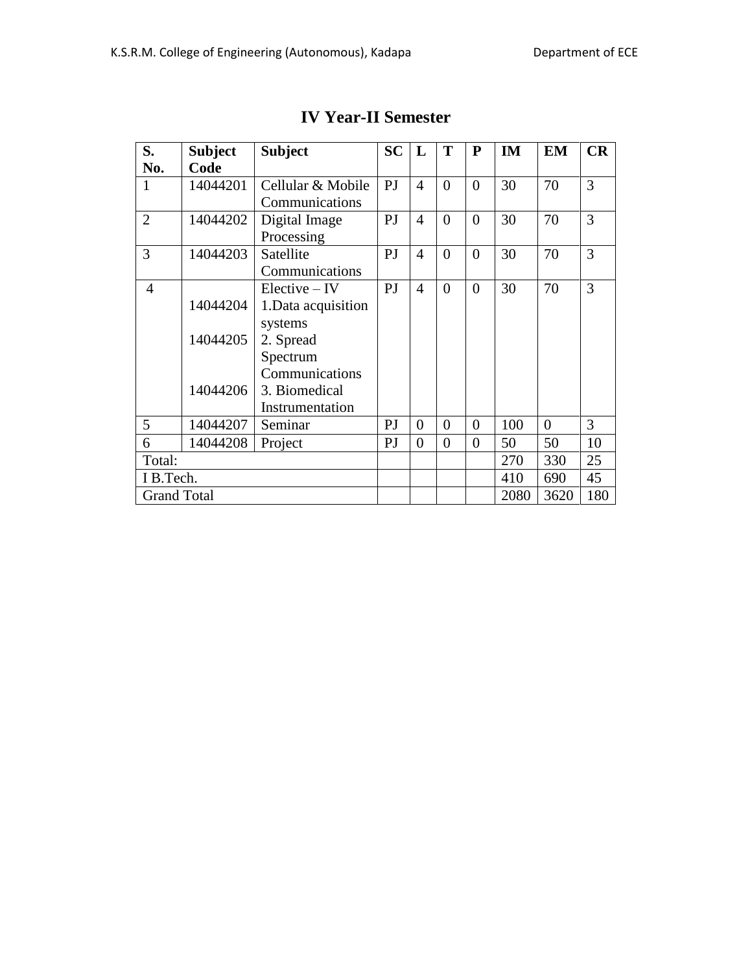| S.                 | <b>Subject</b> | <b>Subject</b>      | <b>SC</b>      | L              | T              | ${\bf P}$      | <b>IM</b> | <b>EM</b>      | CR             |
|--------------------|----------------|---------------------|----------------|----------------|----------------|----------------|-----------|----------------|----------------|
| No.                | Code           |                     |                |                |                |                |           |                |                |
| 1                  | 14044201       | Cellular & Mobile   | P <sub>J</sub> | $\overline{4}$ | $\theta$       | $\theta$       | 30        | 70             | 3              |
|                    |                | Communications      |                |                |                |                |           |                |                |
| $\overline{2}$     | 14044202       | Digital Image       | P <sub>J</sub> | $\overline{4}$ | $\overline{0}$ | $\overline{0}$ | 30        | 70             | 3              |
|                    |                | Processing          |                |                |                |                |           |                |                |
| 3                  | 14044203       | Satellite           | P <sub>J</sub> | $\overline{4}$ | $\overline{0}$ | $\overline{0}$ | 30        | 70             | 3              |
|                    |                | Communications      |                |                |                |                |           |                |                |
| $\overline{4}$     |                | $Electric - IV$     | P <sub>J</sub> | $\overline{4}$ | $\overline{0}$ | $\overline{0}$ | 30        | 70             | 3              |
|                    | 14044204       | 1. Data acquisition |                |                |                |                |           |                |                |
|                    |                | systems             |                |                |                |                |           |                |                |
|                    | 14044205       | 2. Spread           |                |                |                |                |           |                |                |
|                    |                | Spectrum            |                |                |                |                |           |                |                |
|                    |                | Communications      |                |                |                |                |           |                |                |
|                    | 14044206       | 3. Biomedical       |                |                |                |                |           |                |                |
|                    |                | Instrumentation     |                |                |                |                |           |                |                |
| 5                  | 14044207       | Seminar             | PJ             | $\overline{0}$ | $\overline{0}$ | $\overline{0}$ | 100       | $\overline{0}$ | $\overline{3}$ |
| 6                  | 14044208       | Project             | P <sub>J</sub> | $\overline{0}$ | $\overline{0}$ | $\overline{0}$ | 50        | 50             | 10             |
| Total:             |                |                     |                |                |                |                | 270       | 330            | 25             |
|                    | I B.Tech.      |                     |                |                |                |                | 410       | 690            | 45             |
| <b>Grand Total</b> |                |                     |                |                |                |                | 2080      | 3620           | 180            |

# **IV Year-II Semester**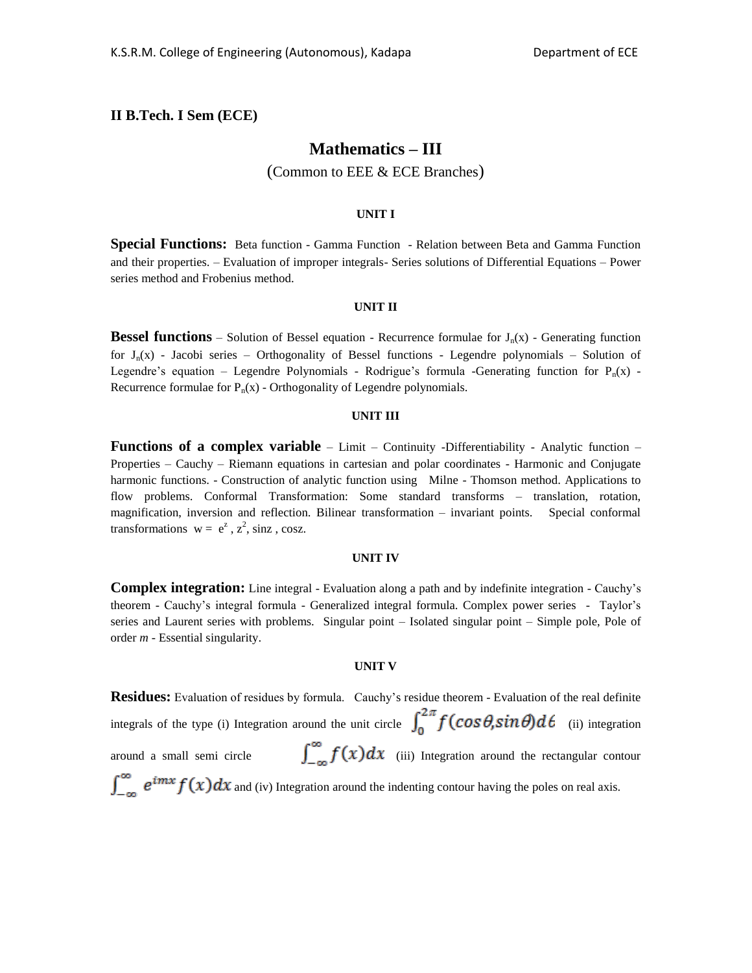## **Mathematics – III**

(Common to EEE & ECE Branches)

#### **UNIT I**

**Special Functions:** Beta function - Gamma Function - Relation between Beta and Gamma Function and their properties. – Evaluation of improper integrals- Series solutions of Differential Equations – Power series method and Frobenius method.

#### **UNIT II**

**Bessel functions** – Solution of Bessel equation - Recurrence formulae for  $J_n(x)$  - Generating function for  $J_n(x)$  - Jacobi series – Orthogonality of Bessel functions - Legendre polynomials – Solution of Legendre's equation – Legendre Polynomials - Rodrigue's formula -Generating function for  $P_n(x)$  -Recurrence formulae for  $P_n(x)$  - Orthogonality of Legendre polynomials.

#### **UNIT III**

**Functions of a complex variable** – Limit – Continuity -Differentiability - Analytic function – Properties – Cauchy – Riemann equations in cartesian and polar coordinates - Harmonic and Conjugate harmonic functions. - Construction of analytic function using Milne - Thomson method. Applications to flow problems. Conformal Transformation: Some standard transforms – translation, rotation, magnification, inversion and reflection. Bilinear transformation – invariant points. Special conformal transformations  $w = e^z$ ,  $z^2$ , sinz, cosz.

#### **UNIT IV**

**Complex integration:** Line integral - Evaluation along a path and by indefinite integration - Cauchy's theorem - Cauchy's integral formula - Generalized integral formula. Complex power series - Taylor's series and Laurent series with problems. Singular point – Isolated singular point – Simple pole, Pole of order *m* - Essential singularity.

#### **UNIT V**

**Residues:** Evaluation of residues by formula. Cauchy's residue theorem - Evaluation of the real definite integrals of the type (i) Integration around the unit circle  $\int_0^{2\pi} f(\cos\theta, \sin\theta) d\theta$  (ii) integration around a small semi circle  $\int_{-\infty}^{\infty} f(x) dx$  (iii) Integration around the rectangular contour  $\int_{-\infty}^{\infty} e^{imx} f(x) dx$  and (iv) Integration around the indenting contour having the poles on real axis.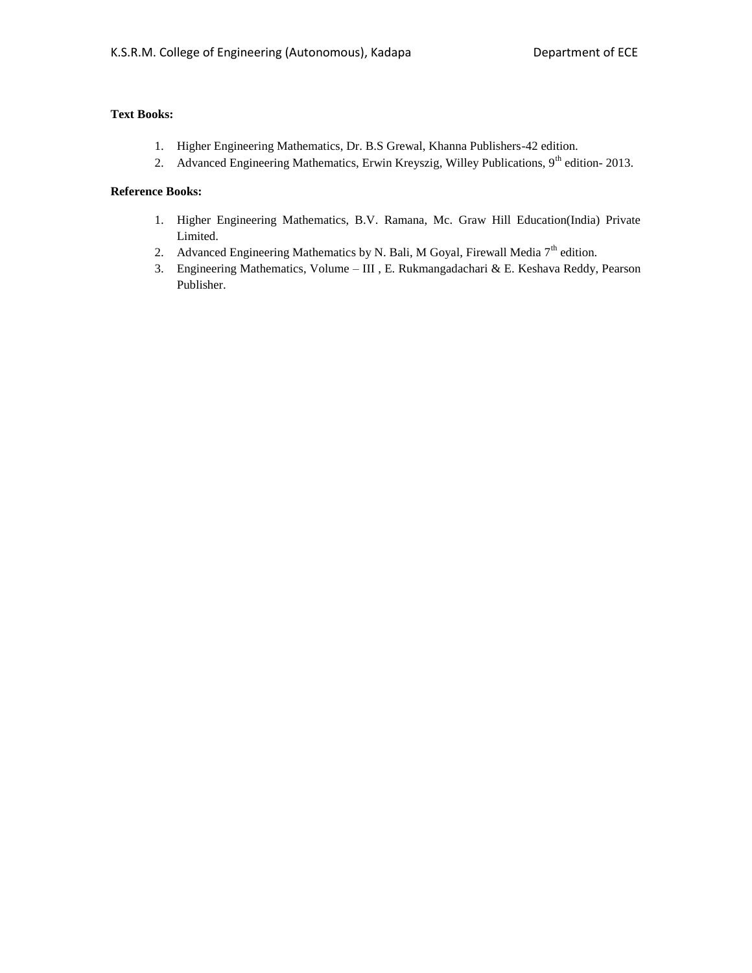### **Text Books:**

- 1. Higher Engineering Mathematics, Dr. B.S Grewal, Khanna Publishers-42 edition.
- 2. Advanced Engineering Mathematics, Erwin Kreyszig, Willey Publications, 9<sup>th</sup> edition- 2013.

- 1. Higher Engineering Mathematics, B.V. Ramana, Mc. Graw Hill Education(India) Private Limited.
- 2. Advanced Engineering Mathematics by N. Bali, M Goyal, Firewall Media 7<sup>th</sup> edition.
- 3. Engineering Mathematics, Volume III , E. Rukmangadachari & E. Keshava Reddy, Pearson Publisher.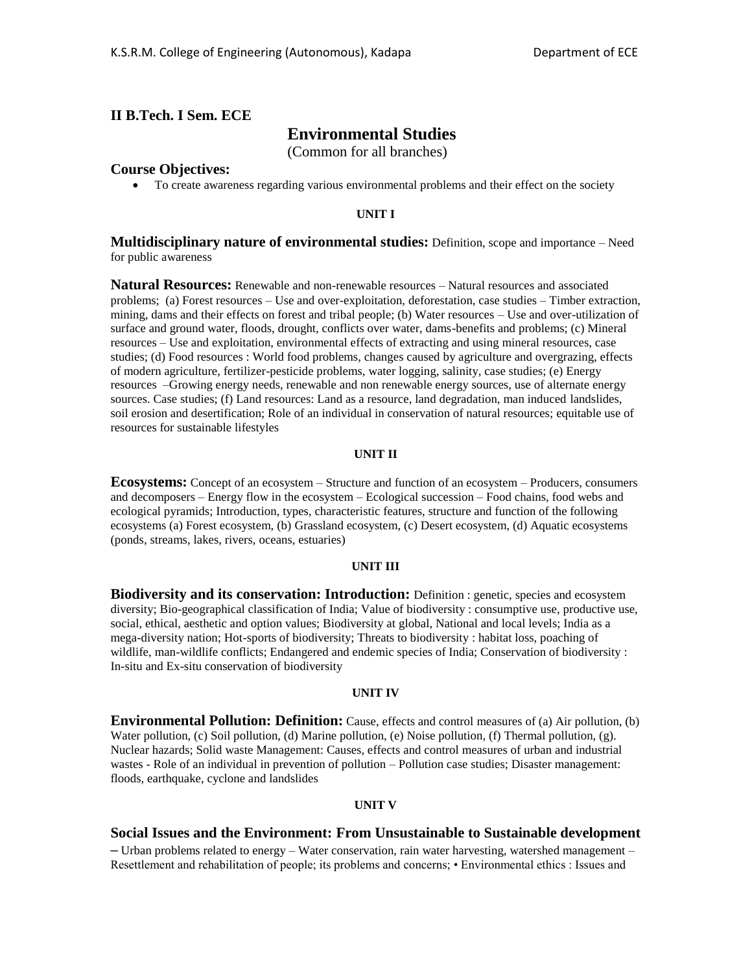# **Environmental Studies**

(Common for all branches)

### **Course Objectives:**

To create awareness regarding various environmental problems and their effect on the society

### **UNIT I**

### **Multidisciplinary nature of environmental studies:** Definition, scope and importance – Need for public awareness

**Natural Resources:** Renewable and non-renewable resources – Natural resources and associated problems; (a) Forest resources – Use and over-exploitation, deforestation, case studies – Timber extraction, mining, dams and their effects on forest and tribal people; (b) Water resources – Use and over-utilization of surface and ground water, floods, drought, conflicts over water, dams-benefits and problems; (c) Mineral resources – Use and exploitation, environmental effects of extracting and using mineral resources, case studies; (d) Food resources : World food problems, changes caused by agriculture and overgrazing, effects of modern agriculture, fertilizer-pesticide problems, water logging, salinity, case studies; (e) Energy resources –Growing energy needs, renewable and non renewable energy sources, use of alternate energy sources. Case studies; (f) Land resources: Land as a resource, land degradation, man induced landslides, soil erosion and desertification; Role of an individual in conservation of natural resources; equitable use of resources for sustainable lifestyles

### **UNIT II**

**Ecosystems:** Concept of an ecosystem – Structure and function of an ecosystem – Producers, consumers and decomposers – Energy flow in the ecosystem – Ecological succession – Food chains, food webs and ecological pyramids; Introduction, types, characteristic features, structure and function of the following ecosystems (a) Forest ecosystem, (b) Grassland ecosystem, (c) Desert ecosystem, (d) Aquatic ecosystems (ponds, streams, lakes, rivers, oceans, estuaries)

### **UNIT III**

**Biodiversity and its conservation: Introduction:** Definition : genetic, species and ecosystem diversity; Bio-geographical classification of India; Value of biodiversity : consumptive use, productive use, social, ethical, aesthetic and option values; Biodiversity at global, National and local levels; India as a mega-diversity nation; Hot-sports of biodiversity; Threats to biodiversity : habitat loss, poaching of wildlife, man-wildlife conflicts; Endangered and endemic species of India; Conservation of biodiversity : In-situ and Ex-situ conservation of biodiversity

### **UNIT IV**

**Environmental Pollution: Definition:** Cause, effects and control measures of (a) Air pollution, (b) Water pollution, (c) Soil pollution, (d) Marine pollution, (e) Noise pollution, (f) Thermal pollution, (g). Nuclear hazards; Solid waste Management: Causes, effects and control measures of urban and industrial wastes - Role of an individual in prevention of pollution – Pollution case studies; Disaster management: floods, earthquake, cyclone and landslides

#### **UNIT V**

### **Social Issues and the Environment: From Unsustainable to Sustainable development**

**–** Urban problems related to energy – Water conservation, rain water harvesting, watershed management – Resettlement and rehabilitation of people; its problems and concerns; • Environmental ethics : Issues and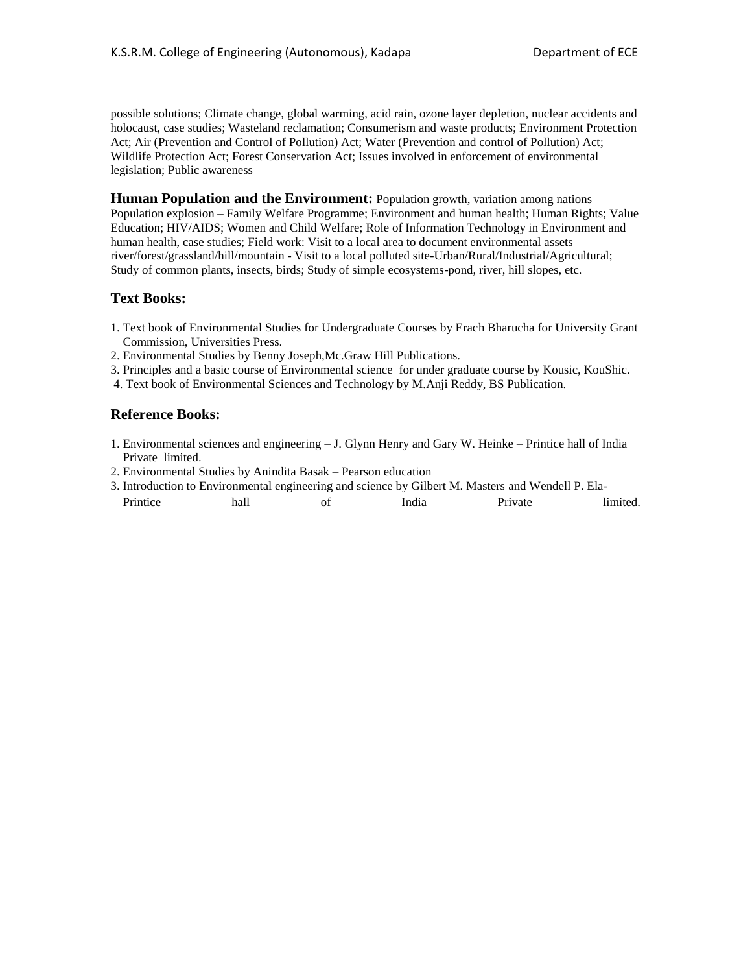possible solutions; Climate change, global warming, acid rain, ozone layer depletion, nuclear accidents and holocaust, case studies; Wasteland reclamation; Consumerism and waste products; Environment Protection Act; Air (Prevention and Control of Pollution) Act; Water (Prevention and control of Pollution) Act; Wildlife Protection Act; Forest Conservation Act; Issues involved in enforcement of environmental legislation; Public awareness

**Human Population and the Environment:** Population growth, variation among nations – Population explosion – Family Welfare Programme; Environment and human health; Human Rights; Value Education; HIV/AIDS; Women and Child Welfare; Role of Information Technology in Environment and human health, case studies; Field work: Visit to a local area to document environmental assets river/forest/grassland/hill/mountain - Visit to a local polluted site-Urban/Rural/Industrial/Agricultural; Study of common plants, insects, birds; Study of simple ecosystems-pond, river, hill slopes, etc.

## **Text Books:**

- 1. Text book of Environmental Studies for Undergraduate Courses by Erach Bharucha for University Grant Commission, Universities Press.
- 2. Environmental Studies by Benny Joseph,Mc.Graw Hill Publications.
- 3. Principles and a basic course of Environmental science for under graduate course by Kousic, KouShic.
- 4. Text book of Environmental Sciences and Technology by M.Anji Reddy, BS Publication.

- 1. Environmental sciences and engineering J. Glynn Henry and Gary W. Heinke Printice hall of India Private limited.
- 2. Environmental Studies by Anindita Basak Pearson education
- 3. Introduction to Environmental engineering and science by Gilbert M. Masters and Wendell P. Ela- Printice hall of India Private limited.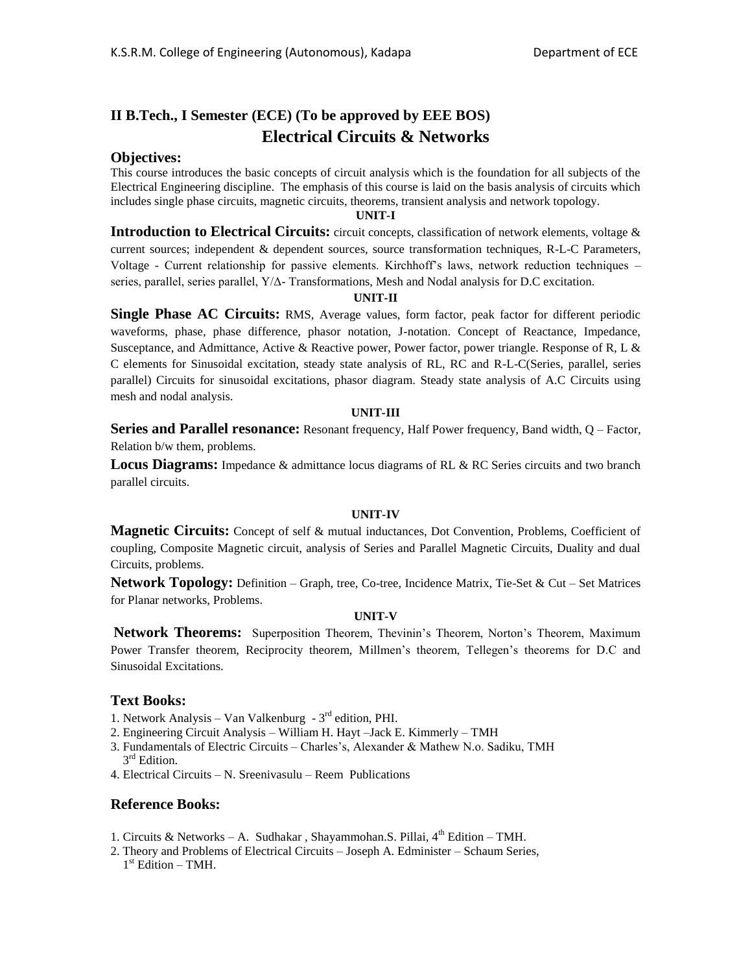# **II B.Tech., I Semester (ECE) (To be approved by EEE BOS) Electrical Circuits & Networks**

### **Objectives:**

This course introduces the basic concepts of circuit analysis which is the foundation for all subjects of the Electrical Engineering discipline. The emphasis of this course is laid on the basis analysis of circuits which includes single phase circuits, magnetic circuits, theorems, transient analysis and network topology.

### **UNIT-I**

**Introduction to Electrical Circuits:** circuit concepts, classification of network elements, voltage & current sources; independent & dependent sources, source transformation techniques, R-L-C Parameters, Voltage - Current relationship for passive elements. Kirchhoff's laws, network reduction techniques – series, parallel, series parallel,  $Y/\Delta$ - Transformations, Mesh and Nodal analysis for D.C excitation.

### **UNIT-II**

**Single Phase AC Circuits:** RMS, Average values, form factor, peak factor for different periodic waveforms, phase, phase difference, phasor notation, J-notation. Concept of Reactance, Impedance, Susceptance, and Admittance, Active & Reactive power, Power factor, power triangle. Response of R, L & C elements for Sinusoidal excitation, steady state analysis of RL, RC and R-L-C(Series, parallel, series parallel) Circuits for sinusoidal excitations, phasor diagram. Steady state analysis of A.C Circuits using mesh and nodal analysis.

### **UNIT-III**

Series and Parallel resonance: Resonant frequency, Half Power frequency, Band width, Q - Factor, Relation b/w them, problems.

**Locus Diagrams:** Impedance & admittance locus diagrams of RL & RC Series circuits and two branch parallel circuits.

#### **UNIT-IV**

**Magnetic Circuits:** Concept of self & mutual inductances, Dot Convention, Problems, Coefficient of coupling, Composite Magnetic circuit, analysis of Series and Parallel Magnetic Circuits, Duality and dual Circuits, problems.

**Network Topology:** Definition – Graph, tree, Co-tree, Incidence Matrix, Tie-Set & Cut – Set Matrices for Planar networks, Problems.

### **UNIT-V**

**Network Theorems:** Superposition Theorem, Thevinin's Theorem, Norton's Theorem, Maximum Power Transfer theorem, Reciprocity theorem, Millmen's theorem, Tellegen's theorems for D.C and Sinusoidal Excitations.

## **Text Books:**

- 1. Network Analysis Van Valkenburg  $3<sup>rd</sup>$  edition, PHI.
- 2. Engineering Circuit Analysis William H. Hayt –Jack E. Kimmerly TMH
- 3. Fundamentals of Electric Circuits Charles's, Alexander & Mathew N.o. Sadiku, TMH 3<sup>rd</sup> Edition.
- 4. Electrical Circuits N. Sreenivasulu Reem Publications

- 1. Circuits & Networks A. Sudhakar, Shayammohan.S. Pillai,  $4<sup>th</sup>$  Edition TMH.
- 2. Theory and Problems of Electrical Circuits Joseph A. Edminister Schaum Series, 1<sup>st</sup> Edition – TMH.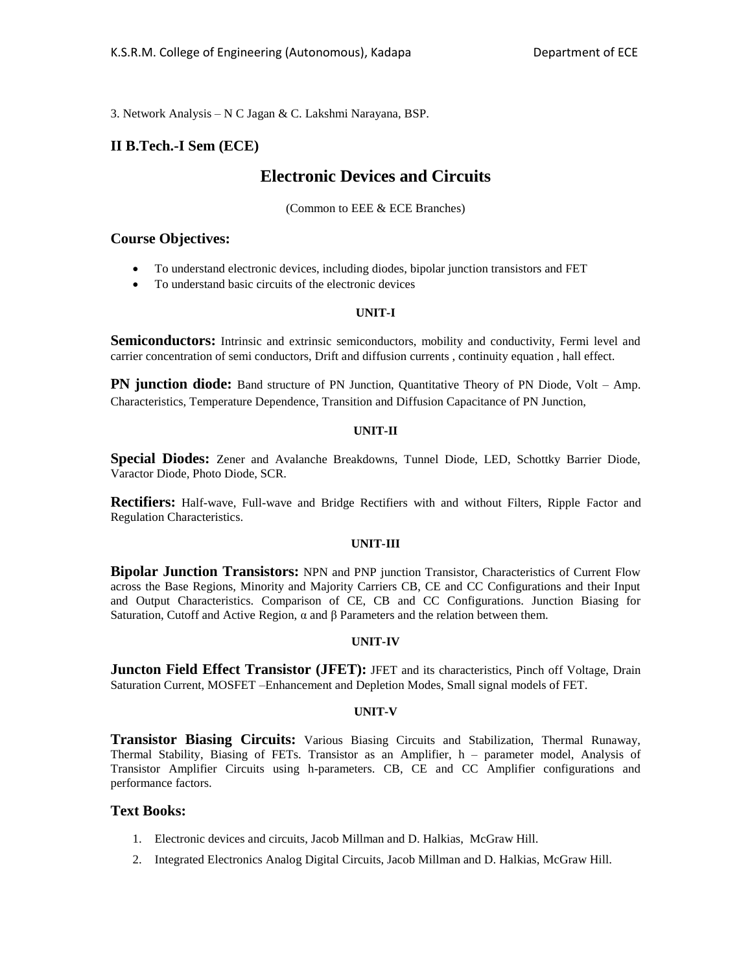3. Network Analysis – N C Jagan & C. Lakshmi Narayana, BSP.

## **II B.Tech.-I Sem (ECE)**

## **Electronic Devices and Circuits**

(Common to EEE & ECE Branches)

### **Course Objectives:**

- To understand electronic devices, including diodes, bipolar junction transistors and FET
- To understand basic circuits of the electronic devices

#### **UNIT-I**

Semiconductors: Intrinsic and extrinsic semiconductors, mobility and conductivity, Fermi level and carrier concentration of semi conductors, Drift and diffusion currents , continuity equation , hall effect.

**PN junction diode:** Band structure of PN Junction, Quantitative Theory of PN Diode, Volt – Amp. Characteristics, Temperature Dependence, Transition and Diffusion Capacitance of PN Junction,

#### **UNIT-II**

**Special Diodes:** Zener and Avalanche Breakdowns, Tunnel Diode, LED, Schottky Barrier Diode, Varactor Diode, Photo Diode, SCR.

**Rectifiers:** Half-wave, Full-wave and Bridge Rectifiers with and without Filters, Ripple Factor and Regulation Characteristics.

#### **UNIT-III**

**Bipolar Junction Transistors:** NPN and PNP junction Transistor, Characteristics of Current Flow across the Base Regions, Minority and Majority Carriers CB, CE and CC Configurations and their Input and Output Characteristics. Comparison of CE, CB and CC Configurations. Junction Biasing for Saturation, Cutoff and Active Region,  $\alpha$  and  $\beta$  Parameters and the relation between them.

### **UNIT-IV**

**Juncton Field Effect Transistor (JFET):** JFET and its characteristics, Pinch off Voltage, Drain Saturation Current, MOSFET –Enhancement and Depletion Modes, Small signal models of FET.

#### **UNIT-V**

**Transistor Biasing Circuits:** Various Biasing Circuits and Stabilization, Thermal Runaway, Thermal Stability, Biasing of FETs. Transistor as an Amplifier, h – parameter model, Analysis of Transistor Amplifier Circuits using h-parameters. CB, CE and CC Amplifier configurations and performance factors.

### **Text Books:**

- 1. Electronic devices and circuits, Jacob Millman and D. Halkias, McGraw Hill.
- 2. Integrated Electronics Analog Digital Circuits, Jacob Millman and D. Halkias, McGraw Hill.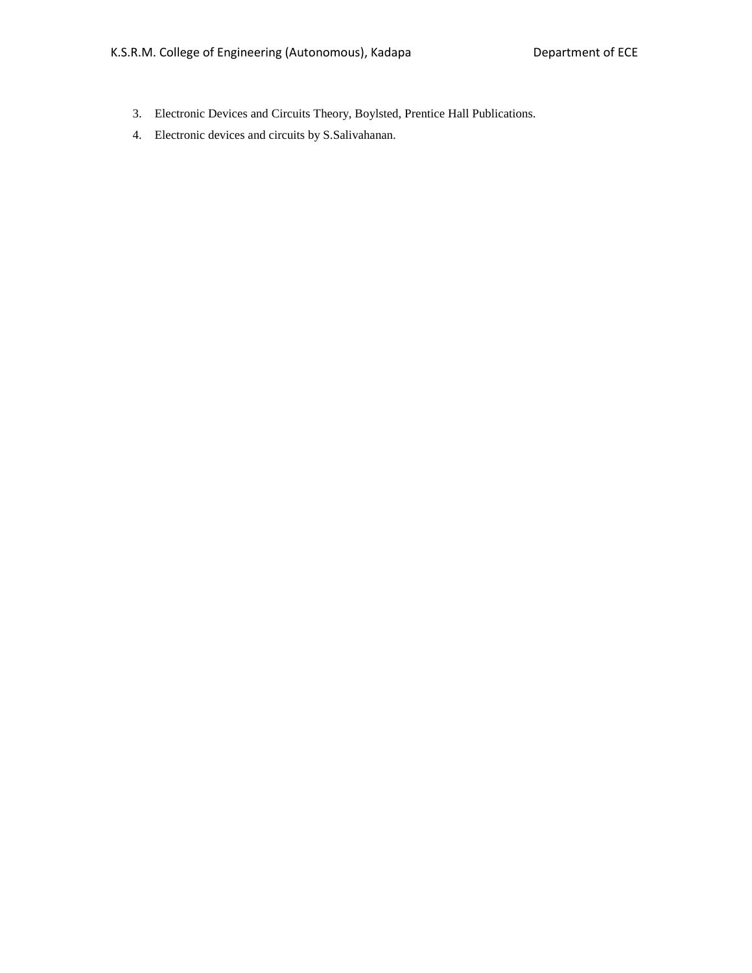- 3. Electronic Devices and Circuits Theory, Boylsted, Prentice Hall Publications.
- 4. Electronic devices and circuits by S.Salivahanan.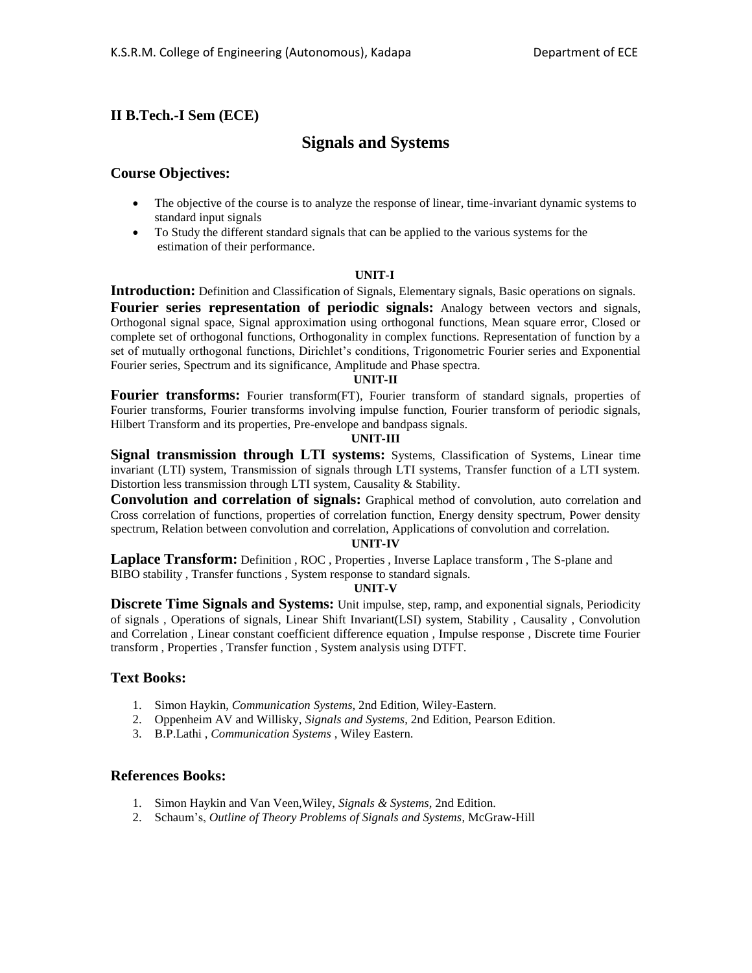# **Signals and Systems**

## **Course Objectives:**

- The objective of the course is to analyze the response of linear, time-invariant dynamic systems to standard input signals
- To Study the different standard signals that can be applied to the various systems for the estimation of their performance.

### **UNIT-I**

**Introduction:** Definition and Classification of Signals, Elementary signals, Basic operations on signals. **Fourier series representation of periodic signals:** Analogy between vectors and signals, Orthogonal signal space, Signal approximation using orthogonal functions, Mean square error, Closed or complete set of orthogonal functions, Orthogonality in complex functions. Representation of function by a set of mutually orthogonal functions, Dirichlet's conditions, Trigonometric Fourier series and Exponential Fourier series, Spectrum and its significance, Amplitude and Phase spectra.

### **UNIT-II**

**Fourier transforms:** Fourier transform(FT), Fourier transform of standard signals, properties of Fourier transforms, Fourier transforms involving impulse function, Fourier transform of periodic signals, Hilbert Transform and its properties, Pre-envelope and bandpass signals.

### **UNIT-III**

**Signal transmission through LTI systems:** Systems, Classification of Systems, Linear time invariant (LTI) system, Transmission of signals through LTI systems, Transfer function of a LTI system. Distortion less transmission through LTI system, Causality & Stability.

**Convolution and correlation of signals:** Graphical method of convolution, auto correlation and Cross correlation of functions, properties of correlation function, Energy density spectrum, Power density spectrum, Relation between convolution and correlation, Applications of convolution and correlation.

### **UNIT-IV**

**Laplace Transform:** Definition , ROC , Properties , Inverse Laplace transform , The S-plane and BIBO stability , Transfer functions , System response to standard signals.

### **UNIT-V**

**Discrete Time Signals and Systems:** Unit impulse, step, ramp, and exponential signals, Periodicity of signals , Operations of signals, Linear Shift Invariant(LSI) system, Stability , Causality , Convolution and Correlation , Linear constant coefficient difference equation , Impulse response , Discrete time Fourier transform , Properties , Transfer function , System analysis using DTFT.

## **Text Books:**

- 1. Simon Haykin, *Communication Systems*, 2nd Edition, Wiley-Eastern.
- 2. Oppenheim AV and Willisky, *Signals and Systems*, 2nd Edition, Pearson Edition.
- 3. B.P.Lathi , *Communication Systems* , Wiley Eastern.

- 1. Simon Haykin and Van Veen,Wiley, *Signals & Systems*, 2nd Edition.
- 2. Schaum's, *Outline of Theory Problems of Signals and Systems*, McGraw-Hill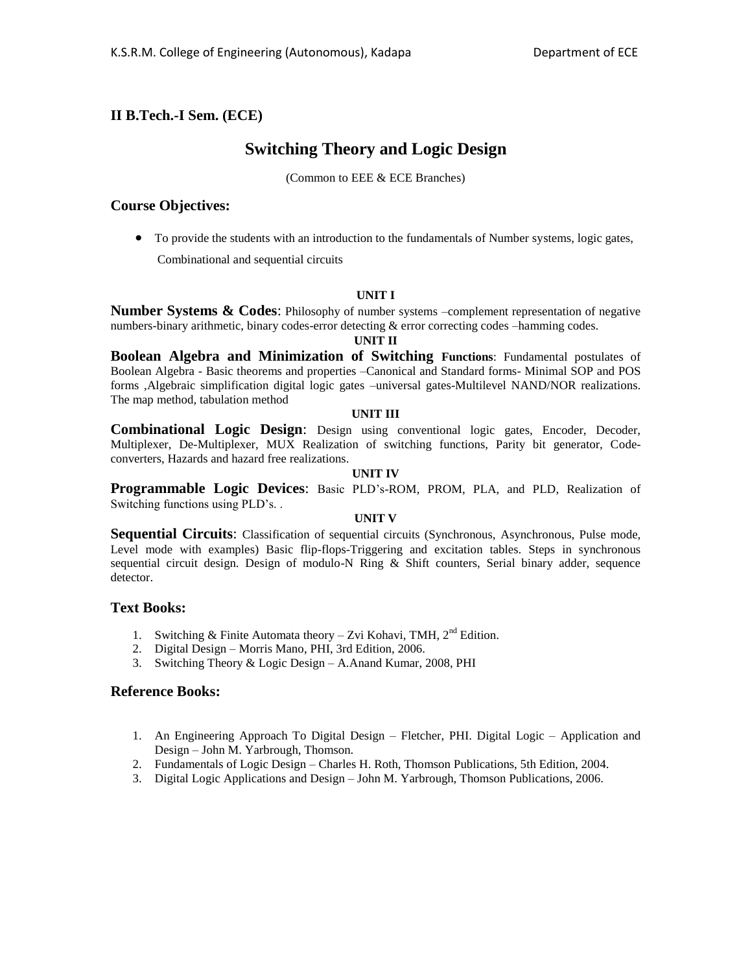# **Switching Theory and Logic Design**

(Common to EEE & ECE Branches)

## **Course Objectives:**

To provide the students with an introduction to the fundamentals of Number systems, logic gates,

Combinational and sequential circuits

### **UNIT I**

**Number Systems & Codes:** Philosophy of number systems –complement representation of negative numbers-binary arithmetic, binary codes-error detecting & error correcting codes –hamming codes.

### **UNIT II**

**Boolean Algebra and Minimization of Switching Functions: Fundamental postulates of** Boolean Algebra - Basic theorems and properties –Canonical and Standard forms- Minimal SOP and POS forms ,Algebraic simplification digital logic gates –universal gates-Multilevel NAND/NOR realizations. The map method, tabulation method

#### **UNIT III**

**Combinational Logic Design**: Design using conventional logic gates, Encoder, Decoder, Multiplexer, De-Multiplexer, MUX Realization of switching functions, Parity bit generator, Codeconverters, Hazards and hazard free realizations.

### **UNIT IV**

**Programmable Logic Devices**: Basic PLD's-ROM, PROM, PLA, and PLD, Realization of Switching functions using PLD's. .

#### **UNIT V**

**Sequential Circuits**: Classification of sequential circuits (Synchronous, Asynchronous, Pulse mode, Level mode with examples) Basic flip-flops-Triggering and excitation tables. Steps in synchronous sequential circuit design. Design of modulo-N Ring & Shift counters, Serial binary adder, sequence detector.

## **Text Books:**

- 1. Switching & Finite Automata theory Zvi Kohavi, TMH,  $2^{nd}$  Edition.
- 2. Digital Design Morris Mano, PHI, 3rd Edition, 2006.
- 3. Switching Theory & Logic Design A.Anand Kumar, 2008, PHI

- 1. An Engineering Approach To Digital Design Fletcher, PHI. Digital Logic Application and Design – John M. Yarbrough, Thomson.
- 2. Fundamentals of Logic Design Charles H. Roth, Thomson Publications, 5th Edition, 2004.
- 3. Digital Logic Applications and Design John M. Yarbrough, Thomson Publications, 2006.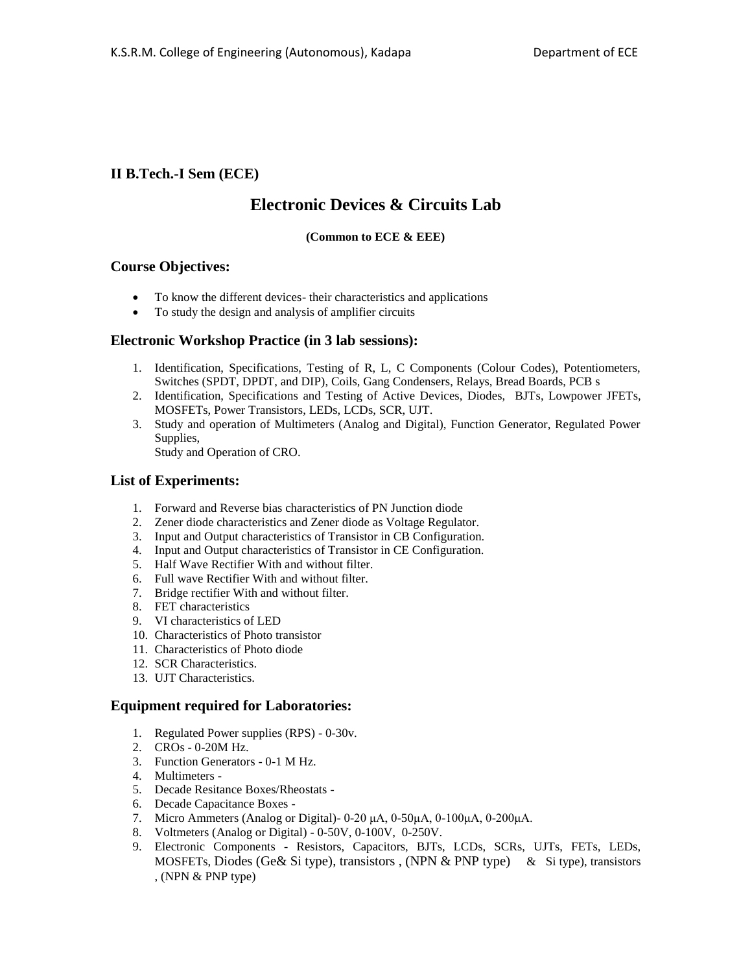# **Electronic Devices & Circuits Lab**

### **(Common to ECE & EEE)**

## **Course Objectives:**

- To know the different devices- their characteristics and applications
- To study the design and analysis of amplifier circuits

## **Electronic Workshop Practice (in 3 lab sessions):**

- 1. Identification, Specifications, Testing of R, L, C Components (Colour Codes), Potentiometers, Switches (SPDT, DPDT, and DIP), Coils, Gang Condensers, Relays, Bread Boards, PCB s
- 2. Identification, Specifications and Testing of Active Devices, Diodes, BJTs, Lowpower JFETs, MOSFETs, Power Transistors, LEDs, LCDs, SCR, UJT.
- 3. Study and operation of Multimeters (Analog and Digital), Function Generator, Regulated Power Supplies,

Study and Operation of CRO.

## **List of Experiments:**

- 1. Forward and Reverse bias characteristics of PN Junction diode
- 2. Zener diode characteristics and Zener diode as Voltage Regulator.
- 3. Input and Output characteristics of Transistor in CB Configuration.
- 4. Input and Output characteristics of Transistor in CE Configuration.
- 5. Half Wave Rectifier With and without filter.
- 6. Full wave Rectifier With and without filter.
- 7. Bridge rectifier With and without filter.
- 8. FET characteristics
- 9. VI characteristics of LED
- 10. Characteristics of Photo transistor
- 11. Characteristics of Photo diode
- 12. SCR Characteristics.
- 13. UJT Characteristics.

## **Equipment required for Laboratories:**

- 1. Regulated Power supplies (RPS) 0-30v.
- 2. CROs 0-20M Hz.
- 3. Function Generators 0-1 M Hz.
- 4. Multimeters -
- 5. Decade Resitance Boxes/Rheostats -
- 6. Decade Capacitance Boxes -
- 7. Micro Ammeters (Analog or Digital)- 0-20 μA, 0-50μA, 0-100μA, 0-200μA.
- 8. Voltmeters (Analog or Digital) 0-50V, 0-100V, 0-250V.
- 9. Electronic Components Resistors, Capacitors, BJTs, LCDs, SCRs, UJTs, FETs, LEDs, MOSFETs, Diodes (Ge& Si type), transistors , (NPN & PNP type) & Si type), transistors , (NPN & PNP type)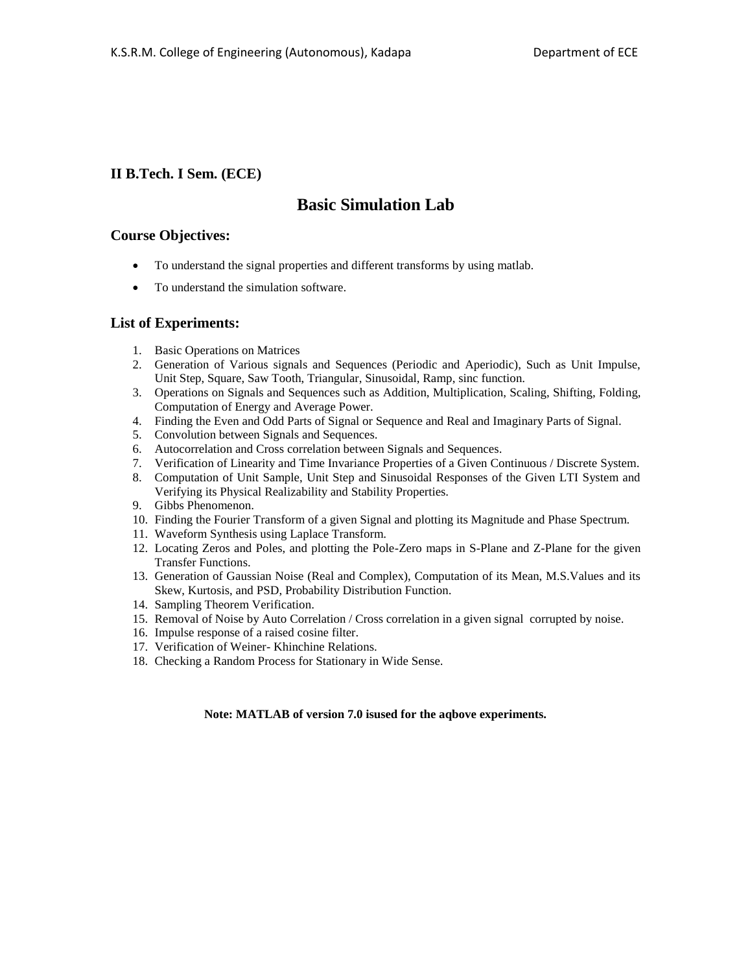# **Basic Simulation Lab**

## **Course Objectives:**

- To understand the signal properties and different transforms by using matlab.
- To understand the simulation software.

## **List of Experiments:**

- 1. Basic Operations on Matrices
- 2. Generation of Various signals and Sequences (Periodic and Aperiodic), Such as Unit Impulse, Unit Step, Square, Saw Tooth, Triangular, Sinusoidal, Ramp, sinc function.
- 3. Operations on Signals and Sequences such as Addition, Multiplication, Scaling, Shifting, Folding, Computation of Energy and Average Power.
- 4. Finding the Even and Odd Parts of Signal or Sequence and Real and Imaginary Parts of Signal.
- 5. Convolution between Signals and Sequences.
- 6. Autocorrelation and Cross correlation between Signals and Sequences.
- 7. Verification of Linearity and Time Invariance Properties of a Given Continuous / Discrete System.
- 8. Computation of Unit Sample, Unit Step and Sinusoidal Responses of the Given LTI System and Verifying its Physical Realizability and Stability Properties.
- 9. Gibbs Phenomenon.
- 10. Finding the Fourier Transform of a given Signal and plotting its Magnitude and Phase Spectrum.
- 11. Waveform Synthesis using Laplace Transform.
- 12. Locating Zeros and Poles, and plotting the Pole-Zero maps in S-Plane and Z-Plane for the given Transfer Functions.
- 13. Generation of Gaussian Noise (Real and Complex), Computation of its Mean, M.S.Values and its Skew, Kurtosis, and PSD, Probability Distribution Function.
- 14. Sampling Theorem Verification.
- 15. Removal of Noise by Auto Correlation / Cross correlation in a given signal corrupted by noise.
- 16. Impulse response of a raised cosine filter.
- 17. Verification of Weiner- Khinchine Relations.
- 18. Checking a Random Process for Stationary in Wide Sense.

**Note: MATLAB of version 7.0 isused for the aqbove experiments.**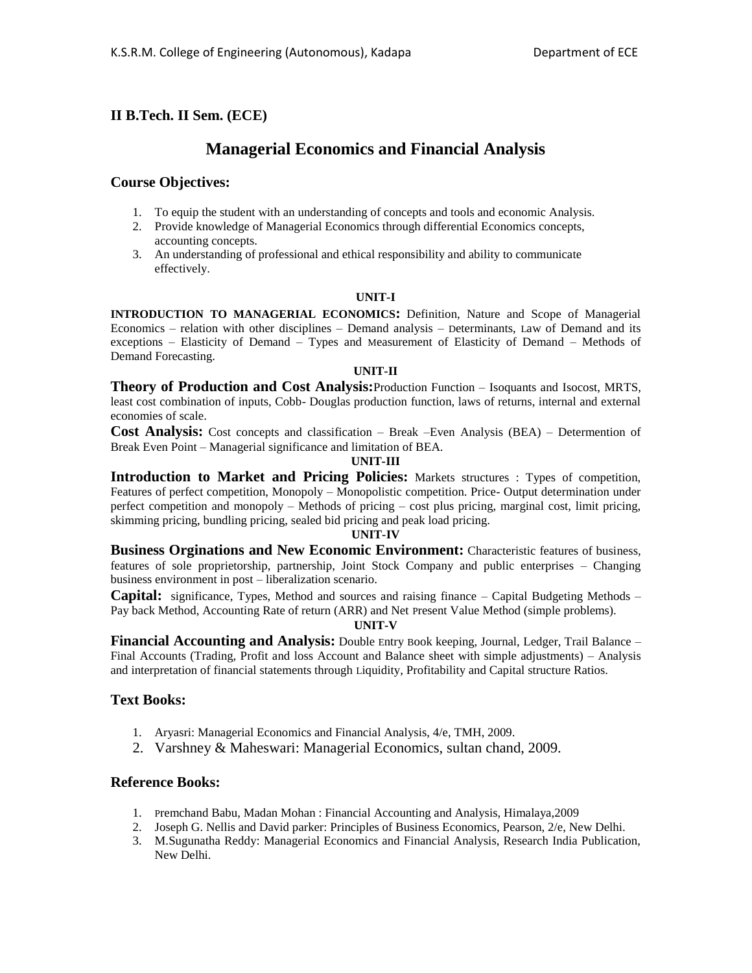# **Managerial Economics and Financial Analysis**

## **Course Objectives:**

- 1. To equip the student with an understanding of concepts and tools and economic Analysis.
- 2. Provide knowledge of Managerial Economics through differential Economics concepts, accounting concepts.
- 3. An understanding of professional and ethical responsibility and ability to communicate effectively.

### **UNIT-I**

**INTRODUCTION TO MANAGERIAL ECONOMICS:** Definition, Nature and Scope of Managerial Economics – relation with other disciplines – Demand analysis – Determinants, Law of Demand and its exceptions – Elasticity of Demand – Types and Measurement of Elasticity of Demand – Methods of Demand Forecasting.

### **UNIT-II**

**Theory of Production and Cost Analysis:**Production Function – Isoquants and Isocost, MRTS, least cost combination of inputs, Cobb- Douglas production function, laws of returns, internal and external economies of scale.

**Cost Analysis:** Cost concepts and classification – Break –Even Analysis (BEA) – Determention of Break Even Point – Managerial significance and limitation of BEA.

### **UNIT-III**

**Introduction to Market and Pricing Policies:** Markets structures : Types of competition, Features of perfect competition, Monopoly – Monopolistic competition. Price- Output determination under perfect competition and monopoly – Methods of pricing – cost plus pricing, marginal cost, limit pricing, skimming pricing, bundling pricing, sealed bid pricing and peak load pricing.

### **UNIT-IV**

**Business Orginations and New Economic Environment:** Characteristic features of business, features of sole proprietorship, partnership, Joint Stock Company and public enterprises – Changing business environment in post – liberalization scenario.

**Capital:** significance, Types, Method and sources and raising finance – Capital Budgeting Methods – Pay back Method, Accounting Rate of return (ARR) and Net Present Value Method (simple problems).

### **UNIT-V**

**Financial Accounting and Analysis:** Double Entry Book keeping, Journal, Ledger, Trail Balance – Final Accounts (Trading, Profit and loss Account and Balance sheet with simple adjustments) – Analysis and interpretation of financial statements through Liquidity, Profitability and Capital structure Ratios.

## **Text Books:**

- 1. Aryasri: Managerial Economics and Financial Analysis, 4/e, TMH, 2009.
- 2. Varshney & Maheswari: Managerial Economics, sultan chand, 2009.

- 1. Premchand Babu, Madan Mohan : Financial Accounting and Analysis, Himalaya,2009
- 2. Joseph G. Nellis and David parker: Principles of Business Economics, Pearson, 2/e, New Delhi.
- 3. M.Sugunatha Reddy: Managerial Economics and Financial Analysis, Research India Publication, New Delhi.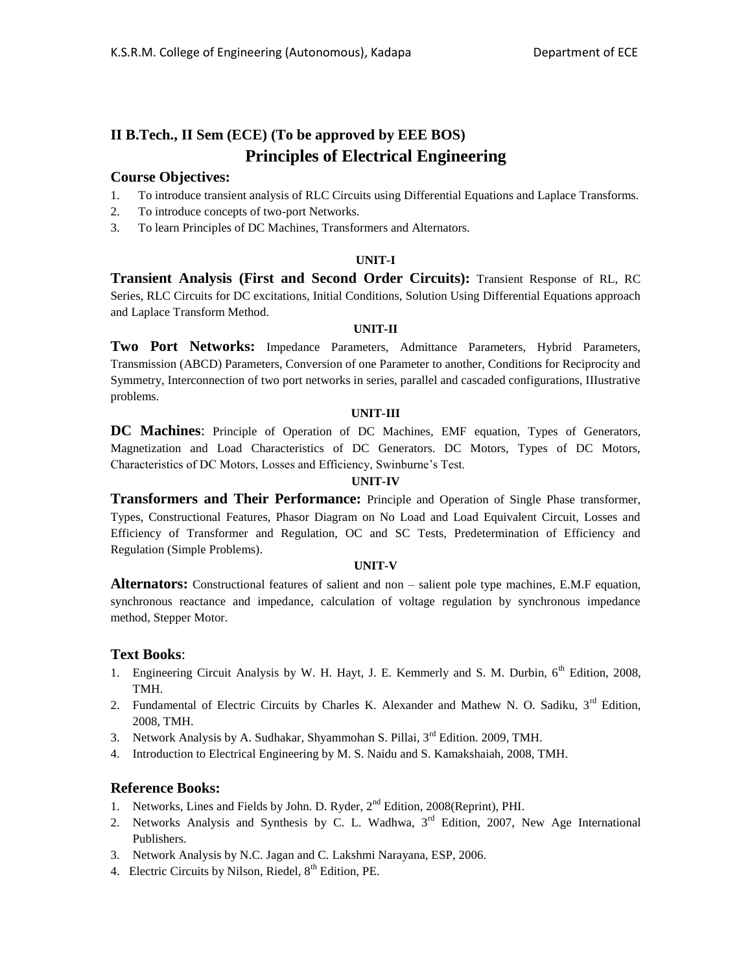# **II B.Tech., II Sem (ECE) (To be approved by EEE BOS) Principles of Electrical Engineering**

## **Course Objectives:**

- 1. To introduce transient analysis of RLC Circuits using Differential Equations and Laplace Transforms.
- 2. To introduce concepts of two-port Networks.
- 3. To learn Principles of DC Machines, Transformers and Alternators.

### **UNIT-I**

**Transient Analysis (First and Second Order Circuits):** Transient Response of RL, RC Series, RLC Circuits for DC excitations, Initial Conditions, Solution Using Differential Equations approach and Laplace Transform Method.

### **UNIT-II**

**Two Port Networks:** Impedance Parameters, Admittance Parameters, Hybrid Parameters, Transmission (ABCD) Parameters, Conversion of one Parameter to another, Conditions for Reciprocity and Symmetry, Interconnection of two port networks in series, parallel and cascaded configurations, IIIustrative problems.

### **UNIT-III**

**DC Machines**: Principle of Operation of DC Machines, EMF equation, Types of Generators, Magnetization and Load Characteristics of DC Generators. DC Motors, Types of DC Motors, Characteristics of DC Motors, Losses and Efficiency, Swinburne's Test.

### **UNIT-IV**

**Transformers and Their Performance:** Principle and Operation of Single Phase transformer, Types, Constructional Features, Phasor Diagram on No Load and Load Equivalent Circuit, Losses and Efficiency of Transformer and Regulation, OC and SC Tests, Predetermination of Efficiency and Regulation (Simple Problems).

### **UNIT-V**

**Alternators:** Constructional features of salient and non – salient pole type machines, E.M.F equation, synchronous reactance and impedance, calculation of voltage regulation by synchronous impedance method, Stepper Motor.

## **Text Books**:

- 1. Engineering Circuit Analysis by W. H. Hayt, J. E. Kemmerly and S. M. Durbin, 6<sup>th</sup> Edition, 2008, TMH.
- 2. Fundamental of Electric Circuits by Charles K. Alexander and Mathew N. O. Sadiku, 3<sup>rd</sup> Edition, 2008, TMH.
- 3. Network Analysis by A. Sudhakar, Shyammohan S. Pillai, 3<sup>rd</sup> Edition. 2009, TMH.
- 4. Introduction to Electrical Engineering by M. S. Naidu and S. Kamakshaiah, 2008, TMH.

- 1. Networks, Lines and Fields by John. D. Ryder,  $2<sup>nd</sup>$  Edition, 2008(Reprint), PHI.
- 2. Networks Analysis and Synthesis by C. L. Wadhwa, 3<sup>rd</sup> Edition, 2007, New Age International Publishers.
- 3. Network Analysis by N.C. Jagan and C. Lakshmi Narayana, ESP, 2006.
- 4. Electric Circuits by Nilson, Riedel, 8<sup>th</sup> Edition, PE.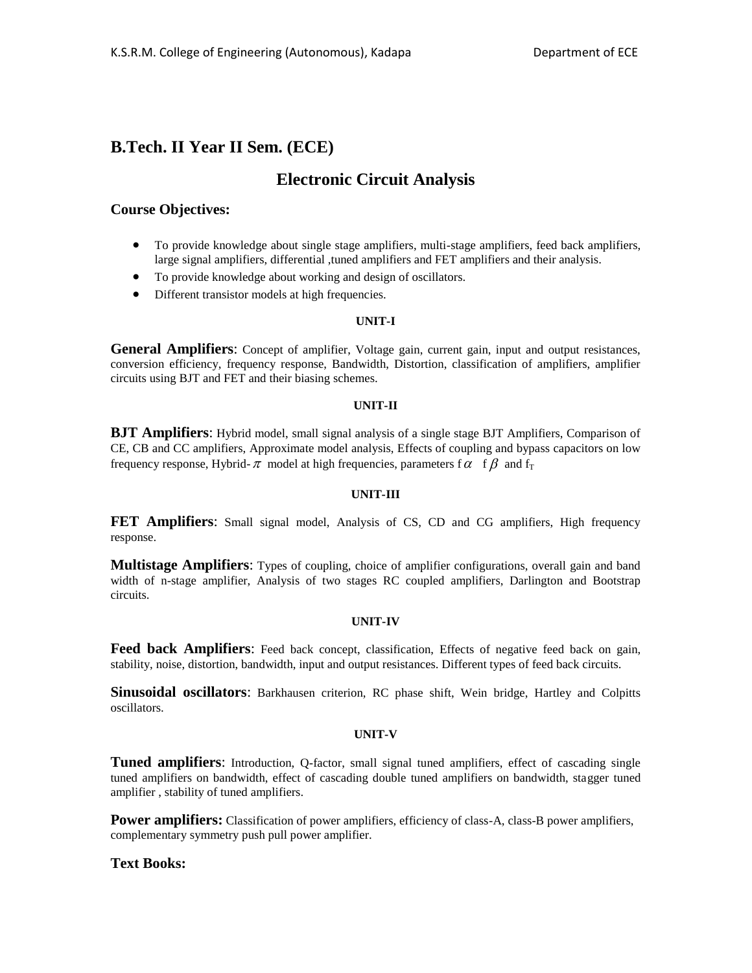# **B.Tech. II Year II Sem. (ECE)**

# **Electronic Circuit Analysis**

## **Course Objectives:**

- To provide knowledge about single stage amplifiers, multi-stage amplifiers, feed back amplifiers, large signal amplifiers, differential ,tuned amplifiers and FET amplifiers and their analysis.
- To provide knowledge about working and design of oscillators.
- Different transistor models at high frequencies.

### **UNIT-I**

**General Amplifiers**: Concept of amplifier, Voltage gain, current gain, input and output resistances, conversion efficiency, frequency response, Bandwidth, Distortion, classification of amplifiers, amplifier circuits using BJT and FET and their biasing schemes.

### **UNIT-II**

**BJT Amplifiers**: Hybrid model, small signal analysis of a single stage BJT Amplifiers, Comparison of CE, CB and CC amplifiers, Approximate model analysis, Effects of coupling and bypass capacitors on low frequency response, Hybrid-  $\pi$  model at high frequencies, parameters f  $\alpha$  f  $\beta$  and f<sub>T</sub>

### **UNIT-III**

**FET Amplifiers**: Small signal model, Analysis of CS, CD and CG amplifiers, High frequency response.

**Multistage Amplifiers**: Types of coupling, choice of amplifier configurations, overall gain and band width of n-stage amplifier, Analysis of two stages RC coupled amplifiers, Darlington and Bootstrap circuits.

### **UNIT-IV**

**Feed back Amplifiers:** Feed back concept, classification, Effects of negative feed back on gain, stability, noise, distortion, bandwidth, input and output resistances. Different types of feed back circuits.

**Sinusoidal oscillators**: Barkhausen criterion, RC phase shift, Wein bridge, Hartley and Colpitts oscillators.

#### **UNIT-V**

**Tuned amplifiers**: Introduction, Q-factor, small signal tuned amplifiers, effect of cascading single tuned amplifiers on bandwidth, effect of cascading double tuned amplifiers on bandwidth, stagger tuned amplifier , stability of tuned amplifiers.

**Power amplifiers:** Classification of power amplifiers, efficiency of class-A, class-B power amplifiers, complementary symmetry push pull power amplifier.

**Text Books:**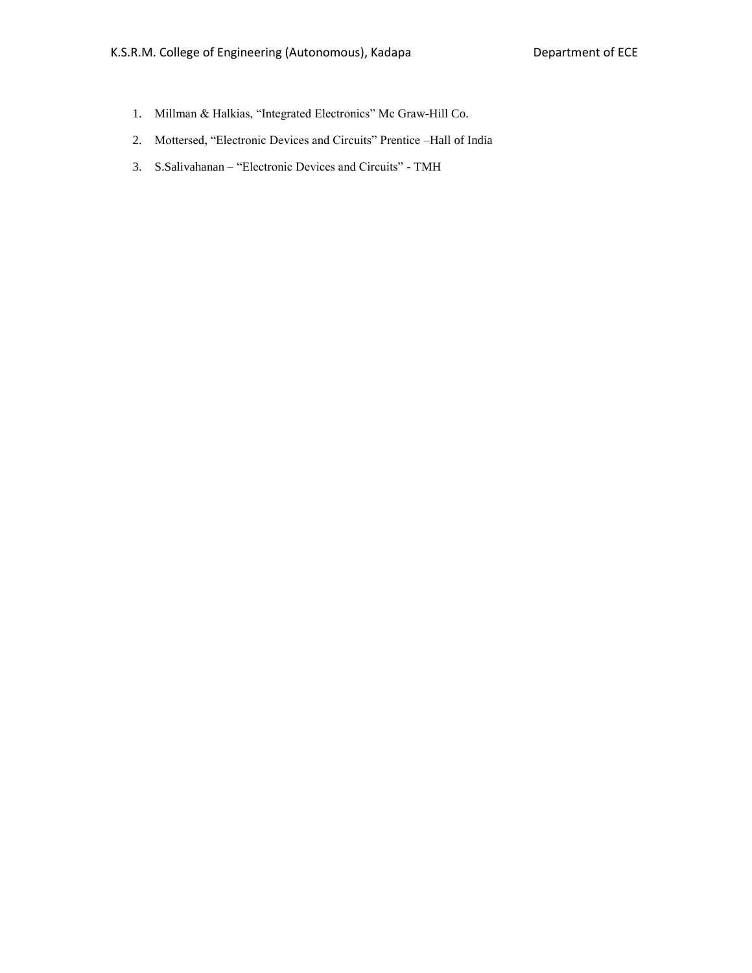- 1. Millman & Halkias, "Integrated Electronics" Mc Graw-Hill Co.
- 2. Mottersed, "Electronic Devices and Circuits" Prentice –Hall of India
- 3. S.Salivahanan "Electronic Devices and Circuits" TMH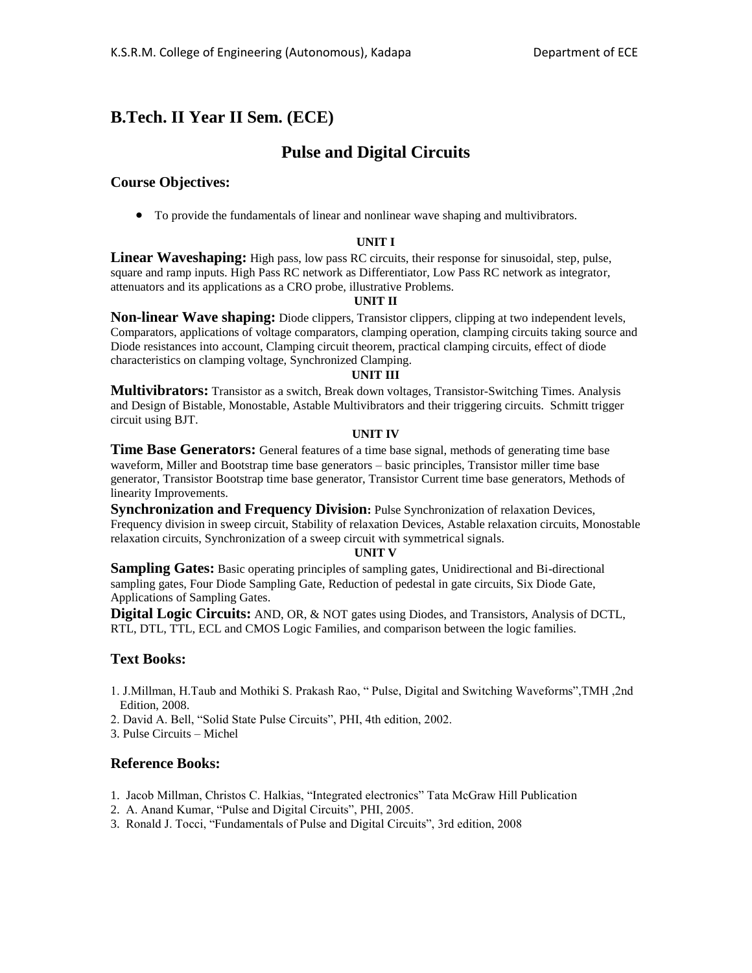# **B.Tech. II Year II Sem. (ECE)**

# **Pulse and Digital Circuits**

## **Course Objectives:**

To provide the fundamentals of linear and nonlinear wave shaping and multivibrators.

### **UNIT I**

**Linear Waveshaping:** High pass, low pass RC circuits, their response for sinusoidal, step, pulse, square and ramp inputs. High Pass RC network as Differentiator, Low Pass RC network as integrator, attenuators and its applications as a CRO probe, illustrative Problems.

### **UNIT II**

**Non-linear Wave shaping:** Diode clippers, Transistor clippers, clipping at two independent levels, Comparators, applications of voltage comparators, clamping operation, clamping circuits taking source and Diode resistances into account, Clamping circuit theorem, practical clamping circuits, effect of diode characteristics on clamping voltage, Synchronized Clamping.

### **UNIT III**

**Multivibrators:** Transistor as a switch, Break down voltages, Transistor-Switching Times. Analysis and Design of Bistable, Monostable, Astable Multivibrators and their triggering circuits. Schmitt trigger circuit using BJT.

### **UNIT IV**

**Time Base Generators:** General features of a time base signal, methods of generating time base waveform, Miller and Bootstrap time base generators – basic principles, Transistor miller time base generator, Transistor Bootstrap time base generator, Transistor Current time base generators, Methods of linearity Improvements.

**Synchronization and Frequency Division:** Pulse Synchronization of relaxation Devices, Frequency division in sweep circuit, Stability of relaxation Devices, Astable relaxation circuits, Monostable relaxation circuits, Synchronization of a sweep circuit with symmetrical signals.

#### **UNIT V**

**Sampling Gates:** Basic operating principles of sampling gates, Unidirectional and Bi-directional sampling gates, Four Diode Sampling Gate, Reduction of pedestal in gate circuits, Six Diode Gate, Applications of Sampling Gates.

**Digital Logic Circuits:** AND, OR, & NOT gates using Diodes, and Transistors, Analysis of DCTL, RTL, DTL, TTL, ECL and CMOS Logic Families, and comparison between the logic families.

## **Text Books:**

- 1. J.Millman, H.Taub and Mothiki S. Prakash Rao, " Pulse, Digital and Switching Waveforms",TMH ,2nd Edition, 2008.
- 2. David A. Bell, "Solid State Pulse Circuits", PHI, 4th edition, 2002.
- 3. Pulse Circuits Michel

- 1. Jacob Millman, Christos C. Halkias, "Integrated electronics" Tata McGraw Hill Publication
- 2. A. Anand Kumar, "Pulse and Digital Circuits", PHI, 2005.
- 3. Ronald J. Tocci, "Fundamentals of Pulse and Digital Circuits", 3rd edition, 2008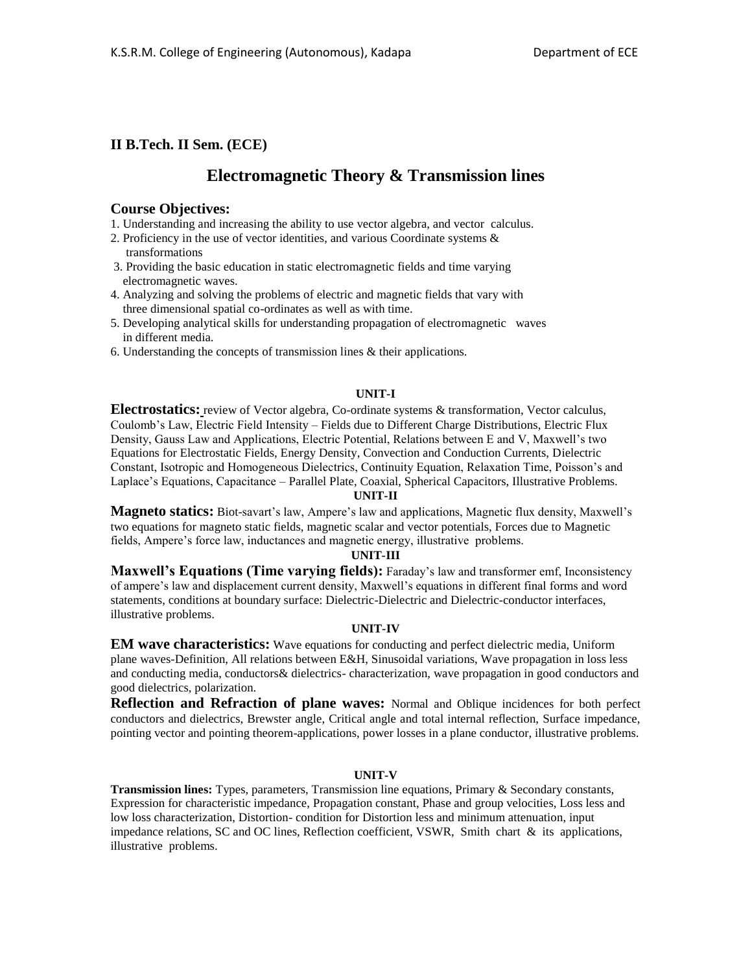# **Electromagnetic Theory & Transmission lines**

### **Course Objectives:**

1. Understanding and increasing the ability to use vector algebra, and vector calculus.

- 2. Proficiency in the use of vector identities, and various Coordinate systems & transformations
- 3. Providing the basic education in static electromagnetic fields and time varying electromagnetic waves.
- 4. Analyzing and solving the problems of electric and magnetic fields that vary with three dimensional spatial co-ordinates as well as with time.
- 5. Developing analytical skills for understanding propagation of electromagnetic waves in different media.
- 6. Understanding the concepts of transmission lines & their applications.

### **UNIT-I**

**Electrostatics:** review of Vector algebra, Co-ordinate systems & transformation, Vector calculus, Coulomb's Law, Electric Field Intensity – Fields due to Different Charge Distributions, Electric Flux Density, Gauss Law and Applications, Electric Potential, Relations between E and V, Maxwell's two Equations for Electrostatic Fields, Energy Density, Convection and Conduction Currents, Dielectric Constant, Isotropic and Homogeneous Dielectrics, Continuity Equation, Relaxation Time, Poisson's and Laplace's Equations, Capacitance – Parallel Plate, Coaxial, Spherical Capacitors, Illustrative Problems.

#### **UNIT-II**

**Magneto statics:** Biot-savart's law, Ampere's law and applications, Magnetic flux density, Maxwell's two equations for magneto static fields, magnetic scalar and vector potentials, Forces due to Magnetic fields, Ampere's force law, inductances and magnetic energy, illustrative problems.

#### **UNIT-III**

**Maxwell's Equations (Time varying fields):** Faraday's law and transformer emf, Inconsistency of ampere's law and displacement current density, Maxwell's equations in different final forms and word statements, conditions at boundary surface: Dielectric-Dielectric and Dielectric-conductor interfaces, illustrative problems.

### **UNIT-IV**

**EM wave characteristics:** Wave equations for conducting and perfect dielectric media, Uniform plane waves-Definition, All relations between E&H, Sinusoidal variations, Wave propagation in loss less and conducting media, conductors& dielectrics- characterization, wave propagation in good conductors and good dielectrics, polarization.

**Reflection and Refraction of plane waves:** Normal and Oblique incidences for both perfect conductors and dielectrics, Brewster angle, Critical angle and total internal reflection, Surface impedance, pointing vector and pointing theorem-applications, power losses in a plane conductor, illustrative problems.

#### **UNIT-V**

**Transmission lines:** Types, parameters, Transmission line equations, Primary & Secondary constants, Expression for characteristic impedance, Propagation constant, Phase and group velocities, Loss less and low loss characterization, Distortion- condition for Distortion less and minimum attenuation, input impedance relations, SC and OC lines, Reflection coefficient, VSWR, Smith chart & its applications, illustrative problems.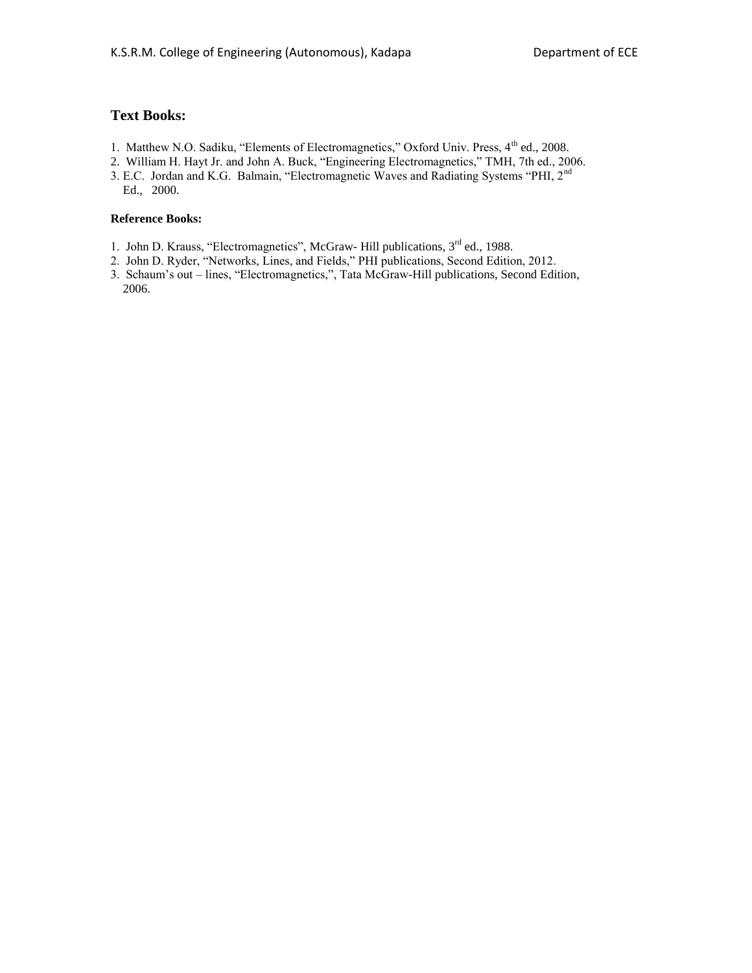## **Text Books:**

- 1. Matthew N.O. Sadiku, "Elements of Electromagnetics," Oxford Univ. Press, 4<sup>th</sup> ed., 2008.
- 2. William H. Hayt Jr. and John A. Buck, "Engineering Electromagnetics," TMH, 7th ed., 2006.
- 3. E.C. Jordan and K.G. Balmain, "Electromagnetic Waves and Radiating Systems "PHI, 2nd Ed., 2000.

- 1. John D. Krauss, "Electromagnetics", McGraw- Hill publications, 3rd ed., 1988.
- 2. John D. Ryder, "Networks, Lines, and Fields," PHI publications, Second Edition, 2012.
- 3. Schaum's out lines, "Electromagnetics,", Tata McGraw-Hill publications, Second Edition, 2006.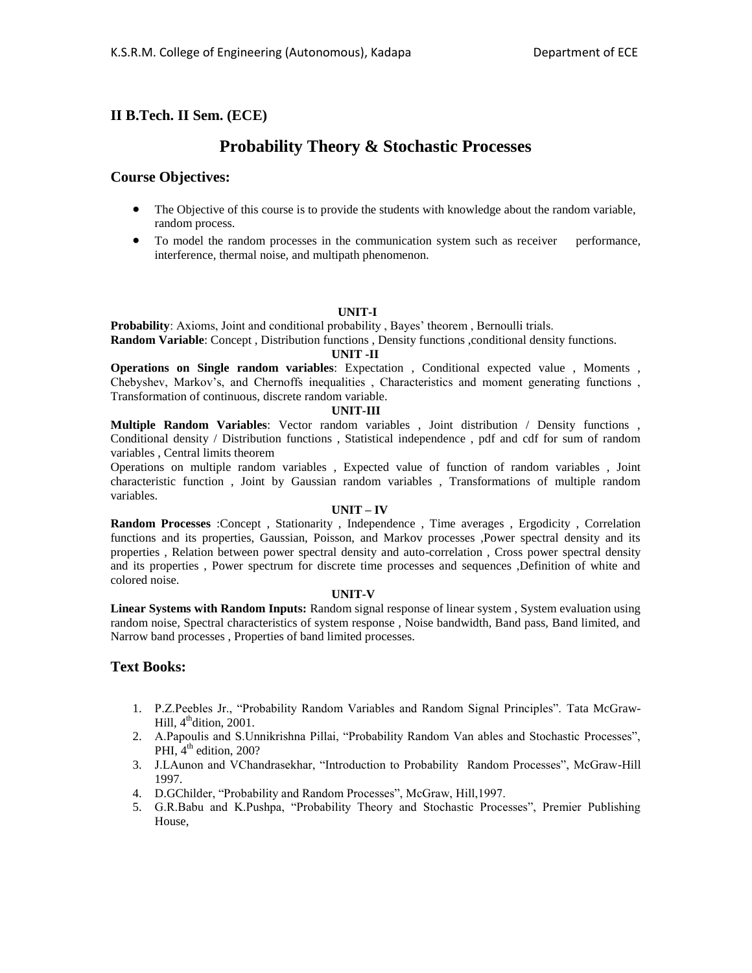# **Probability Theory & Stochastic Processes**

## **Course Objectives:**

- The Objective of this course is to provide the students with knowledge about the random variable, random process.
- To model the random processes in the communication system such as receiver performance, interference, thermal noise, and multipath phenomenon.

### **UNIT-I**

**Probability:** Axioms, Joint and conditional probability, Bayes' theorem, Bernoulli trials. **Random Variable**: Concept, Distribution functions, Density functions, conditional density functions.

### **UNIT -II**

**Operations on Single random variables**: Expectation , Conditional expected value , Moments , Chebyshev, Markov's, and Chernoffs inequalities , Characteristics and moment generating functions , Transformation of continuous, discrete random variable.

#### **UNIT-III**

**Multiple Random Variables**: Vector random variables , Joint distribution / Density functions , Conditional density / Distribution functions , Statistical independence , pdf and cdf for sum of random variables , Central limits theorem

Operations on multiple random variables , Expected value of function of random variables , Joint characteristic function , Joint by Gaussian random variables , Transformations of multiple random variables.

#### **UNIT – IV**

**Random Processes** :Concept , Stationarity , Independence , Time averages , Ergodicity , Correlation functions and its properties, Gaussian, Poisson, and Markov processes ,Power spectral density and its properties , Relation between power spectral density and auto-correlation , Cross power spectral density and its properties , Power spectrum for discrete time processes and sequences ,Definition of white and colored noise.

### **UNIT-V**

**Linear Systems with Random Inputs:** Random signal response of linear system , System evaluation using random noise, Spectral characteristics of system response , Noise bandwidth, Band pass, Band limited, and Narrow band processes , Properties of band limited processes.

## **Text Books:**

- 1. P.Z.Peebles Jr., "Probability Random Variables and Random Signal Principles". Tata McGraw-Hill,  $4^{\text{th}}$ dition, 2001.
- 2. A.Papoulis and S.Unnikrishna Pillai, "Probability Random Van ables and Stochastic Processes", PHI,  $4<sup>th</sup>$  edition, 200?
- 3. J.LAunon and VChandrasekhar, "Introduction to Probability Random Processes", McGraw-Hill 1997.
- 4. D.GChilder, "Probability and Random Processes", McGraw, Hill,1997.
- 5. G.R.Babu and K.Pushpa, "Probability Theory and Stochastic Processes", Premier Publishing House,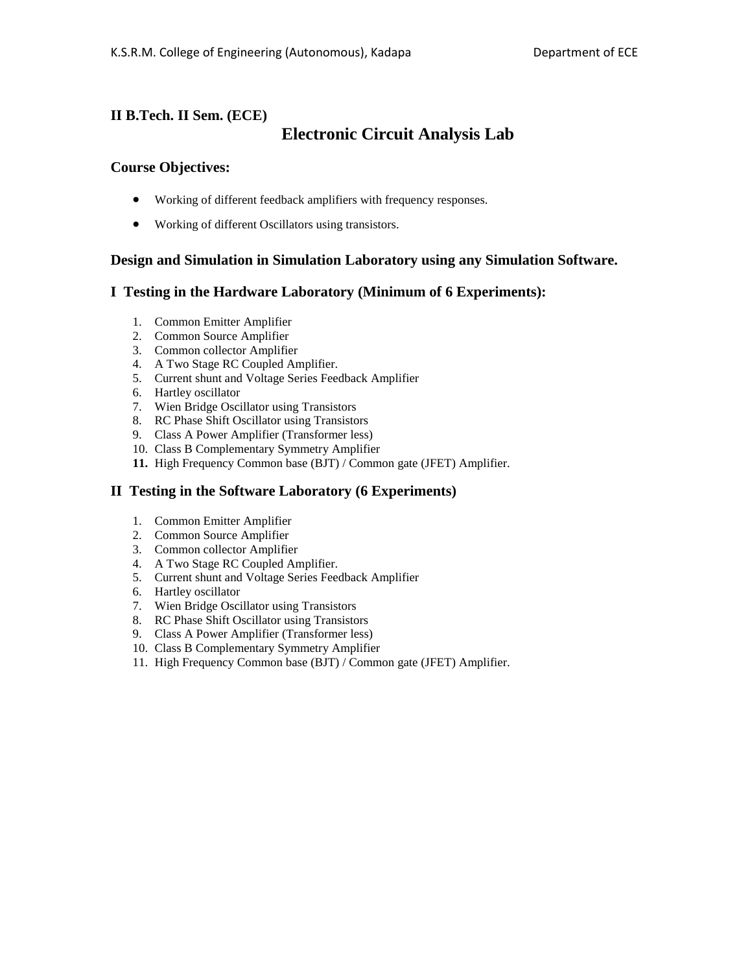# **Electronic Circuit Analysis Lab**

## **Course Objectives:**

- Working of different feedback amplifiers with frequency responses.
- Working of different Oscillators using transistors.

## **Design and Simulation in Simulation Laboratory using any Simulation Software.**

## **I Testing in the Hardware Laboratory (Minimum of 6 Experiments):**

- 1. Common Emitter Amplifier
- 2. Common Source Amplifier
- 3. Common collector Amplifier
- 4. A Two Stage RC Coupled Amplifier.
- 5. Current shunt and Voltage Series Feedback Amplifier
- 6. Hartley oscillator
- 7. Wien Bridge Oscillator using Transistors
- 8. RC Phase Shift Oscillator using Transistors
- 9. Class A Power Amplifier (Transformer less)
- 10. Class B Complementary Symmetry Amplifier
- **11.** High Frequency Common base (BJT) / Common gate (JFET) Amplifier.

## **II Testing in the Software Laboratory (6 Experiments)**

- 1. Common Emitter Amplifier
- 2. Common Source Amplifier
- 3. Common collector Amplifier
- 4. A Two Stage RC Coupled Amplifier.
- 5. Current shunt and Voltage Series Feedback Amplifier
- 6. Hartley oscillator
- 7. Wien Bridge Oscillator using Transistors
- 8. RC Phase Shift Oscillator using Transistors
- 9. Class A Power Amplifier (Transformer less)
- 10. Class B Complementary Symmetry Amplifier
- 11. High Frequency Common base (BJT) / Common gate (JFET) Amplifier.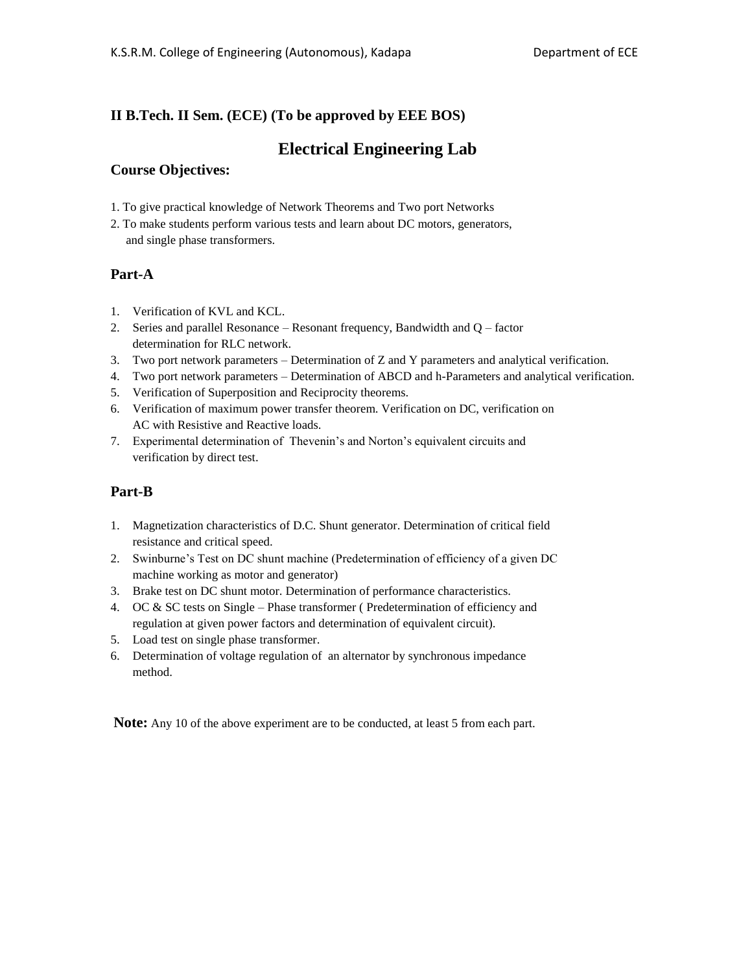# **II B.Tech. II Sem. (ECE) (To be approved by EEE BOS)**

# **Electrical Engineering Lab**

## **Course Objectives:**

- 1. To give practical knowledge of Network Theorems and Two port Networks
- 2. To make students perform various tests and learn about DC motors, generators, and single phase transformers.

## **Part-A**

- 1. Verification of KVL and KCL.
- 2. Series and parallel Resonance Resonant frequency, Bandwidth and Q factor determination for RLC network.
- 3. Two port network parameters Determination of Z and Y parameters and analytical verification.
- 4. Two port network parameters Determination of ABCD and h-Parameters and analytical verification.
- 5. Verification of Superposition and Reciprocity theorems.
- 6. Verification of maximum power transfer theorem. Verification on DC, verification on AC with Resistive and Reactive loads.
- 7. Experimental determination of Thevenin's and Norton's equivalent circuits and verification by direct test.

## **Part-B**

- 1. Magnetization characteristics of D.C. Shunt generator. Determination of critical field resistance and critical speed.
- 2. Swinburne's Test on DC shunt machine (Predetermination of efficiency of a given DC machine working as motor and generator)
- 3. Brake test on DC shunt motor. Determination of performance characteristics.
- 4. OC & SC tests on Single Phase transformer ( Predetermination of efficiency and regulation at given power factors and determination of equivalent circuit).
- 5. Load test on single phase transformer.
- 6. Determination of voltage regulation of an alternator by synchronous impedance method.

**Note:** Any 10 of the above experiment are to be conducted, at least 5 from each part.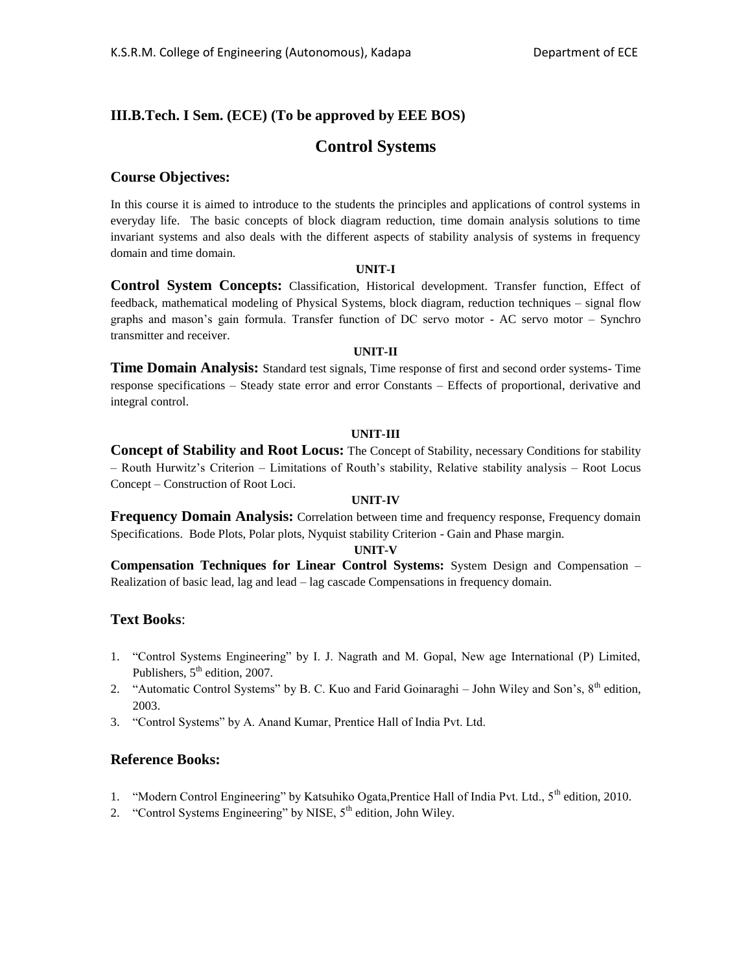# **III.B.Tech. I Sem. (ECE) (To be approved by EEE BOS)**

# **Control Systems**

## **Course Objectives:**

In this course it is aimed to introduce to the students the principles and applications of control systems in everyday life. The basic concepts of block diagram reduction, time domain analysis solutions to time invariant systems and also deals with the different aspects of stability analysis of systems in frequency domain and time domain.

### **UNIT-I**

**Control System Concepts:** Classification, Historical development. Transfer function, Effect of feedback, mathematical modeling of Physical Systems, block diagram, reduction techniques – signal flow graphs and mason's gain formula. Transfer function of DC servo motor - AC servo motor – Synchro transmitter and receiver.

### **UNIT-II**

**Time Domain Analysis:** Standard test signals, Time response of first and second order systems- Time response specifications – Steady state error and error Constants – Effects of proportional, derivative and integral control.

### **UNIT-III**

**Concept of Stability and Root Locus:** The Concept of Stability, necessary Conditions for stability – Routh Hurwitz's Criterion – Limitations of Routh's stability, Relative stability analysis – Root Locus Concept – Construction of Root Loci.

## **UNIT-IV**

**Frequency Domain Analysis:** Correlation between time and frequency response, Frequency domain Specifications. Bode Plots, Polar plots, Nyquist stability Criterion - Gain and Phase margin.

### **UNIT-V**

**Compensation Techniques for Linear Control Systems:** System Design and Compensation – Realization of basic lead, lag and lead – lag cascade Compensations in frequency domain.

## **Text Books**:

- 1. "Control Systems Engineering" by I. J. Nagrath and M. Gopal, New age International (P) Limited, Publishers,  $5<sup>th</sup>$  edition, 2007.
- 2. "Automatic Control Systems" by B. C. Kuo and Farid Goinaraghi John Wiley and Son's, 8<sup>th</sup> edition, 2003.
- 3. "Control Systems" by A. Anand Kumar, Prentice Hall of India Pvt. Ltd.

- 1. "Modern Control Engineering" by Katsuhiko Ogata, Prentice Hall of India Pvt. Ltd., 5<sup>th</sup> edition, 2010.
- 2. "Control Systems Engineering" by NISE,  $5<sup>th</sup>$  edition, John Wiley.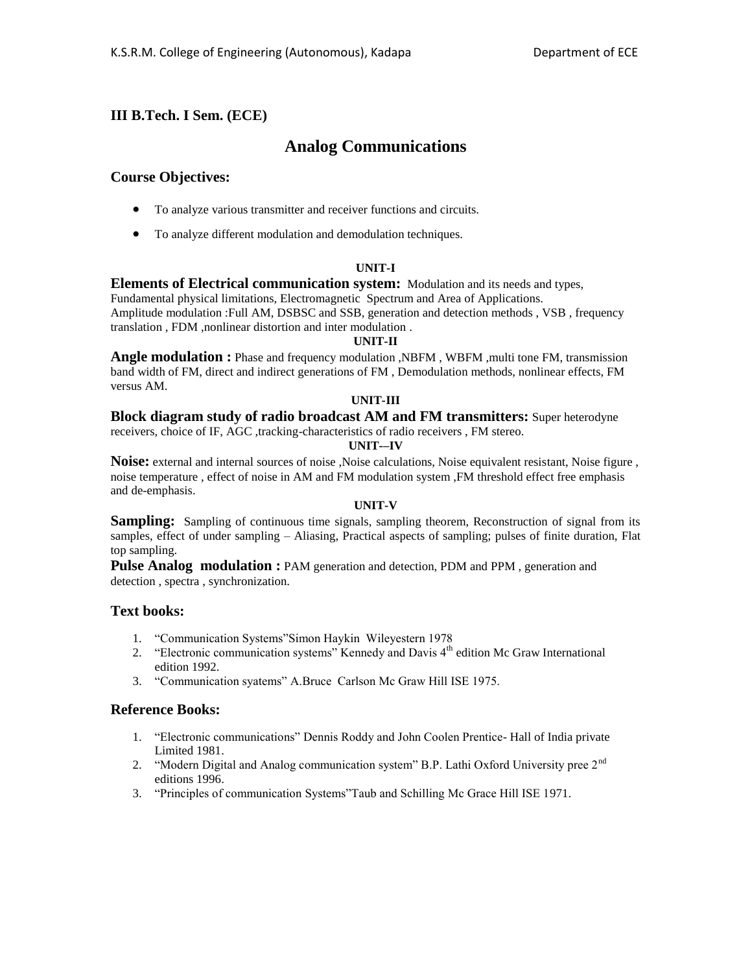# **Analog Communications**

## **Course Objectives:**

- To analyze various transmitter and receiver functions and circuits.
- To analyze different modulation and demodulation techniques.

### **UNIT-I**

**Elements of Electrical communication system:** Modulation and its needs and types,

Fundamental physical limitations, Electromagnetic Spectrum and Area of Applications.

Amplitude modulation :Full AM, DSBSC and SSB, generation and detection methods , VSB , frequency translation , FDM ,nonlinear distortion and inter modulation .

### **UNIT-II**

**Angle modulation :** Phase and frequency modulation ,NBFM , WBFM ,multi tone FM, transmission band width of FM, direct and indirect generations of FM , Demodulation methods, nonlinear effects, FM versus AM.

### **UNIT-III**

**Block diagram study of radio broadcast AM and FM transmitters:** Super heterodyne receivers, choice of IF, AGC ,tracking-characteristics of radio receivers , FM stereo.

## **UNIT-–IV**

**Noise:** external and internal sources of noise ,Noise calculations, Noise equivalent resistant, Noise figure, noise temperature , effect of noise in AM and FM modulation system ,FM threshold effect free emphasis and de-emphasis.

### **UNIT-V**

**Sampling:** Sampling of continuous time signals, sampling theorem, Reconstruction of signal from its samples, effect of under sampling – Aliasing, Practical aspects of sampling; pulses of finite duration, Flat top sampling.

**Pulse Analog modulation :** PAM generation and detection, PDM and PPM, generation and detection , spectra , synchronization.

## **Text books:**

- 1. "Communication Systems"Simon Haykin Wileyestern 1978
- 2. "Electronic communication systems" Kennedy and Davis  $4<sup>th</sup>$  edition Mc Graw International edition 1992.
- 3. "Communication syatems" A.Bruce Carlson Mc Graw Hill ISE 1975.

- 1. "Electronic communications" Dennis Roddy and John Coolen Prentice- Hall of India private Limited 1981.
- 2. "Modern Digital and Analog communication system" B.P. Lathi Oxford University pree 2<sup>nd</sup> editions 1996.
- 3. "Principles of communication Systems"Taub and Schilling Mc Grace Hill ISE 1971.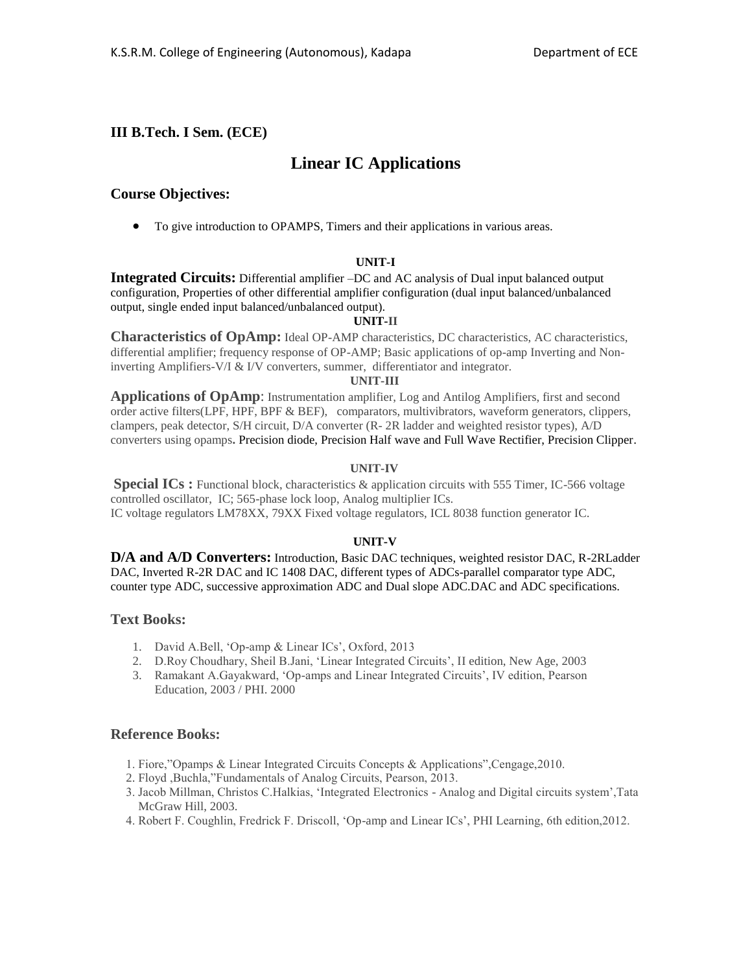# **Linear IC Applications**

## **Course Objectives:**

To give introduction to OPAMPS, Timers and their applications in various areas.

### **UNIT-I**

**Integrated Circuits:** Differential amplifier –DC and AC analysis of Dual input balanced output configuration, Properties of other differential amplifier configuration (dual input balanced/unbalanced output, single ended input balanced/unbalanced output).

### **UNIT-II**

**Characteristics of OpAmp:** Ideal OP-AMP characteristics, DC characteristics, AC characteristics, differential amplifier; frequency response of OP-AMP; Basic applications of op-amp Inverting and Noninverting Amplifiers-V/I & I/V converters, summer, differentiator and integrator.

### **UNIT-III**

**Applications of OpAmp**: Instrumentation amplifier, Log and Antilog Amplifiers, first and second order active filters(LPF, HPF, BPF & BEF), comparators, multivibrators, waveform generators, clippers, clampers, peak detector, S/H circuit, D/A converter (R- 2R ladder and weighted resistor types), A/D converters using opamps**.** Precision diode, Precision Half wave and Full Wave Rectifier, Precision Clipper.

### **UNIT-IV**

**Special ICs :** Functional block, characteristics & application circuits with 555 Timer, IC-566 voltage controlled oscillator, IC; 565-phase lock loop, Analog multiplier ICs. IC voltage regulators LM78XX, 79XX Fixed voltage regulators, ICL 8038 function generator IC.

### **UNIT-V**

**D/A and A/D Converters:** Introduction, Basic DAC techniques, weighted resistor DAC, R-2RLadder DAC, Inverted R-2R DAC and IC 1408 DAC, different types of ADCs-parallel comparator type ADC, counter type ADC, successive approximation ADC and Dual slope ADC.DAC and ADC specifications.

## **Text Books:**

- 1. David A.Bell, 'Op-amp & Linear ICs', Oxford, 2013
- 2. D.Roy Choudhary, Sheil B.Jani, 'Linear Integrated Circuits', II edition, New Age, 2003
- 3. Ramakant A.Gayakward, 'Op-amps and Linear Integrated Circuits', IV edition, Pearson Education, 2003 / PHI. 2000

- 1. Fiore,"Opamps & Linear Integrated Circuits Concepts & Applications",Cengage,2010.
- 2. Floyd ,Buchla,"Fundamentals of Analog Circuits, Pearson, 2013.
- 3. Jacob Millman, Christos C.Halkias, 'Integrated Electronics Analog and Digital circuits system',Tata McGraw Hill, 2003.
- 4. Robert F. Coughlin, Fredrick F. Driscoll, 'Op-amp and Linear ICs', PHI Learning, 6th edition,2012.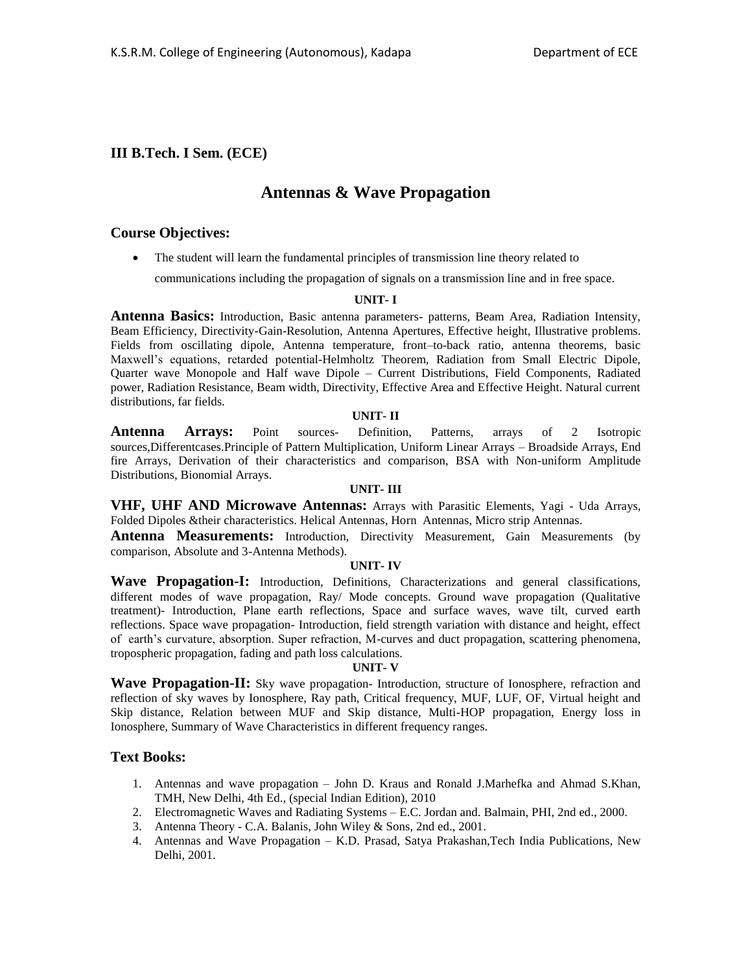# **Antennas & Wave Propagation**

## **Course Objectives:**

The student will learn the fundamental principles of transmission line theory related to

communications including the propagation of signals on a transmission line and in free space.

### **UNIT- I**

**Antenna Basics:** Introduction, Basic antenna parameters- patterns, Beam Area, Radiation Intensity, Beam Efficiency, Directivity-Gain-Resolution, Antenna Apertures, Effective height, Illustrative problems. Fields from oscillating dipole, Antenna temperature, front–to-back ratio, antenna theorems, basic Maxwell's equations, retarded potential-Helmholtz Theorem, Radiation from Small Electric Dipole, Quarter wave Monopole and Half wave Dipole – Current Distributions, Field Components, Radiated power, Radiation Resistance, Beam width, Directivity, Effective Area and Effective Height. Natural current distributions, far fields.

### **UNIT- II**

**Antenna Arrays:** Point sources- Definition, Patterns, arrays of 2 Isotropic sources,Differentcases.Principle of Pattern Multiplication, Uniform Linear Arrays – Broadside Arrays, End fire Arrays, Derivation of their characteristics and comparison, BSA with Non-uniform Amplitude Distributions, Bionomial Arrays.

### **UNIT- III**

**VHF, UHF AND Microwave Antennas:** Arrays with Parasitic Elements, Yagi - Uda Arrays, Folded Dipoles &their characteristics. Helical Antennas, Horn Antennas, Micro strip Antennas.

**Antenna Measurements:** Introduction, Directivity Measurement, Gain Measurements (by comparison, Absolute and 3-Antenna Methods).

### **UNIT- IV**

**Wave Propagation-I:** Introduction, Definitions, Characterizations and general classifications, different modes of wave propagation, Ray/ Mode concepts. Ground wave propagation (Qualitative treatment)- Introduction, Plane earth reflections, Space and surface waves, wave tilt, curved earth reflections. Space wave propagation- Introduction, field strength variation with distance and height, effect of earth's curvature, absorption. Super refraction, M-curves and duct propagation, scattering phenomena, tropospheric propagation, fading and path loss calculations.

### **UNIT- V**

**Wave Propagation-II:** Sky wave propagation- Introduction, structure of Ionosphere, refraction and reflection of sky waves by Ionosphere, Ray path, Critical frequency, MUF, LUF, OF, Virtual height and Skip distance, Relation between MUF and Skip distance, Multi-HOP propagation, Energy loss in Ionosphere, Summary of Wave Characteristics in different frequency ranges.

## **Text Books:**

- 1. Antennas and wave propagation John D. Kraus and Ronald J.Marhefka and Ahmad S.Khan, TMH, New Delhi, 4th Ed., (special Indian Edition), 2010
- 2. Electromagnetic Waves and Radiating Systems E.C. Jordan and. Balmain, PHI, 2nd ed., 2000.
- 3. Antenna Theory C.A. Balanis, John Wiley & Sons, 2nd ed., 2001.
- 4. Antennas and Wave Propagation K.D. Prasad, Satya Prakashan,Tech India Publications, New Delhi, 2001.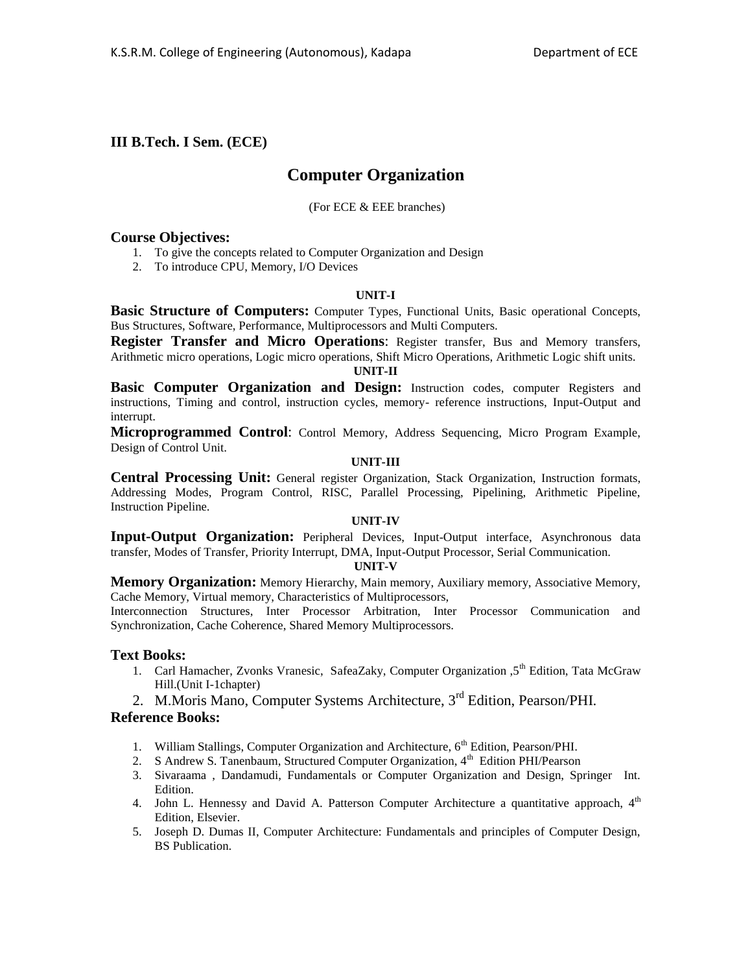# **Computer Organization**

### (For ECE & EEE branches)

### **Course Objectives:**

- 1. To give the concepts related to Computer Organization and Design
- 2. To introduce CPU, Memory, I/O Devices

### **UNIT-I**

**Basic Structure of Computers:** Computer Types, Functional Units, Basic operational Concepts, Bus Structures, Software, Performance, Multiprocessors and Multi Computers.

**Register Transfer and Micro Operations**: Register transfer, Bus and Memory transfers, Arithmetic micro operations, Logic micro operations, Shift Micro Operations, Arithmetic Logic shift units.

### **UNIT-II**

**Basic Computer Organization and Design:** Instruction codes, computer Registers and instructions, Timing and control, instruction cycles, memory- reference instructions, Input-Output and interrupt.

**Microprogrammed Control**: Control Memory, Address Sequencing, Micro Program Example, Design of Control Unit.

### **UNIT-III**

**Central Processing Unit:** General register Organization, Stack Organization, Instruction formats, Addressing Modes, Program Control, RISC, Parallel Processing, Pipelining, Arithmetic Pipeline, Instruction Pipeline.

### **UNIT-IV**

**Input-Output Organization:** Peripheral Devices, Input-Output interface, Asynchronous data transfer, Modes of Transfer, Priority Interrupt, DMA, Input-Output Processor, Serial Communication.

### **UNIT-V**

**Memory Organization:** Memory Hierarchy, Main memory, Auxiliary memory, Associative Memory, Cache Memory, Virtual memory, Characteristics of Multiprocessors,

Interconnection Structures, Inter Processor Arbitration, Inter Processor Communication and Synchronization, Cache Coherence, Shared Memory Multiprocessors.

## **Text Books:**

- 1. Carl Hamacher, Zvonks Vranesic, SafeaZaky, Computer Organization 5<sup>th</sup> Edition, Tata McGraw Hill.(Unit I-1chapter)
- 2. M.Moris Mano, Computer Systems Architecture, 3<sup>rd</sup> Edition, Pearson/PHI.

- 1. William Stallings, Computer Organization and Architecture,  $6<sup>th</sup>$  Edition, Pearson/PHI.
- 2. S Andrew S. Tanenbaum, Structured Computer Organization, 4<sup>th</sup> Edition PHI/Pearson
- 3. Sivaraama , Dandamudi, Fundamentals or Computer Organization and Design, Springer Int. Edition.
- 4. John L. Hennessy and David A. Patterson Computer Architecture a quantitative approach,  $4<sup>th</sup>$ Edition, Elsevier.
- 5. Joseph D. Dumas II, Computer Architecture: Fundamentals and principles of Computer Design, BS Publication.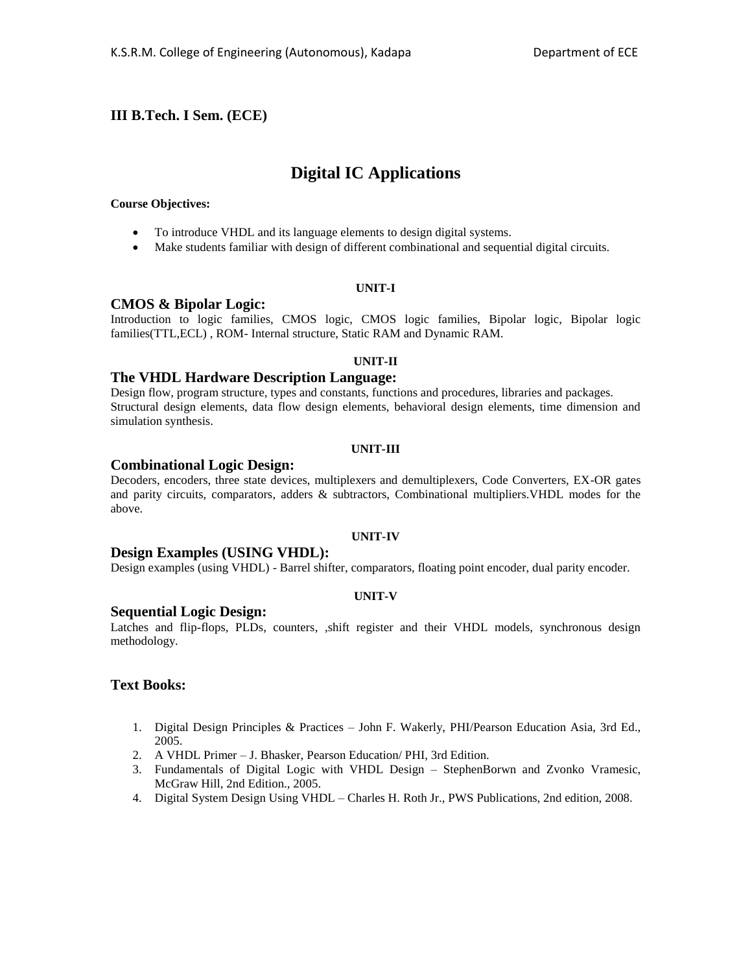# **Digital IC Applications**

#### **Course Objectives:**

- To introduce VHDL and its language elements to design digital systems.
- Make students familiar with design of different combinational and sequential digital circuits.

#### **UNIT-I**

## **CMOS & Bipolar Logic:**

Introduction to logic families, CMOS logic, CMOS logic families, Bipolar logic, Bipolar logic families(TTL,ECL) , ROM- Internal structure, Static RAM and Dynamic RAM.

### **UNIT-II**

### **The VHDL Hardware Description Language:**

Design flow, program structure, types and constants, functions and procedures, libraries and packages. Structural design elements, data flow design elements, behavioral design elements, time dimension and simulation synthesis.

### **UNIT-III**

### **Combinational Logic Design:**

Decoders, encoders, three state devices, multiplexers and demultiplexers, Code Converters, EX-OR gates and parity circuits, comparators, adders & subtractors, Combinational multipliers.VHDL modes for the above.

### **UNIT-IV**

### **Design Examples (USING VHDL):**

Design examples (using VHDL) - Barrel shifter, comparators, floating point encoder, dual parity encoder.

#### **UNIT-V**

## **Sequential Logic Design:**

Latches and flip-flops, PLDs, counters, , shift register and their VHDL models, synchronous design methodology.

## **Text Books:**

- 1. Digital Design Principles & Practices John F. Wakerly, PHI/Pearson Education Asia, 3rd Ed., 2005.
- 2. A VHDL Primer J. Bhasker, Pearson Education/ PHI, 3rd Edition.
- 3. Fundamentals of Digital Logic with VHDL Design StephenBorwn and Zvonko Vramesic, McGraw Hill, 2nd Edition., 2005.
- 4. Digital System Design Using VHDL Charles H. Roth Jr., PWS Publications, 2nd edition, 2008.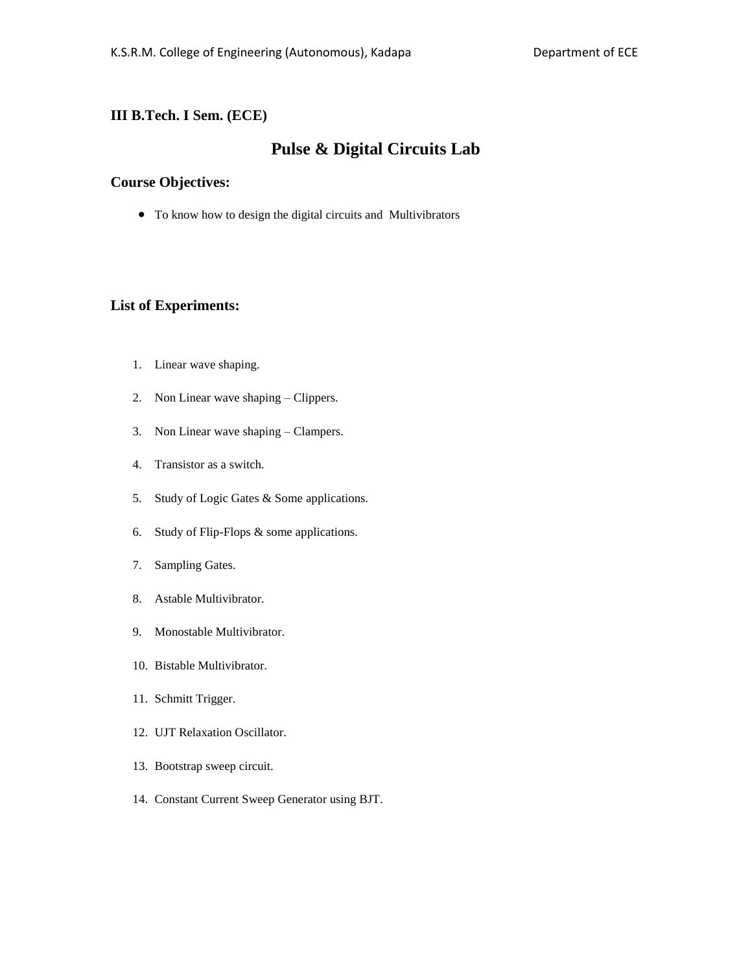# **Pulse & Digital Circuits Lab**

## **Course Objectives:**

To know how to design the digital circuits and Multivibrators

## **List of Experiments:**

- 1. Linear wave shaping.
- 2. Non Linear wave shaping Clippers.
- 3. Non Linear wave shaping Clampers.
- 4. Transistor as a switch.
- 5. Study of Logic Gates & Some applications.
- 6. Study of Flip-Flops & some applications.
- 7. Sampling Gates.
- 8. Astable Multivibrator.
- 9. Monostable Multivibrator.
- 10. Bistable Multivibrator.
- 11. Schmitt Trigger.
- 12. UJT Relaxation Oscillator.
- 13. Bootstrap sweep circuit.
- 14. Constant Current Sweep Generator using BJT.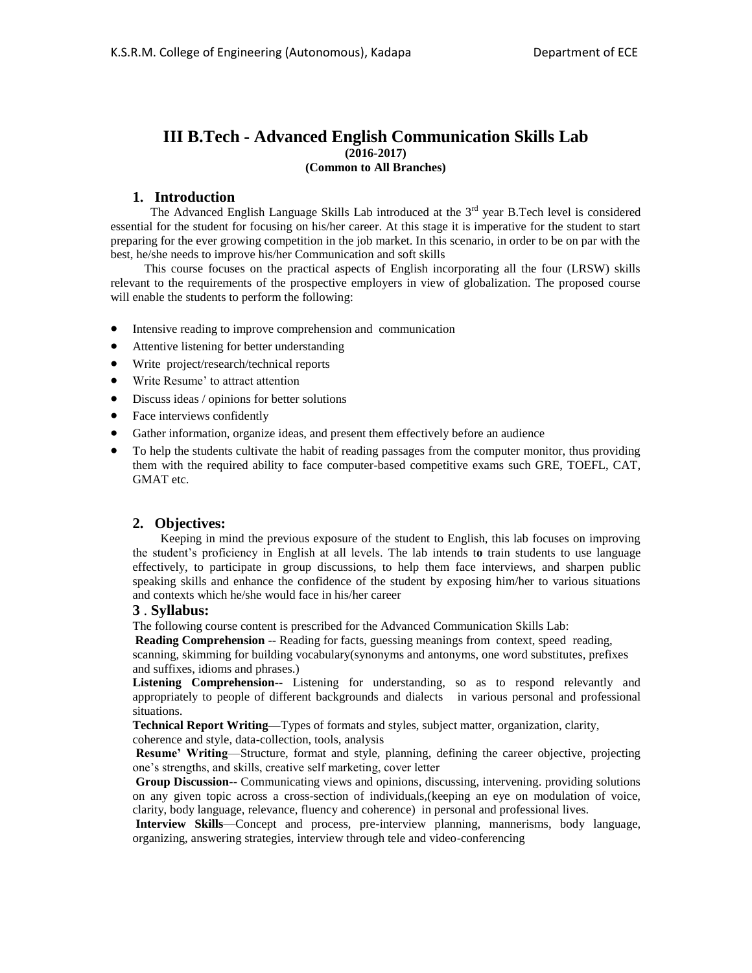## **III B.Tech - Advanced English Communication Skills Lab (2016-2017) (Common to All Branches)**

### **1. Introduction**

The Advanced English Language Skills Lab introduced at the  $3<sup>rd</sup>$  year B.Tech level is considered essential for the student for focusing on his/her career. At this stage it is imperative for the student to start preparing for the ever growing competition in the job market. In this scenario, in order to be on par with the best, he/she needs to improve his/her Communication and soft skills

 This course focuses on the practical aspects of English incorporating all the four (LRSW) skills relevant to the requirements of the prospective employers in view of globalization. The proposed course will enable the students to perform the following:

- Intensive reading to improve comprehension and communication
- Attentive listening for better understanding
- Write project/research/technical reports
- Write Resume' to attract attention
- Discuss ideas / opinions for better solutions
- Face interviews confidently
- Gather information, organize ideas, and present them effectively before an audience
- To help the students cultivate the habit of reading passages from the computer monitor, thus providing them with the required ability to face computer-based competitive exams such GRE, TOEFL, CAT, GMAT etc.

### **2. Objectives:**

 Keeping in mind the previous exposure of the student to English, this lab focuses on improving the student's proficiency in English at all levels. The lab intends t**o** train students to use language effectively, to participate in group discussions, to help them face interviews, and sharpen public speaking skills and enhance the confidence of the student by exposing him/her to various situations and contexts which he/she would face in his/her career

#### **3** . **Syllabus:**

The following course content is prescribed for the Advanced Communication Skills Lab:

**Reading Comprehension** -- Reading for facts, guessing meanings from context, speed reading, scanning, skimming for building vocabulary(synonyms and antonyms, one word substitutes, prefixes and suffixes, idioms and phrases.)

**Listening Comprehension**-- Listening for understanding, so as to respond relevantly and appropriately to people of different backgrounds and dialects in various personal and professional situations.

**Technical Report Writing—**Types of formats and styles, subject matter, organization, clarity, coherence and style, data-collection, tools, analysis

**Resume' Writing**—Structure, format and style, planning, defining the career objective, projecting one's strengths, and skills, creative self marketing, cover letter

**Group Discussion**-- Communicating views and opinions, discussing, intervening. providing solutions on any given topic across a cross-section of individuals,(keeping an eye on modulation of voice, clarity, body language, relevance, fluency and coherence) in personal and professional lives.

**Interview Skills**—Concept and process, pre-interview planning, mannerisms, body language, organizing, answering strategies, interview through tele and video-conferencing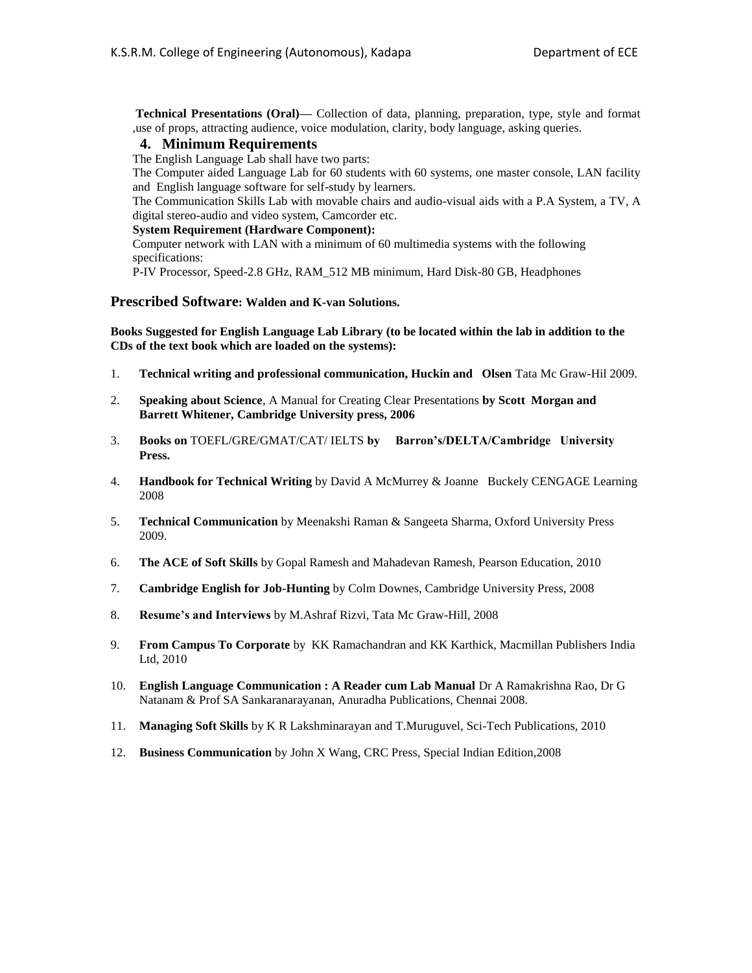**Technical Presentations (Oral)—** Collection of data, planning, preparation, type, style and format ,use of props, attracting audience, voice modulation, clarity, body language, asking queries.

### **4. Minimum Requirements**

The English Language Lab shall have two parts:

The Computer aided Language Lab for 60 students with 60 systems, one master console, LAN facility and English language software for self-study by learners.

The Communication Skills Lab with movable chairs and audio-visual aids with a P.A System, a TV, A digital stereo-audio and video system, Camcorder etc.

#### **System Requirement (Hardware Component):**

Computer network with LAN with a minimum of 60 multimedia systems with the following specifications:

P-IV Processor, Speed-2.8 GHz, RAM\_512 MB minimum, Hard Disk-80 GB, Headphones

### **Prescribed Software: Walden and K-van Solutions.**

**Books Suggested for English Language Lab Library (to be located within the lab in addition to the CDs of the text book which are loaded on the systems):**

- 1. **Technical writing and professional communication, Huckin and Olsen** Tata Mc Graw-Hil 2009.
- 2. **Speaking about Science**, A Manual for Creating Clear Presentations **by Scott Morgan and Barrett Whitener, Cambridge University press, 2006**
- 3. **Books on** TOEFL/GRE/GMAT/CAT/ IELTS **by Barron's/DELTA/Cambridge University Press.**
- 4. **Handbook for Technical Writing** by David A McMurrey & Joanne Buckely CENGAGE Learning 2008
- 5. **Technical Communication** by Meenakshi Raman & Sangeeta Sharma, Oxford University Press 2009.
- 6. **The ACE of Soft Skills** by Gopal Ramesh and Mahadevan Ramesh, Pearson Education, 2010
- 7. **Cambridge English for Job-Hunting** by Colm Downes, Cambridge University Press, 2008
- 8. **Resume's and Interviews** by M.Ashraf Rizvi, Tata Mc Graw-Hill, 2008
- 9. **From Campus To Corporate** by KK Ramachandran and KK Karthick, Macmillan Publishers India Ltd, 2010
- 10. **English Language Communication : A Reader cum Lab Manual** Dr A Ramakrishna Rao, Dr G Natanam & Prof SA Sankaranarayanan, Anuradha Publications, Chennai 2008.
- 11. **Managing Soft Skills** by K R Lakshminarayan and T.Muruguvel, Sci-Tech Publications, 2010
- 12. **Business Communication** by John X Wang, CRC Press, Special Indian Edition,2008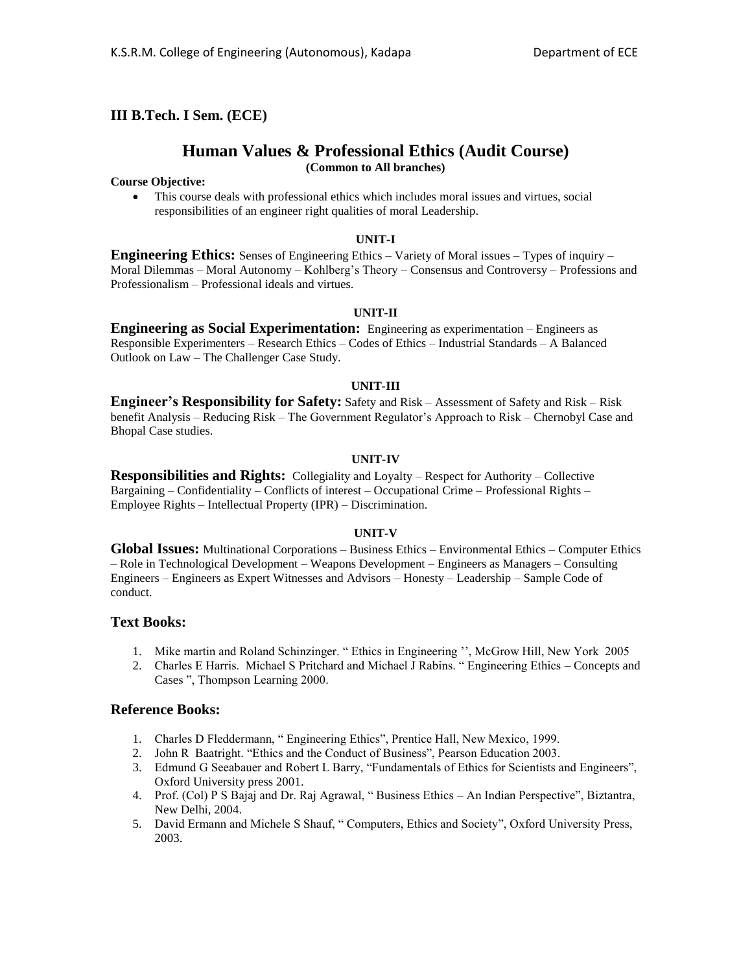## **Human Values & Professional Ethics (Audit Course) (Common to All branches)**

### **Course Objective:**

 This course deals with professional ethics which includes moral issues and virtues, social responsibilities of an engineer right qualities of moral Leadership.

### **UNIT-I**

**Engineering Ethics:** Senses of Engineering Ethics – Variety of Moral issues – Types of inquiry – Moral Dilemmas – Moral Autonomy – Kohlberg's Theory – Consensus and Controversy – Professions and Professionalism – Professional ideals and virtues.

### **UNIT-II**

**Engineering as Social Experimentation:** Engineering as experimentation – Engineers as Responsible Experimenters – Research Ethics – Codes of Ethics – Industrial Standards – A Balanced Outlook on Law – The Challenger Case Study.

#### **UNIT-III**

**Engineer's Responsibility for Safety:** Safety and Risk – Assessment of Safety and Risk – Risk benefit Analysis – Reducing Risk – The Government Regulator's Approach to Risk – Chernobyl Case and Bhopal Case studies.

### **UNIT-IV**

**Responsibilities and Rights:** Collegiality and Loyalty – Respect for Authority – Collective Bargaining – Confidentiality – Conflicts of interest – Occupational Crime – Professional Rights – Employee Rights – Intellectual Property (IPR) – Discrimination.

### **UNIT-V**

**Global Issues:** Multinational Corporations – Business Ethics – Environmental Ethics – Computer Ethics – Role in Technological Development – Weapons Development – Engineers as Managers – Consulting Engineers – Engineers as Expert Witnesses and Advisors – Honesty – Leadership – Sample Code of conduct.

## **Text Books:**

- 1. Mike martin and Roland Schinzinger. " Ethics in Engineering '', McGrow Hill, New York 2005
- 2. Charles E Harris. Michael S Pritchard and Michael J Rabins. " Engineering Ethics Concepts and Cases ", Thompson Learning 2000.

- 1. Charles D Fleddermann, " Engineering Ethics", Prentice Hall, New Mexico, 1999.
- 2. John R Baatright. "Ethics and the Conduct of Business", Pearson Education 2003.
- 3. Edmund G Seeabauer and Robert L Barry, "Fundamentals of Ethics for Scientists and Engineers", Oxford University press 2001.
- 4. Prof. (Col) P S Bajaj and Dr. Raj Agrawal, " Business Ethics An Indian Perspective", Biztantra, New Delhi, 2004.
- 5. David Ermann and Michele S Shauf, " Computers, Ethics and Society", Oxford University Press, 2003.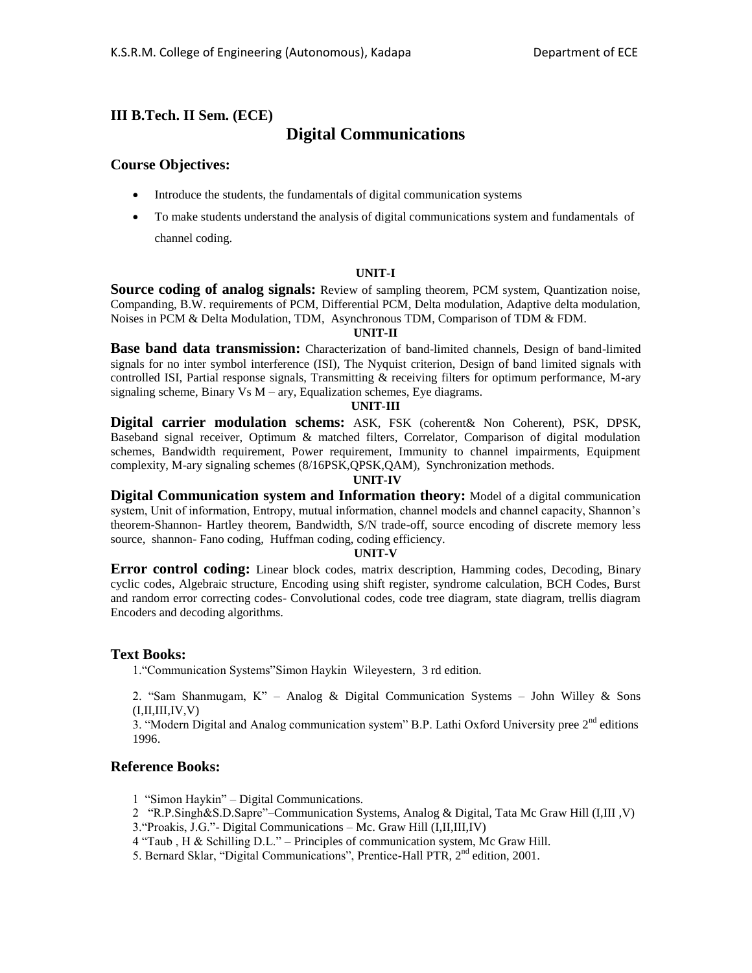# **Digital Communications**

# **Course Objectives:**

- Introduce the students, the fundamentals of digital communication systems
- To make students understand the analysis of digital communications system and fundamentals of channel coding.

### **UNIT-I**

**Source coding of analog signals:** Review of sampling theorem, PCM system, Quantization noise, Companding, B.W. requirements of PCM, Differential PCM, Delta modulation, Adaptive delta modulation, Noises in PCM & Delta Modulation, TDM, Asynchronous TDM, Comparison of TDM & FDM.

### **UNIT-II**

**Base band data transmission:** Characterization of band-limited channels, Design of band-limited signals for no inter symbol interference (ISI), The Nyquist criterion, Design of band limited signals with controlled ISI, Partial response signals, Transmitting & receiving filters for optimum performance, M-ary signaling scheme, Binary Vs  $M - ary$ , Equalization schemes, Eye diagrams.

### **UNIT-III**

**Digital carrier modulation schems:** ASK, FSK (coherent& Non Coherent), PSK, DPSK, Baseband signal receiver, Optimum & matched filters, Correlator, Comparison of digital modulation schemes, Bandwidth requirement, Power requirement, Immunity to channel impairments, Equipment complexity, M-ary signaling schemes (8/16PSK,QPSK,QAM), Synchronization methods.

### **UNIT-IV**

**Digital Communication system and Information theory:** Model of a digital communication system, Unit of information, Entropy, mutual information, channel models and channel capacity, Shannon's theorem-Shannon- Hartley theorem, Bandwidth, S/N trade-off, source encoding of discrete memory less source, shannon- Fano coding, Huffman coding, coding efficiency.

### **UNIT-V**

**Error control coding:** Linear block codes, matrix description, Hamming codes, Decoding, Binary cyclic codes, Algebraic structure, Encoding using shift register, syndrome calculation, BCH Codes, Burst and random error correcting codes- Convolutional codes, code tree diagram, state diagram, trellis diagram Encoders and decoding algorithms.

# **Text Books:**

1."Communication Systems"Simon Haykin Wileyestern, 3 rd edition.

2. "Sam Shanmugam, K" – Analog & Digital Communication Systems – John Willey & Sons  $(I, II, III, IV, V)$ 

3. "Modern Digital and Analog communication system" B.P. Lathi Oxford University pree  $2<sup>nd</sup>$  editions 1996.

# **Reference Books:**

1 "Simon Haykin" – Digital Communications.

2 "R.P.Singh&S.D.Sapre"–Communication Systems, Analog & Digital, Tata Mc Graw Hill (I,III ,V)

3."Proakis, J.G."- Digital Communications – Mc. Graw Hill (I,II,III,IV)

4 "Taub , H & Schilling D.L." – Principles of communication system, Mc Graw Hill.

5. Bernard Sklar, "Digital Communications", Prentice-Hall PTR, 2<sup>nd</sup> edition, 2001.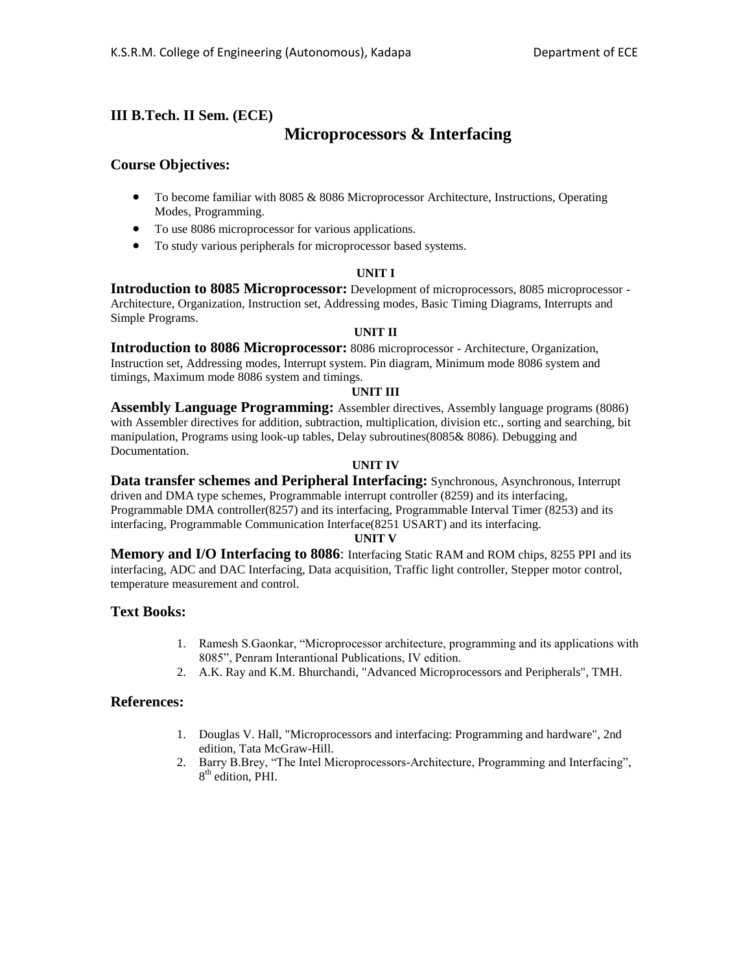# **Microprocessors & Interfacing**

# **Course Objectives:**

- To become familiar with 8085 & 8086 Microprocessor Architecture, Instructions, Operating Modes, Programming.
- To use 8086 microprocessor for various applications.
- To study various peripherals for microprocessor based systems.

### **UNIT I**

**Introduction to 8085 Microprocessor:** Development of microprocessors, 8085 microprocessor - Architecture, Organization, Instruction set, Addressing modes, Basic Timing Diagrams, Interrupts and Simple Programs.

### **UNIT II**

**Introduction to 8086 Microprocessor:** 8086 microprocessor - Architecture, Organization, Instruction set, Addressing modes, Interrupt system. Pin diagram, Minimum mode 8086 system and timings, Maximum mode 8086 system and timings.

### **UNIT III**

**Assembly Language Programming:** Assembler directives, Assembly language programs (8086) with Assembler directives for addition, subtraction, multiplication, division etc., sorting and searching, bit manipulation, Programs using look-up tables, Delay subroutines(8085& 8086). Debugging and Documentation.

### **UNIT IV**

**Data transfer schemes and Peripheral Interfacing:** Synchronous, Asynchronous, Interrupt driven and DMA type schemes, Programmable interrupt controller (8259) and its interfacing,

Programmable DMA controller(8257) and its interfacing, Programmable Interval Timer (8253) and its interfacing, Programmable Communication Interface(8251 USART) and its interfacing.

### **UNIT V**

**Memory and I/O Interfacing to 8086**: Interfacing Static RAM and ROM chips, 8255 PPI and its interfacing, ADC and DAC Interfacing, Data acquisition, Traffic light controller, Stepper motor control, temperature measurement and control.

# **Text Books:**

- 1. Ramesh S.Gaonkar, "Microprocessor architecture, programming and its applications with 8085", Penram Interantional Publications, IV edition.
- 2. A.K. Ray and K.M. Bhurchandi, "Advanced Microprocessors and Peripherals", TMH.

# **References:**

- 1. Douglas V. Hall, "Microprocessors and interfacing: Programming and hardware", 2nd edition, Tata McGraw-Hill.
- 2. Barry B.Brey, "The Intel Microprocessors-Architecture, Programming and Interfacing", 8<sup>th</sup> edition, PHI.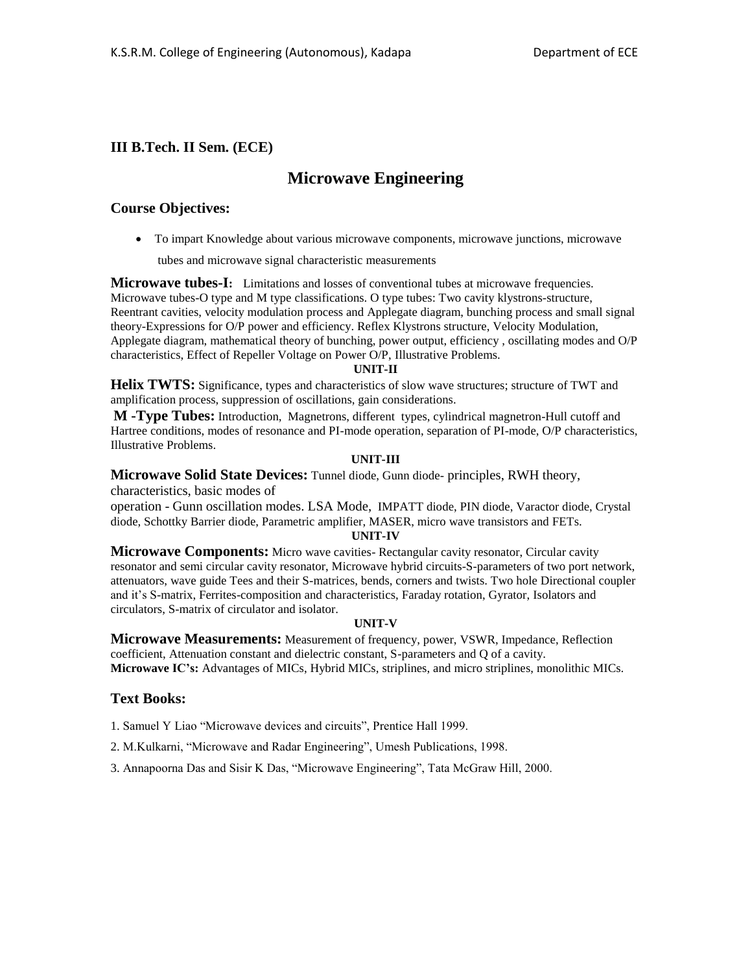# **Microwave Engineering**

### **Course Objectives:**

To impart Knowledge about various microwave components, microwave junctions, microwave

tubes and microwave signal characteristic measurements

**Microwave tubes-I:** Limitations and losses of conventional tubes at microwave frequencies. Microwave tubes-O type and M type classifications. O type tubes: Two cavity klystrons-structure, Reentrant cavities, velocity modulation process and Applegate diagram, bunching process and small signal theory-Expressions for O/P power and efficiency. Reflex Klystrons structure, Velocity Modulation, Applegate diagram, mathematical theory of bunching, power output, efficiency , oscillating modes and O/P characteristics, Effect of Repeller Voltage on Power O/P, Illustrative Problems.

### **UNIT-II**

**Helix TWTS:** Significance, types and characteristics of slow wave structures; structure of TWT and amplification process, suppression of oscillations, gain considerations.

**M -Type Tubes:** Introduction, Magnetrons, different types, cylindrical magnetron-Hull cutoff and Hartree conditions, modes of resonance and PI-mode operation, separation of PI-mode, O/P characteristics, Illustrative Problems.

### **UNIT-III**

**Microwave Solid State Devices:** Tunnel diode, Gunn diode- principles, RWH theory, characteristics, basic modes of

operation - Gunn oscillation modes. LSA Mode, IMPATT diode, PIN diode, Varactor diode, Crystal diode, Schottky Barrier diode, Parametric amplifier, MASER, micro wave transistors and FETs.

### **UNIT-IV**

**Microwave Components:** Micro wave cavities- Rectangular cavity resonator, Circular cavity resonator and semi circular cavity resonator, Microwave hybrid circuits-S-parameters of two port network, attenuators, wave guide Tees and their S-matrices, bends, corners and twists. Two hole Directional coupler and it's S-matrix, Ferrites-composition and characteristics, Faraday rotation, Gyrator, Isolators and circulators, S-matrix of circulator and isolator.

### **UNIT-V**

**Microwave Measurements:** Measurement of frequency, power, VSWR, Impedance, Reflection coefficient, Attenuation constant and dielectric constant, S-parameters and Q of a cavity. **Microwave IC's:** Advantages of MICs, Hybrid MICs, striplines, and micro striplines, monolithic MICs.

### **Text Books:**

1. Samuel Y Liao "Microwave devices and circuits", Prentice Hall 1999.

2. M.Kulkarni, "Microwave and Radar Engineering", Umesh Publications, 1998.

3. Annapoorna Das and Sisir K Das, "Microwave Engineering", Tata McGraw Hill, 2000.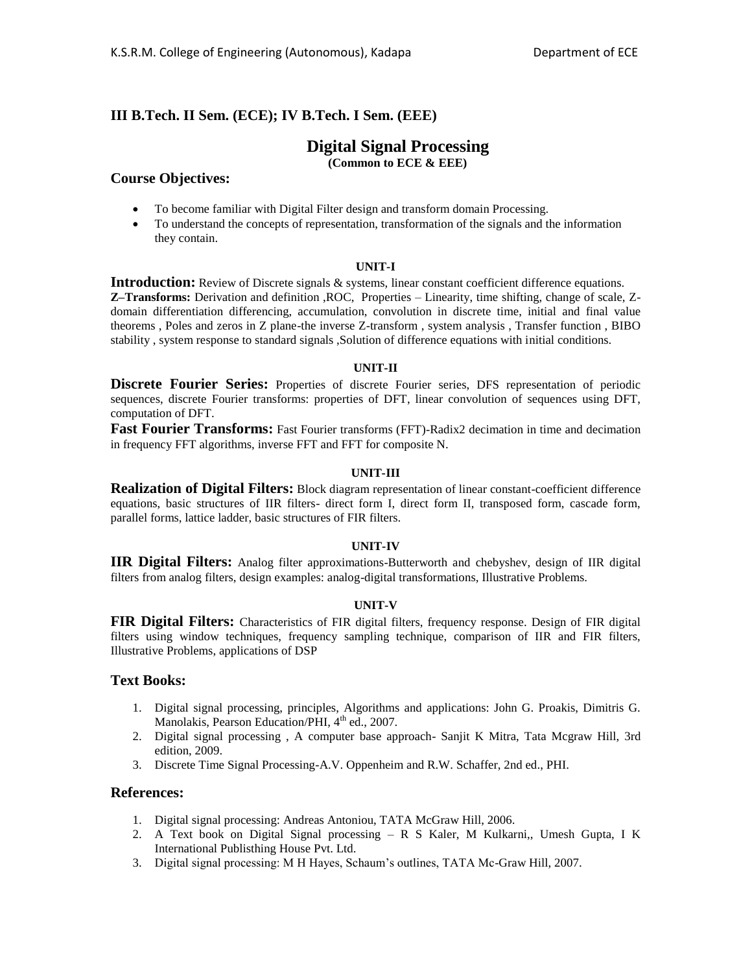# **III B.Tech. II Sem. (ECE); IV B.Tech. I Sem. (EEE)**

# **Digital Signal Processing (Common to ECE & EEE)**

## **Course Objectives:**

- To become familiar with Digital Filter design and transform domain Processing.
- To understand the concepts of representation, transformation of the signals and the information they contain.

### **UNIT-I**

**Introduction:** Review of Discrete signals & systems, linear constant coefficient difference equations. **Z–Transforms:** Derivation and definition ,ROC, Properties – Linearity, time shifting, change of scale, Zdomain differentiation differencing, accumulation, convolution in discrete time, initial and final value theorems , Poles and zeros in Z plane-the inverse Z-transform , system analysis , Transfer function , BIBO stability , system response to standard signals ,Solution of difference equations with initial conditions.

### **UNIT-II**

**Discrete Fourier Series:** Properties of discrete Fourier series, DFS representation of periodic sequences, discrete Fourier transforms: properties of DFT, linear convolution of sequences using DFT, computation of DFT.

**Fast Fourier Transforms:** Fast Fourier transforms (FFT)-Radix2 decimation in time and decimation in frequency FFT algorithms, inverse FFT and FFT for composite N.

### **UNIT-III**

**Realization of Digital Filters:** Block diagram representation of linear constant-coefficient difference equations, basic structures of IIR filters- direct form I, direct form II, transposed form, cascade form, parallel forms, lattice ladder, basic structures of FIR filters.

### **UNIT-IV**

**IIR Digital Filters:** Analog filter approximations-Butterworth and chebyshev, design of IIR digital filters from analog filters, design examples: analog-digital transformations, Illustrative Problems.

### **UNIT-V**

**FIR Digital Filters:** Characteristics of FIR digital filters, frequency response. Design of FIR digital filters using window techniques, frequency sampling technique, comparison of IIR and FIR filters, Illustrative Problems, applications of DSP

# **Text Books:**

- 1. Digital signal processing, principles, Algorithms and applications: John G. Proakis, Dimitris G. Manolakis, Pearson Education/PHI,  $4<sup>th</sup>$  ed., 2007.
- 2. Digital signal processing , A computer base approach- Sanjit K Mitra, Tata Mcgraw Hill, 3rd edition, 2009.
- 3. Discrete Time Signal Processing-A.V. Oppenheim and R.W. Schaffer, 2nd ed., PHI.

### **References:**

- 1. Digital signal processing: Andreas Antoniou, TATA McGraw Hill, 2006.
- 2. A Text book on Digital Signal processing R S Kaler, M Kulkarni,, Umesh Gupta, I K International Publisthing House Pvt. Ltd.
- 3. Digital signal processing: M H Hayes, Schaum's outlines, TATA Mc-Graw Hill, 2007.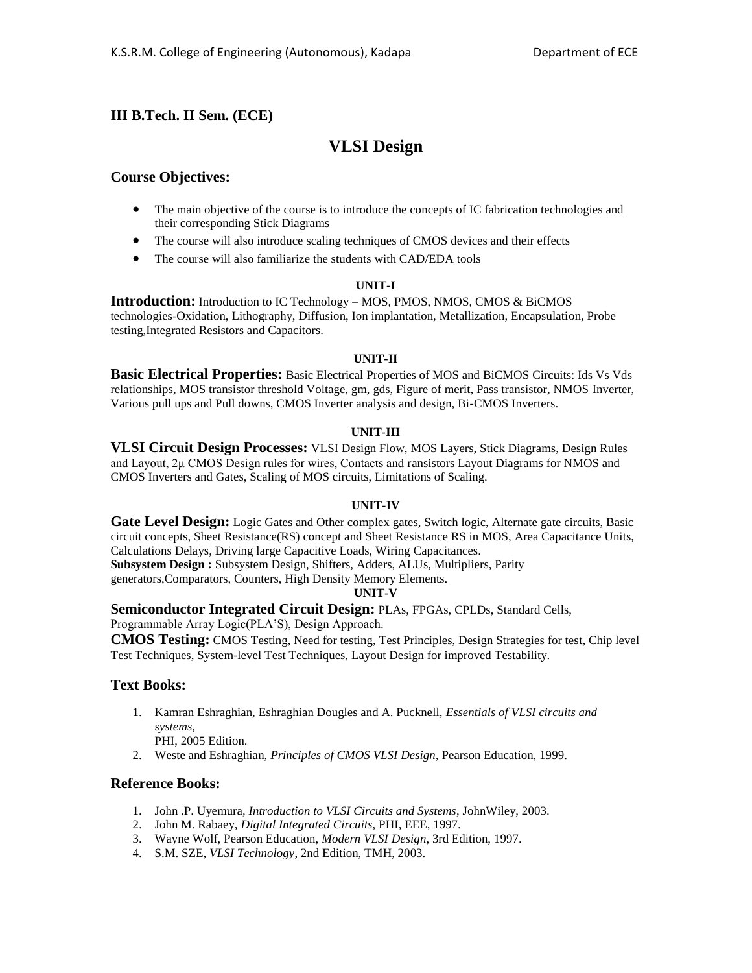# **VLSI Design**

# **Course Objectives:**

- The main objective of the course is to introduce the concepts of IC fabrication technologies and their corresponding Stick Diagrams
- The course will also introduce scaling techniques of CMOS devices and their effects
- The course will also familiarize the students with CAD/EDA tools

### **UNIT-I**

**Introduction:** Introduction to IC Technology – MOS, PMOS, NMOS, CMOS & BiCMOS technologies-Oxidation, Lithography, Diffusion, Ion implantation, Metallization, Encapsulation, Probe testing,Integrated Resistors and Capacitors.

### **UNIT-II**

**Basic Electrical Properties:** Basic Electrical Properties of MOS and BiCMOS Circuits: Ids Vs Vds relationships, MOS transistor threshold Voltage, gm, gds, Figure of merit, Pass transistor, NMOS Inverter, Various pull ups and Pull downs, CMOS Inverter analysis and design, Bi-CMOS Inverters.

### **UNIT-III**

**VLSI Circuit Design Processes:** VLSI Design Flow, MOS Layers, Stick Diagrams, Design Rules and Layout, 2μ CMOS Design rules for wires, Contacts and ransistors Layout Diagrams for NMOS and CMOS Inverters and Gates, Scaling of MOS circuits, Limitations of Scaling.

### **UNIT-IV**

**Gate Level Design:** Logic Gates and Other complex gates, Switch logic, Alternate gate circuits, Basic circuit concepts, Sheet Resistance(RS) concept and Sheet Resistance RS in MOS, Area Capacitance Units, Calculations Delays, Driving large Capacitive Loads, Wiring Capacitances. **Subsystem Design :** Subsystem Design, Shifters, Adders, ALUs, Multipliers, Parity generators,Comparators, Counters, High Density Memory Elements.

### **UNIT-V**

**Semiconductor Integrated Circuit Design:** PLAs, FPGAs, CPLDs, Standard Cells,

Programmable Array Logic(PLA'S), Design Approach.

**CMOS Testing:** CMOS Testing, Need for testing, Test Principles, Design Strategies for test, Chip level Test Techniques, System-level Test Techniques, Layout Design for improved Testability.

# **Text Books:**

1. Kamran Eshraghian, Eshraghian Dougles and A. Pucknell, *Essentials of VLSI circuits and systems*,

PHI, 2005 Edition.

2. Weste and Eshraghian, *Principles of CMOS VLSI Design*, Pearson Education, 1999.

- 1. John .P. Uyemura*, Introduction to VLSI Circuits and Systems*, JohnWiley, 2003.
- 2. John M. Rabaey, *Digital Integrated Circuits*, PHI, EEE, 1997.
- 3. Wayne Wolf, Pearson Education, *Modern VLSI Design*, 3rd Edition, 1997.
- 4. S.M. SZE, *VLSI Technology*, 2nd Edition, TMH, 2003.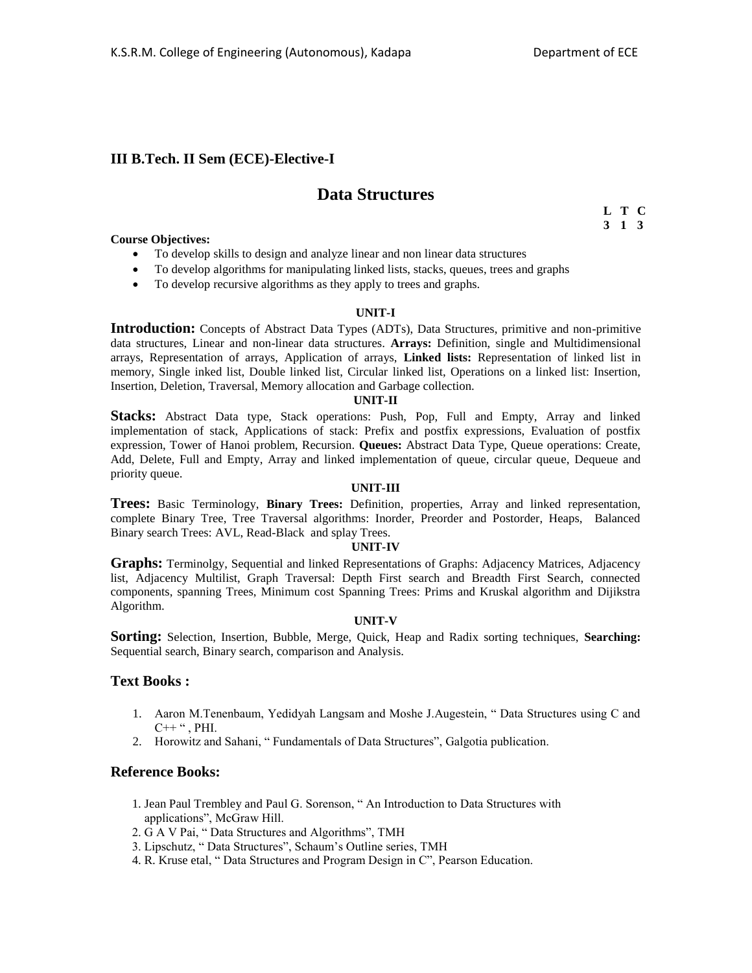# **III B.Tech. II Sem (ECE)-Elective-I**

# **Data Structures**

#### **Course Objectives:**

- **L T C 3 1 3**
- To develop skills to design and analyze linear and non linear data structures
- To develop algorithms for manipulating linked lists, stacks, queues, trees and graphs
- To develop recursive algorithms as they apply to trees and graphs.

### **UNIT-I**

**Introduction:** Concepts of Abstract Data Types (ADTs), Data Structures, primitive and non-primitive data structures, Linear and non-linear data structures. **Arrays:** Definition, single and Multidimensional arrays, Representation of arrays, Application of arrays, **Linked lists:** Representation of linked list in memory, Single inked list, Double linked list, Circular linked list, Operations on a linked list: Insertion, Insertion, Deletion, Traversal, Memory allocation and Garbage collection.

### **UNIT-II**

**Stacks:** Abstract Data type, Stack operations: Push, Pop, Full and Empty, Array and linked implementation of stack, Applications of stack: Prefix and postfix expressions, Evaluation of postfix expression, Tower of Hanoi problem, Recursion. **Queues:** Abstract Data Type, Queue operations: Create, Add, Delete, Full and Empty, Array and linked implementation of queue, circular queue, Dequeue and priority queue.

#### **UNIT-III**

**Trees:** Basic Terminology, **Binary Trees:** Definition, properties, Array and linked representation, complete Binary Tree, Tree Traversal algorithms: Inorder, Preorder and Postorder, Heaps, Balanced Binary search Trees: AVL, Read-Black and splay Trees.

### **UNIT-IV**

**Graphs:** Terminolgy, Sequential and linked Representations of Graphs: Adjacency Matrices, Adjacency list, Adjacency Multilist, Graph Traversal: Depth First search and Breadth First Search, connected components, spanning Trees, Minimum cost Spanning Trees: Prims and Kruskal algorithm and Dijikstra Algorithm.

### **UNIT-V**

**Sorting:** Selection, Insertion, Bubble, Merge, Quick, Heap and Radix sorting techniques, **Searching:** Sequential search, Binary search, comparison and Analysis.

## **Text Books :**

- 1. Aaron M.Tenenbaum, Yedidyah Langsam and Moshe J.Augestein, " Data Structures using C and  $C++$  ", PHI.
- 2. Horowitz and Sahani, " Fundamentals of Data Structures", Galgotia publication.

- 1. Jean Paul Trembley and Paul G. Sorenson, " An Introduction to Data Structures with applications", McGraw Hill.
- 2. G A V Pai, " Data Structures and Algorithms", TMH
- 3. Lipschutz, " Data Structures", Schaum's Outline series, TMH
- 4. R. Kruse etal, " Data Structures and Program Design in C", Pearson Education.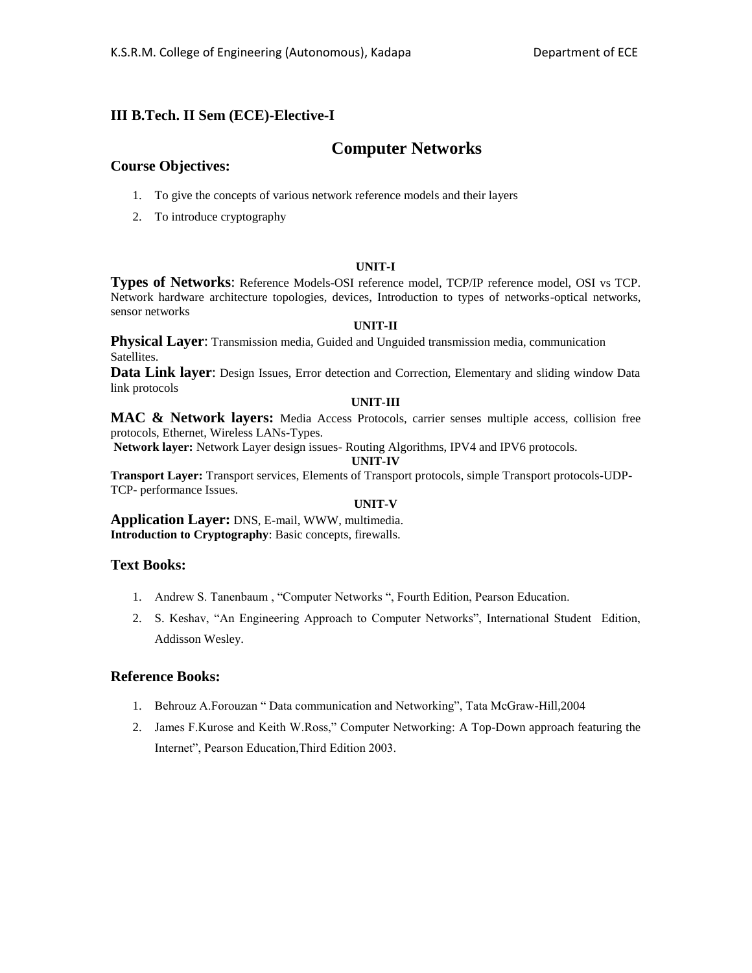# **III B.Tech. II Sem (ECE)-Elective-I**

# **Computer Networks**

## **Course Objectives:**

- 1. To give the concepts of various network reference models and their layers
- 2. To introduce cryptography

### **UNIT-I**

**Types of Networks**: Reference Models-OSI reference model, TCP/IP reference model, OSI vs TCP. Network hardware architecture topologies, devices, Introduction to types of networks-optical networks, sensor networks

### **UNIT-II**

**Physical Layer**: Transmission media, Guided and Unguided transmission media, communication Satellites.

**Data Link layer**: Design Issues, Error detection and Correction, Elementary and sliding window Data link protocols

### **UNIT-III**

**MAC & Network layers:** Media Access Protocols, carrier senses multiple access, collision free protocols, Ethernet, Wireless LANs-Types.

**Network layer:** Network Layer design issues- Routing Algorithms, IPV4 and IPV6 protocols.

**UNIT-IV**

**Transport Layer:** Transport services, Elements of Transport protocols, simple Transport protocols-UDP-TCP- performance Issues.

### **UNIT-V**

**Application Layer:** DNS, E-mail, WWW, multimedia. **Introduction to Cryptography**: Basic concepts, firewalls.

# **Text Books:**

- 1. Andrew S. Tanenbaum , "Computer Networks ", Fourth Edition, Pearson Education.
- 2. S. Keshav, "An Engineering Approach to Computer Networks", International Student Edition, Addisson Wesley.

- 1. Behrouz A.Forouzan " Data communication and Networking", Tata McGraw-Hill,2004
- 2. James F.Kurose and Keith W.Ross," Computer Networking: A Top-Down approach featuring the Internet", Pearson Education,Third Edition 2003.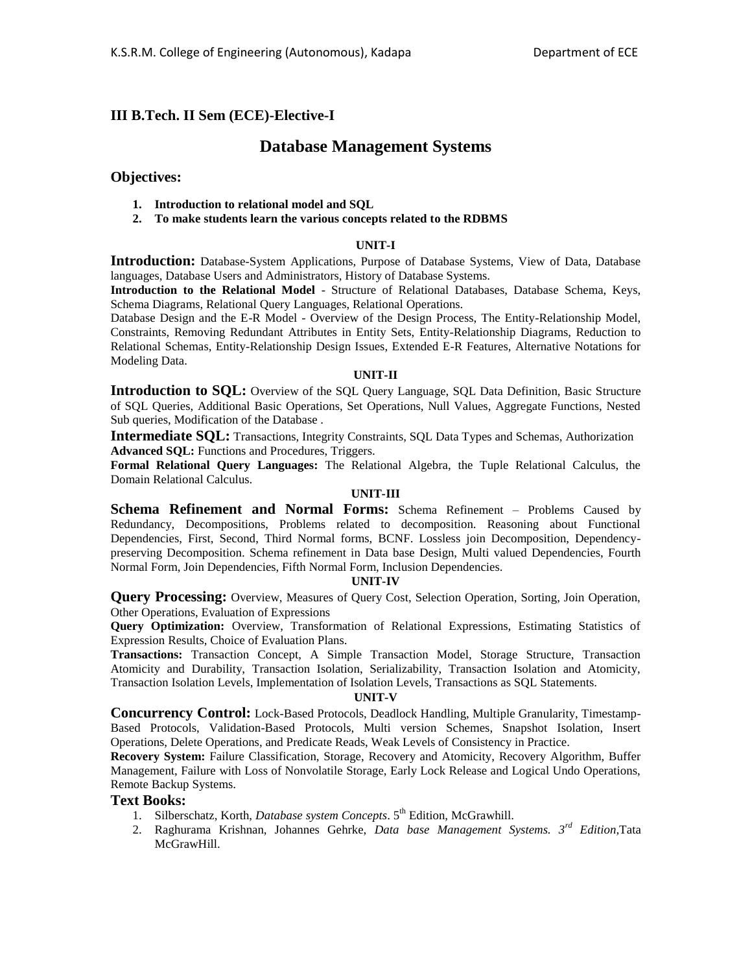# **III B.Tech. II Sem (ECE)-Elective-I**

# **Database Management Systems**

**Objectives:**

- **1. Introduction to relational model and SQL**
- **2. To make students learn the various concepts related to the RDBMS**

### **UNIT-I**

**Introduction:** Database-System Applications, Purpose of Database Systems, View of Data, Database languages, Database Users and Administrators, History of Database Systems.

**Introduction to the Relational Model** - Structure of Relational Databases, Database Schema, Keys, Schema Diagrams, Relational Query Languages, Relational Operations.

Database Design and the E-R Model - Overview of the Design Process, The Entity-Relationship Model, Constraints, Removing Redundant Attributes in Entity Sets, Entity-Relationship Diagrams, Reduction to Relational Schemas, Entity-Relationship Design Issues, Extended E-R Features, Alternative Notations for Modeling Data.

### **UNIT-II**

**Introduction to SQL:** Overview of the SQL Query Language, SQL Data Definition, Basic Structure of SQL Queries, Additional Basic Operations, Set Operations, Null Values, Aggregate Functions, Nested Sub queries, Modification of the Database .

**Intermediate SQL:** Transactions, Integrity Constraints, SQL Data Types and Schemas, Authorization **Advanced SQL:** Functions and Procedures, Triggers.

**Formal Relational Query Languages:** The Relational Algebra, the Tuple Relational Calculus, the Domain Relational Calculus.

### **UNIT-III**

**Schema Refinement and Normal Forms:** Schema Refinement – Problems Caused by Redundancy, Decompositions, Problems related to decomposition. Reasoning about Functional Dependencies, First, Second, Third Normal forms, BCNF. Lossless join Decomposition, Dependencypreserving Decomposition. Schema refinement in Data base Design, Multi valued Dependencies, Fourth Normal Form, Join Dependencies, Fifth Normal Form, Inclusion Dependencies.

### **UNIT-IV**

**Query Processing:** Overview, Measures of Query Cost, Selection Operation, Sorting, Join Operation, Other Operations, Evaluation of Expressions

**Query Optimization:** Overview, Transformation of Relational Expressions, Estimating Statistics of Expression Results, Choice of Evaluation Plans.

**Transactions:** Transaction Concept, A Simple Transaction Model, Storage Structure, Transaction Atomicity and Durability, Transaction Isolation, Serializability, Transaction Isolation and Atomicity, Transaction Isolation Levels, Implementation of Isolation Levels, Transactions as SQL Statements.

### **UNIT-V**

**Concurrency Control:** Lock-Based Protocols, Deadlock Handling, Multiple Granularity, Timestamp-Based Protocols, Validation-Based Protocols, Multi version Schemes, Snapshot Isolation, Insert Operations, Delete Operations, and Predicate Reads, Weak Levels of Consistency in Practice.

**Recovery System:** Failure Classification, Storage, Recovery and Atomicity, Recovery Algorithm, Buffer Management, Failure with Loss of Nonvolatile Storage, Early Lock Release and Logical Undo Operations, Remote Backup Systems.

### **Text Books:**

- 1. Silberschatz, Korth, *Database system Concepts*. 5<sup>th</sup> Edition, McGrawhill.
- 2. Raghurama Krishnan, Johannes Gehrke, *Data base Management Systems. 3rd Edition,*Tata McGrawHill.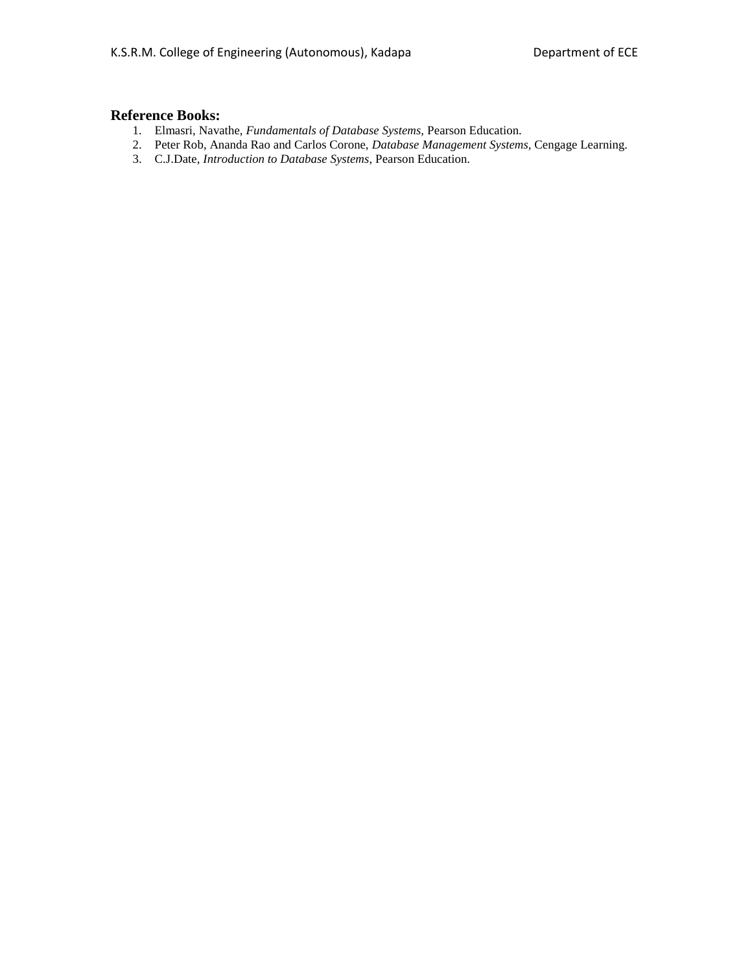- 1. Elmasri, Navathe, *Fundamentals of Database Systems,* Pearson Education.
- 2. Peter Rob, Ananda Rao and Carlos Corone, *Database Management Systems,* Cengage Learning.
- 3. C.J.Date, *Introduction to Database Systems*, Pearson Education.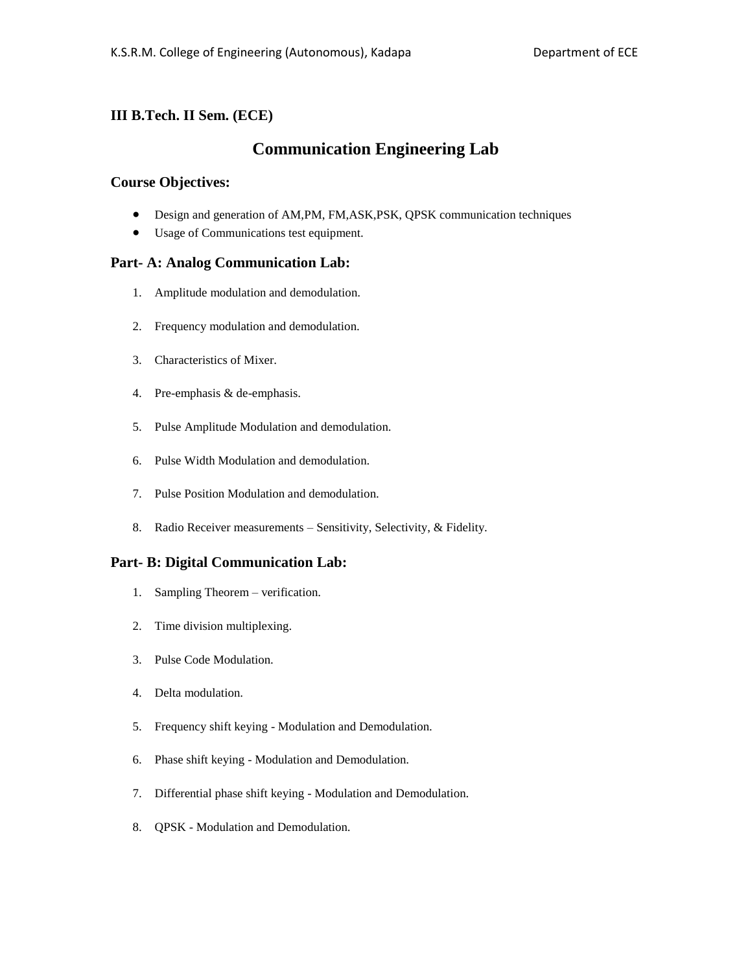# **Communication Engineering Lab**

# **Course Objectives:**

- Design and generation of AM,PM, FM,ASK,PSK, QPSK communication techniques
- Usage of Communications test equipment.

# **Part- A: Analog Communication Lab:**

- 1. Amplitude modulation and demodulation.
- 2. Frequency modulation and demodulation.
- 3. Characteristics of Mixer.
- 4. Pre-emphasis & de-emphasis.
- 5. Pulse Amplitude Modulation and demodulation.
- 6. Pulse Width Modulation and demodulation.
- 7. Pulse Position Modulation and demodulation.
- 8. Radio Receiver measurements Sensitivity, Selectivity, & Fidelity.

# **Part- B: Digital Communication Lab:**

- 1. Sampling Theorem verification.
- 2. Time division multiplexing.
- 3. Pulse Code Modulation.
- 4. Delta modulation.
- 5. Frequency shift keying Modulation and Demodulation.
- 6. Phase shift keying Modulation and Demodulation.
- 7. Differential phase shift keying Modulation and Demodulation.
- 8. QPSK Modulation and Demodulation.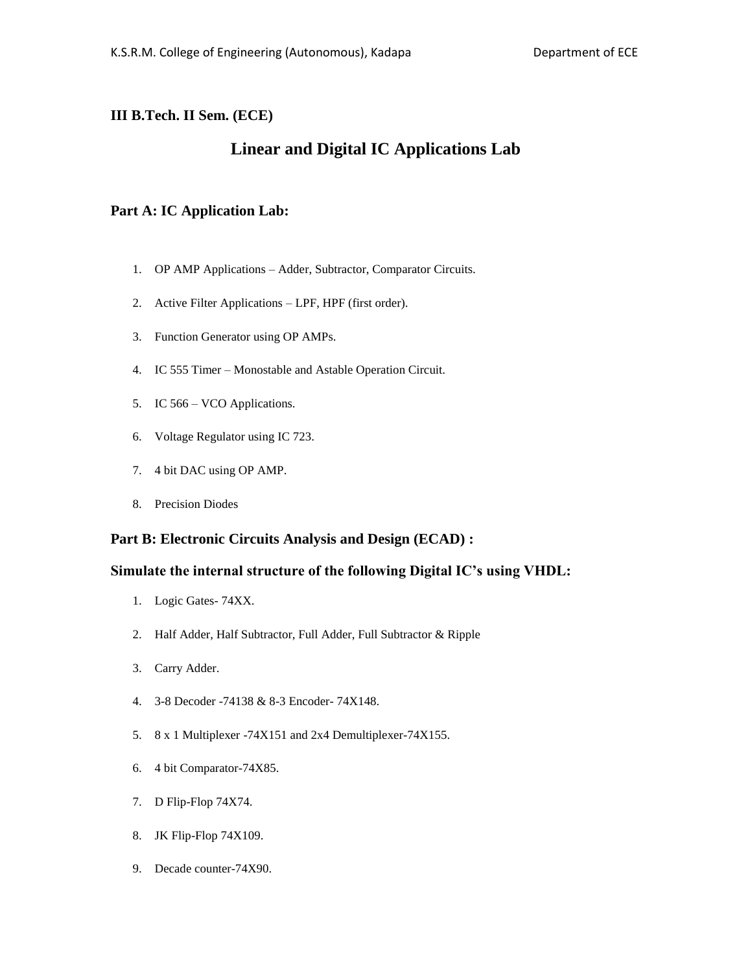# **Linear and Digital IC Applications Lab**

# **Part A: IC Application Lab:**

- 1. OP AMP Applications Adder, Subtractor, Comparator Circuits.
- 2. Active Filter Applications LPF, HPF (first order).
- 3. Function Generator using OP AMPs.
- 4. IC 555 Timer Monostable and Astable Operation Circuit.
- 5. IC 566 VCO Applications.
- 6. Voltage Regulator using IC 723.
- 7. 4 bit DAC using OP AMP.
- 8. Precision Diodes

# **Part B: Electronic Circuits Analysis and Design (ECAD) :**

# **Simulate the internal structure of the following Digital IC's using VHDL:**

- 1. Logic Gates- 74XX.
- 2. Half Adder, Half Subtractor, Full Adder, Full Subtractor & Ripple
- 3. Carry Adder.
- 4. 3-8 Decoder -74138 & 8-3 Encoder- 74X148.
- 5. 8 x 1 Multiplexer -74X151 and 2x4 Demultiplexer-74X155.
- 6. 4 bit Comparator-74X85.
- 7. D Flip-Flop 74X74.
- 8. JK Flip-Flop 74X109.
- 9. Decade counter-74X90.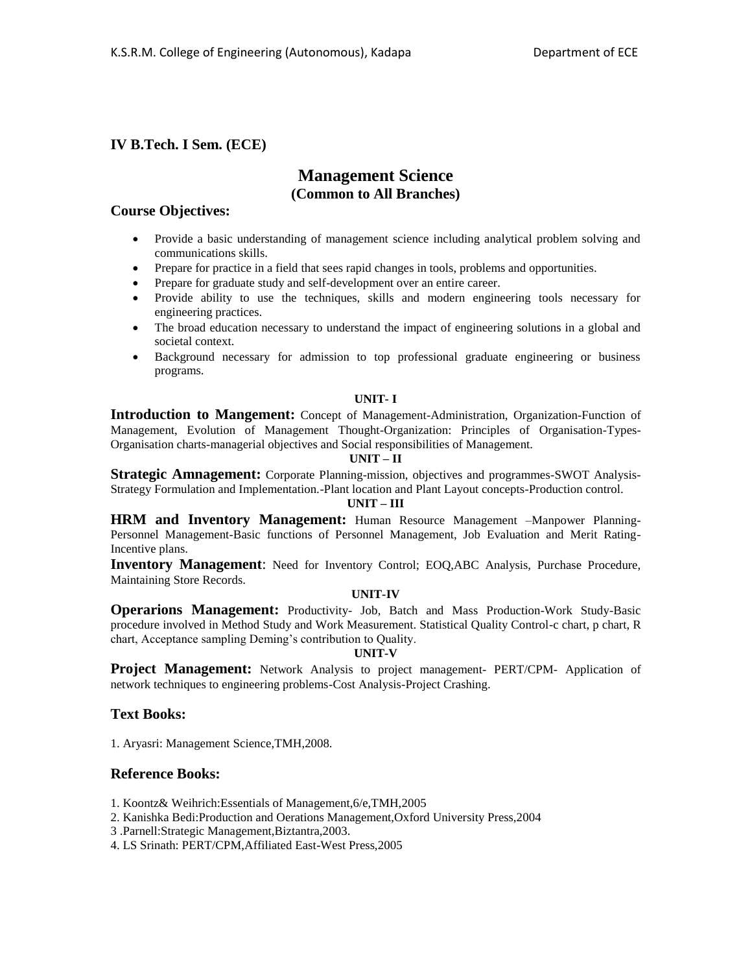# **Management Science (Common to All Branches)**

## **Course Objectives:**

- Provide a basic understanding of management science including analytical problem solving and communications skills.
- Prepare for practice in a field that sees rapid changes in tools, problems and opportunities.
- Prepare for graduate study and self-development over an entire career.
- Provide ability to use the techniques, skills and modern engineering tools necessary for engineering practices.
- The broad education necessary to understand the impact of engineering solutions in a global and societal context.
- Background necessary for admission to top professional graduate engineering or business programs.

### **UNIT- I**

**Introduction to Mangement:** Concept of Management-Administration, Organization-Function of Management, Evolution of Management Thought-Organization: Principles of Organisation-Types-Organisation charts-managerial objectives and Social responsibilities of Management.

### **UNIT – II**

**Strategic Amnagement:** Corporate Planning-mission, objectives and programmes-SWOT Analysis-Strategy Formulation and Implementation.-Plant location and Plant Layout concepts-Production control.

### **UNIT – III**

**HRM and Inventory Management:** Human Resource Management –Manpower Planning-Personnel Management-Basic functions of Personnel Management, Job Evaluation and Merit Rating-Incentive plans.

**Inventory Management**: Need for Inventory Control; EOQ,ABC Analysis, Purchase Procedure, Maintaining Store Records.

### **UNIT-IV**

**Operarions Management:** Productivity- Job, Batch and Mass Production-Work Study-Basic procedure involved in Method Study and Work Measurement. Statistical Quality Control-c chart, p chart, R chart, Acceptance sampling Deming's contribution to Quality.

### **UNIT-V**

**Project Management:** Network Analysis to project management- PERT/CPM- Application of network techniques to engineering problems-Cost Analysis-Project Crashing.

# **Text Books:**

1. Aryasri: Management Science,TMH,2008.

# **Reference Books:**

1. Koontz& Weihrich:Essentials of Management,6/e,TMH,2005

- 2. Kanishka Bedi:Production and Oerations Management,Oxford University Press,2004
- 3 .Parnell:Strategic Management,Biztantra,2003.

4. LS Srinath: PERT/CPM,Affiliated East-West Press,2005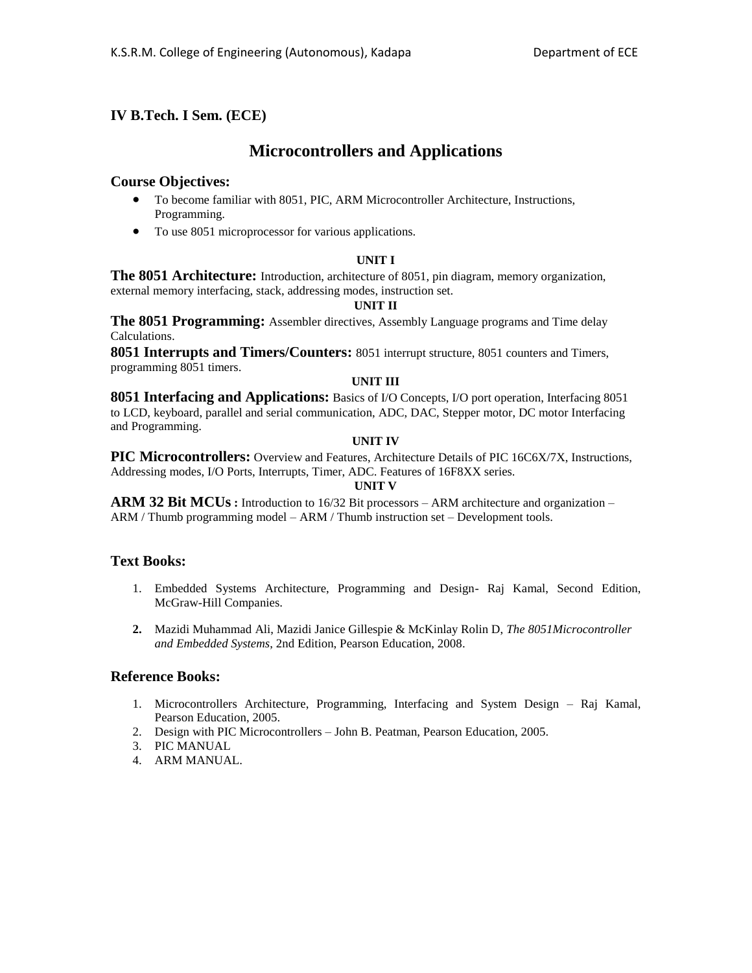# **Microcontrollers and Applications**

# **Course Objectives:**

- To become familiar with 8051, PIC, ARM Microcontroller Architecture, Instructions, Programming.
- To use 8051 microprocessor for various applications.

### **UNIT I**

**The 8051 Architecture:** Introduction, architecture of 8051, pin diagram, memory organization, external memory interfacing, stack, addressing modes, instruction set.

### **UNIT II**

**The 8051 Programming:** Assembler directives, Assembly Language programs and Time delay Calculations.

**8051 Interrupts and Timers/Counters:** 8051 interrupt structure, 8051 counters and Timers, programming 8051 timers.

### **UNIT III**

**8051 Interfacing and Applications:** Basics of I/O Concepts, I/O port operation, Interfacing 8051 to LCD, keyboard, parallel and serial communication, ADC, DAC, Stepper motor, DC motor Interfacing and Programming.

### **UNIT IV**

**PIC Microcontrollers:** Overview and Features, Architecture Details of PIC 16C6X/7X, Instructions, Addressing modes, I/O Ports, Interrupts, Timer, ADC. Features of 16F8XX series.

### **UNIT V**

**ARM 32 Bit MCUs :** Introduction to 16/32 Bit processors – ARM architecture and organization – ARM / Thumb programming model – ARM / Thumb instruction set – Development tools.

# **Text Books:**

- 1. Embedded Systems Architecture, Programming and Design- Raj Kamal, Second Edition, McGraw-Hill Companies.
- **2.** Mazidi Muhammad Ali, Mazidi Janice Gillespie & McKinlay Rolin D, *The 8051Microcontroller and Embedded Systems*, 2nd Edition, Pearson Education, 2008.

- 1. Microcontrollers Architecture, Programming, Interfacing and System Design Raj Kamal, Pearson Education, 2005.
- 2. Design with PIC Microcontrollers John B. Peatman, Pearson Education, 2005.
- 3. PIC MANUAL
- 4. ARM MANUAL.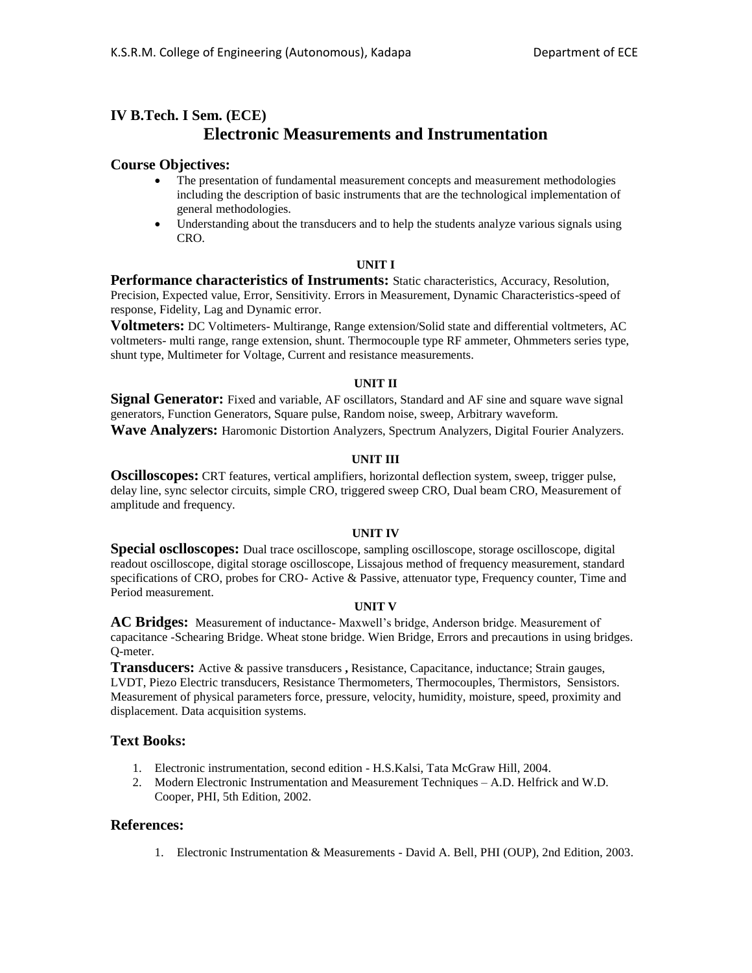# **IV B.Tech. I Sem. (ECE) Electronic Measurements and Instrumentation**

## **Course Objectives:**

- The presentation of fundamental measurement concepts and measurement methodologies including the description of basic instruments that are the technological implementation of general methodologies.
- Understanding about the transducers and to help the students analyze various signals using CRO.

### **UNIT I**

**Performance characteristics of Instruments:** Static characteristics, Accuracy, Resolution, Precision, Expected value, Error, Sensitivity. Errors in Measurement, Dynamic Characteristics-speed of response, Fidelity, Lag and Dynamic error.

**Voltmeters:** DC Voltimeters- Multirange, Range extension/Solid state and differential voltmeters, AC voltmeters- multi range, range extension, shunt. Thermocouple type RF ammeter, Ohmmeters series type, shunt type, Multimeter for Voltage, Current and resistance measurements.

### **UNIT II**

**Signal Generator:** Fixed and variable, AF oscillators, Standard and AF sine and square wave signal generators, Function Generators, Square pulse, Random noise, sweep, Arbitrary waveform. **Wave Analyzers:** Haromonic Distortion Analyzers, Spectrum Analyzers, Digital Fourier Analyzers.

### **UNIT III**

**Oscilloscopes:** CRT features, vertical amplifiers, horizontal deflection system, sweep, trigger pulse, delay line, sync selector circuits, simple CRO, triggered sweep CRO, Dual beam CRO, Measurement of amplitude and frequency.

### **UNIT IV**

**Special osclloscopes:** Dual trace oscilloscope, sampling oscilloscope, storage oscilloscope, digital readout oscilloscope, digital storage oscilloscope, Lissajous method of frequency measurement, standard specifications of CRO, probes for CRO- Active & Passive, attenuator type, Frequency counter, Time and Period measurement.

### **UNIT V**

**AC Bridges:** Measurement of inductance- Maxwell's bridge, Anderson bridge. Measurement of capacitance -Schearing Bridge. Wheat stone bridge. Wien Bridge, Errors and precautions in using bridges. Q-meter.

**Transducers:** Active & passive transducers **,** Resistance, Capacitance, inductance; Strain gauges, LVDT, Piezo Electric transducers, Resistance Thermometers, Thermocouples, Thermistors, Sensistors. Measurement of physical parameters force, pressure, velocity, humidity, moisture, speed, proximity and displacement. Data acquisition systems.

# **Text Books:**

- 1. Electronic instrumentation, second edition H.S.Kalsi, Tata McGraw Hill, 2004.
- 2. Modern Electronic Instrumentation and Measurement Techniques A.D. Helfrick and W.D. Cooper, PHI, 5th Edition, 2002.

# **References:**

1. Electronic Instrumentation & Measurements - David A. Bell, PHI (OUP), 2nd Edition, 2003.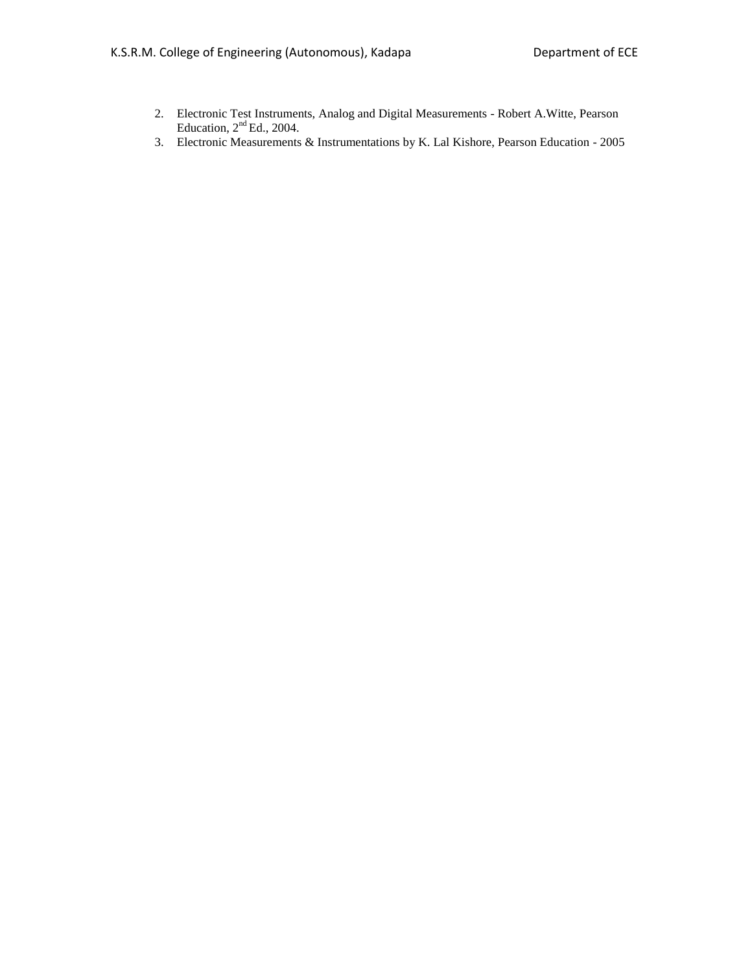- 2. Electronic Test Instruments, Analog and Digital Measurements Robert A.Witte, Pearson Education,  $2<sup>nd</sup>$  Ed., 2004.
- 3. Electronic Measurements & Instrumentations by K. Lal Kishore, Pearson Education 2005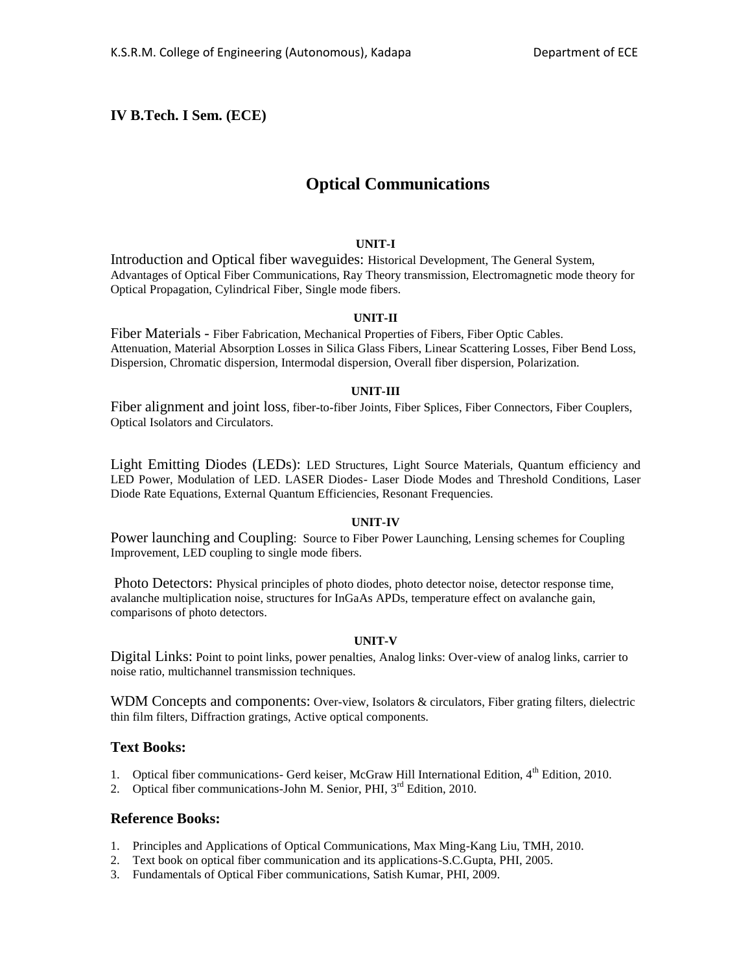# **Optical Communications**

### **UNIT-I**

Introduction and Optical fiber waveguides: Historical Development, The General System, Advantages of Optical Fiber Communications, Ray Theory transmission, Electromagnetic mode theory for Optical Propagation, Cylindrical Fiber, Single mode fibers.

### **UNIT-II**

Fiber Materials - Fiber Fabrication, Mechanical Properties of Fibers, Fiber Optic Cables. Attenuation, Material Absorption Losses in Silica Glass Fibers, Linear Scattering Losses, Fiber Bend Loss, Dispersion, Chromatic dispersion, Intermodal dispersion, Overall fiber dispersion, Polarization.

### **UNIT-III**

Fiber alignment and joint loss, fiber-to-fiber Joints, Fiber Splices, Fiber Connectors, Fiber Couplers, Optical Isolators and Circulators.

Light Emitting Diodes (LEDs): LED Structures, Light Source Materials, Quantum efficiency and LED Power, Modulation of LED. LASER Diodes- Laser Diode Modes and Threshold Conditions, Laser Diode Rate Equations, External Quantum Efficiencies, Resonant Frequencies.

### **UNIT-IV**

Power launching and Coupling: Source to Fiber Power Launching, Lensing schemes for Coupling Improvement, LED coupling to single mode fibers.

Photo Detectors: Physical principles of photo diodes, photo detector noise, detector response time, avalanche multiplication noise, structures for InGaAs APDs, temperature effect on avalanche gain, comparisons of photo detectors.

### **UNIT-V**

Digital Links: Point to point links, power penalties, Analog links: Over-view of analog links, carrier to noise ratio, multichannel transmission techniques.

WDM Concepts and components: Over-view, Isolators & circulators, Fiber grating filters, dielectric thin film filters, Diffraction gratings, Active optical components.

# **Text Books:**

- 1. Optical fiber communications- Gerd keiser, McGraw Hill International Edition,  $4<sup>th</sup>$  Edition, 2010.
- 2. Optical fiber communications-John M. Senior, PHI,  $3<sup>rd</sup>$  Edition, 2010.

- 1. Principles and Applications of Optical Communications, Max Ming-Kang Liu, TMH, 2010.
- 2. Text book on optical fiber communication and its applications-S.C.Gupta, PHI, 2005.
- 3. Fundamentals of Optical Fiber communications, Satish Kumar, PHI, 2009.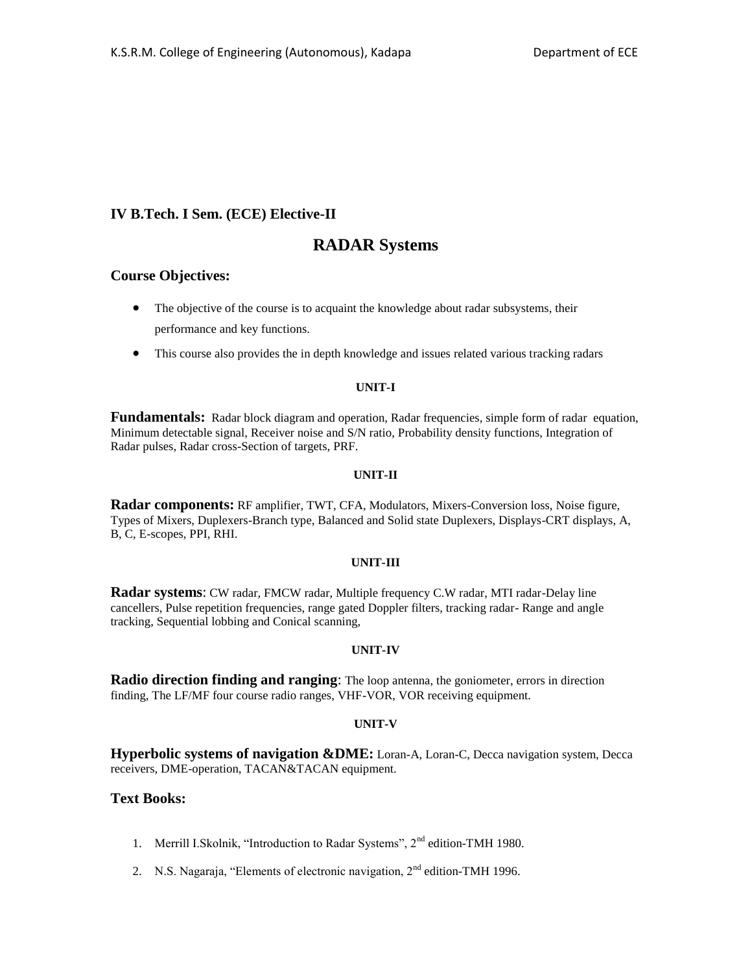# **IV B.Tech. I Sem. (ECE) Elective-II**

# **RADAR Systems**

### **Course Objectives:**

- The objective of the course is to acquaint the knowledge about radar subsystems, their performance and key functions.
- This course also provides the in depth knowledge and issues related various tracking radars

### **UNIT-I**

**Fundamentals:** Radar block diagram and operation, Radar frequencies, simple form of radar equation, Minimum detectable signal, Receiver noise and S/N ratio, Probability density functions, Integration of Radar pulses, Radar cross-Section of targets, PRF.

### **UNIT-II**

**Radar components:** RF amplifier, TWT, CFA, Modulators, Mixers-Conversion loss, Noise figure, Types of Mixers, Duplexers-Branch type, Balanced and Solid state Duplexers, Displays-CRT displays, A, B, C, E-scopes, PPI, RHI.

### **UNIT-III**

**Radar systems**: CW radar, FMCW radar, Multiple frequency C.W radar, MTI radar-Delay line cancellers, Pulse repetition frequencies, range gated Doppler filters, tracking radar- Range and angle tracking, Sequential lobbing and Conical scanning,

### **UNIT-IV**

**Radio direction finding and ranging**: The loop antenna, the goniometer, errors in direction finding, The LF/MF four course radio ranges, VHF-VOR, VOR receiving equipment.

### **UNIT-V**

**Hyperbolic systems of navigation &DME:** Loran-A, Loran-C, Decca navigation system, Decca receivers, DME-operation, TACAN&TACAN equipment.

### **Text Books:**

- 1. Merrill I.Skolnik, "Introduction to Radar Systems", 2<sup>nd</sup> edition-TMH 1980.
- 2. N.S. Nagaraja, "Elements of electronic navigation, 2<sup>nd</sup> edition-TMH 1996.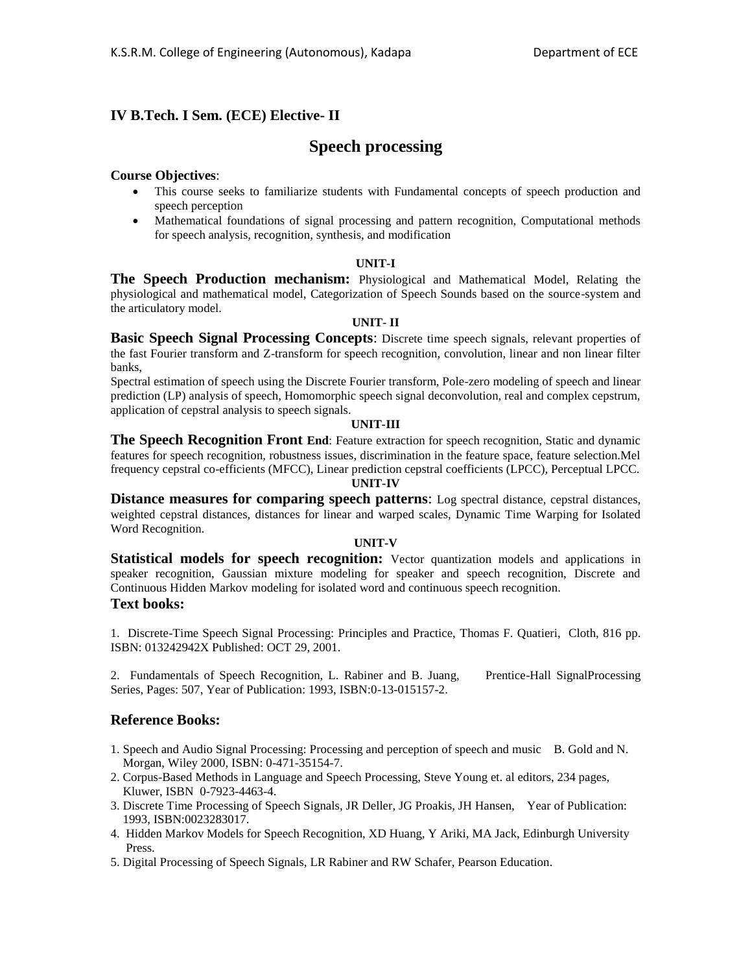# **IV B.Tech. I Sem. (ECE) Elective- II**

# **Speech processing**

### **Course Objectives**:

- This course seeks to familiarize students with Fundamental concepts of speech production and speech perception
- Mathematical foundations of signal processing and pattern recognition, Computational methods for speech analysis, recognition, synthesis, and modification

### **UNIT-I**

**The Speech Production mechanism:** Physiological and Mathematical Model, Relating the physiological and mathematical model, Categorization of Speech Sounds based on the source-system and the articulatory model.

### **UNIT- II**

**Basic Speech Signal Processing Concepts**: Discrete time speech signals, relevant properties of the fast Fourier transform and Z-transform for speech recognition, convolution, linear and non linear filter banks,

Spectral estimation of speech using the Discrete Fourier transform, Pole-zero modeling of speech and linear prediction (LP) analysis of speech, Homomorphic speech signal deconvolution, real and complex cepstrum, application of cepstral analysis to speech signals.

### **UNIT-III**

**The Speech Recognition Front End**: Feature extraction for speech recognition, Static and dynamic features for speech recognition, robustness issues, discrimination in the feature space, feature selection.Mel frequency cepstral co-efficients (MFCC), Linear prediction cepstral coefficients (LPCC), Perceptual LPCC.

### **UNIT-IV**

**Distance measures for comparing speech patterns:** Log spectral distance, cepstral distances, weighted cepstral distances, distances for linear and warped scales, Dynamic Time Warping for Isolated Word Recognition.

### **UNIT-V**

**Statistical models for speech recognition:** Vector quantization models and applications in speaker recognition, Gaussian mixture modeling for speaker and speech recognition, Discrete and Continuous Hidden Markov modeling for isolated word and continuous speech recognition.

### **Text books:**

1. Discrete-Time Speech Signal Processing: Principles and Practice, Thomas F. Quatieri, Cloth, 816 pp. ISBN: 013242942X Published: OCT 29, 2001.

2. Fundamentals of Speech Recognition, L. Rabiner and B. Juang, Prentice-Hall SignalProcessing Series, Pages: 507, Year of Publication: 1993, ISBN:0-13-015157-2.

- 1. Speech and Audio Signal Processing: Processing and perception of speech and music B. Gold and N. Morgan, Wiley 2000, ISBN: 0-471-35154-7.
- 2. Corpus-Based Methods in Language and Speech Processing, Steve Young et. al editors, 234 pages, Kluwer, ISBN 0-7923-4463-4.
- 3. Discrete Time Processing of Speech Signals, JR Deller, JG Proakis, JH Hansen, Year of Publication: 1993, ISBN:0023283017.
- 4. Hidden Markov Models for Speech Recognition, XD Huang, Y Ariki, MA Jack, Edinburgh University Press.
- 5. Digital Processing of Speech Signals, LR Rabiner and RW Schafer, Pearson Education.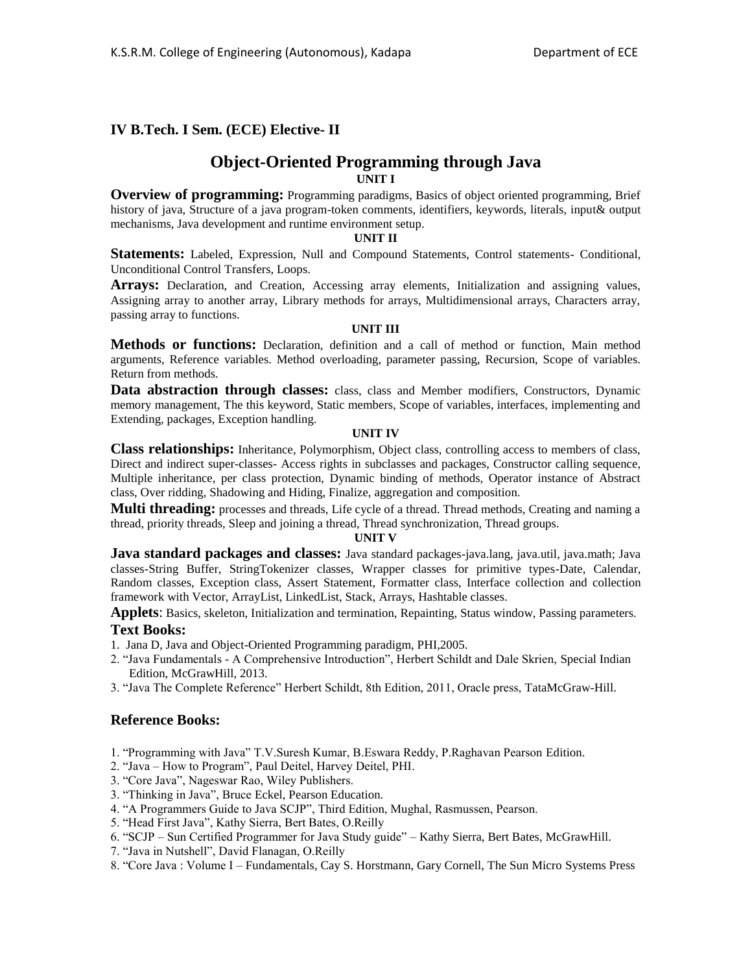# **IV B.Tech. I Sem. (ECE) Elective- II**

# **Object-Oriented Programming through Java UNIT I**

**Overview of programming:** Programming paradigms, Basics of object oriented programming, Brief history of java, Structure of a java program-token comments, identifiers, keywords, literals, input& output mechanisms, Java development and runtime environment setup.

#### **UNIT II**

**Statements:** Labeled, Expression, Null and Compound Statements, Control statements- Conditional, Unconditional Control Transfers, Loops.

**Arrays:** Declaration, and Creation, Accessing array elements, Initialization and assigning values, Assigning array to another array, Library methods for arrays, Multidimensional arrays, Characters array, passing array to functions.

### **UNIT III**

**Methods or functions:** Declaration, definition and a call of method or function, Main method arguments, Reference variables. Method overloading, parameter passing, Recursion, Scope of variables. Return from methods.

**Data abstraction through classes:** class, class and Member modifiers, Constructors, Dynamic memory management, The this keyword, Static members, Scope of variables, interfaces, implementing and Extending, packages, Exception handling.

#### **UNIT IV**

**Class relationships:** Inheritance, Polymorphism, Object class, controlling access to members of class, Direct and indirect super-classes- Access rights in subclasses and packages, Constructor calling sequence, Multiple inheritance, per class protection, Dynamic binding of methods, Operator instance of Abstract class, Over ridding, Shadowing and Hiding, Finalize, aggregation and composition.

**Multi threading:** processes and threads, Life cycle of a thread. Thread methods, Creating and naming a thread, priority threads, Sleep and joining a thread, Thread synchronization, Thread groups.

#### **UNIT V**

**Java standard packages and classes:** Java standard packages-java.lang, java.util, java.math; Java classes-String Buffer, StringTokenizer classes, Wrapper classes for primitive types-Date, Calendar, Random classes, Exception class, Assert Statement, Formatter class, Interface collection and collection framework with Vector, ArrayList, LinkedList, Stack, Arrays, Hashtable classes.

**Applets**: Basics, skeleton, Initialization and termination, Repainting, Status window, Passing parameters. **Text Books:** 

1. Jana D, Java and Object-Oriented Programming paradigm, PHI,2005.

- 2. "Java Fundamentals A Comprehensive Introduction", Herbert Schildt and Dale Skrien, Special Indian Edition, McGrawHill, 2013.
- 3. "Java The Complete Reference" Herbert Schildt, 8th Edition, 2011, Oracle press, TataMcGraw-Hill.

### **Reference Books:**

1. "Programming with Java" T.V.Suresh Kumar, B.Eswara Reddy, P.Raghavan Pearson Edition.

- 2. "Java How to Program", Paul Deitel, Harvey Deitel, PHI.
- 3. "Core Java", Nageswar Rao, Wiley Publishers.

3. "Thinking in Java", Bruce Eckel, Pearson Education.

- 4. "A Programmers Guide to Java SCJP", Third Edition, Mughal, Rasmussen, Pearson.
- 5. "Head First Java", Kathy Sierra, Bert Bates, O.Reilly
- 6. "SCJP Sun Certified Programmer for Java Study guide" Kathy Sierra, Bert Bates, McGrawHill.
- 7. "Java in Nutshell", David Flanagan, O.Reilly
- 8. "Core Java : Volume I Fundamentals, Cay S. Horstmann, Gary Cornell, The Sun Micro Systems Press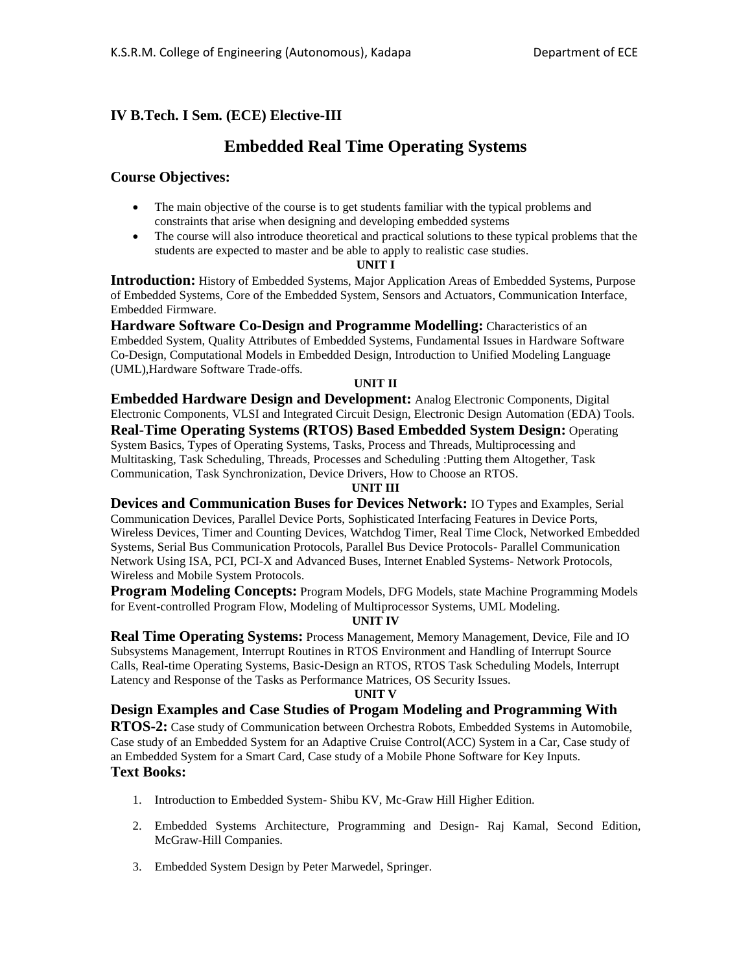# **IV B.Tech. I Sem. (ECE) Elective-III**

# **Embedded Real Time Operating Systems**

# **Course Objectives:**

- The main objective of the course is to get students familiar with the typical problems and constraints that arise when designing and developing embedded systems
- The course will also introduce theoretical and practical solutions to these typical problems that the students are expected to master and be able to apply to realistic case studies.

# **UNIT I**

**Introduction:** History of Embedded Systems, Major Application Areas of Embedded Systems, Purpose of Embedded Systems, Core of the Embedded System, Sensors and Actuators, Communication Interface, Embedded Firmware.

**Hardware Software Co-Design and Programme Modelling:** Characteristics of an Embedded System, Quality Attributes of Embedded Systems, Fundamental Issues in Hardware Software Co-Design, Computational Models in Embedded Design, Introduction to Unified Modeling Language (UML),Hardware Software Trade-offs.

### **UNIT II**

**Embedded Hardware Design and Development:** Analog Electronic Components, Digital Electronic Components, VLSI and Integrated Circuit Design, Electronic Design Automation (EDA) Tools. **Real-Time Operating Systems (RTOS) Based Embedded System Design:** Operating System Basics, Types of Operating Systems, Tasks, Process and Threads, Multiprocessing and Multitasking, Task Scheduling, Threads, Processes and Scheduling :Putting them Altogether, Task Communication, Task Synchronization, Device Drivers, How to Choose an RTOS.

# **UNIT III**

**Devices and Communication Buses for Devices Network:** IO Types and Examples, Serial Communication Devices, Parallel Device Ports, Sophisticated Interfacing Features in Device Ports, Wireless Devices, Timer and Counting Devices, Watchdog Timer, Real Time Clock, Networked Embedded Systems, Serial Bus Communication Protocols, Parallel Bus Device Protocols- Parallel Communication Network Using ISA, PCI, PCI-X and Advanced Buses, Internet Enabled Systems- Network Protocols, Wireless and Mobile System Protocols.

**Program Modeling Concepts:** Program Models, DFG Models, state Machine Programming Models for Event-controlled Program Flow, Modeling of Multiprocessor Systems, UML Modeling.

## **UNIT IV**

**Real Time Operating Systems:** Process Management, Memory Management, Device, File and IO Subsystems Management, Interrupt Routines in RTOS Environment and Handling of Interrupt Source Calls, Real-time Operating Systems, Basic-Design an RTOS, RTOS Task Scheduling Models, Interrupt Latency and Response of the Tasks as Performance Matrices, OS Security Issues.

### **UNIT V**

# **Design Examples and Case Studies of Progam Modeling and Programming With**

**RTOS-2:** Case study of Communication between Orchestra Robots, Embedded Systems in Automobile, Case study of an Embedded System for an Adaptive Cruise Control(ACC) System in a Car, Case study of an Embedded System for a Smart Card, Case study of a Mobile Phone Software for Key Inputs. **Text Books:**

- 1. Introduction to Embedded System- Shibu KV, Mc-Graw Hill Higher Edition.
- 2. Embedded Systems Architecture, Programming and Design- Raj Kamal, Second Edition, McGraw-Hill Companies.
- 3. Embedded System Design by Peter Marwedel, Springer.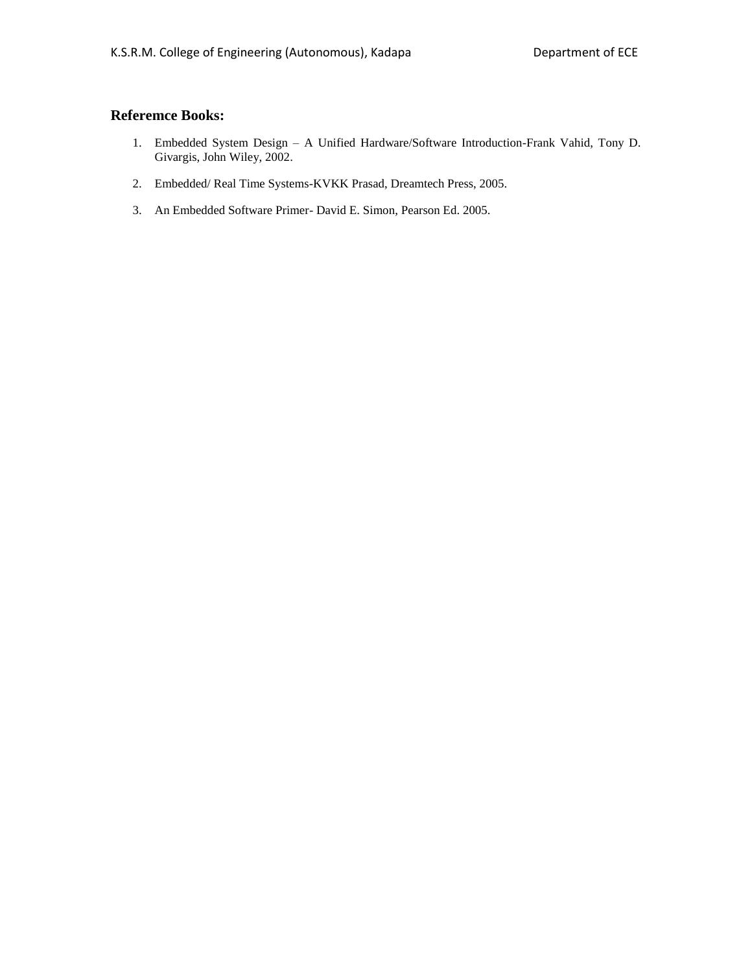- 1. Embedded System Design A Unified Hardware/Software Introduction-Frank Vahid, Tony D. Givargis, John Wiley, 2002.
- 2. Embedded/ Real Time Systems-KVKK Prasad, Dreamtech Press, 2005.
- 3. An Embedded Software Primer- David E. Simon, Pearson Ed. 2005.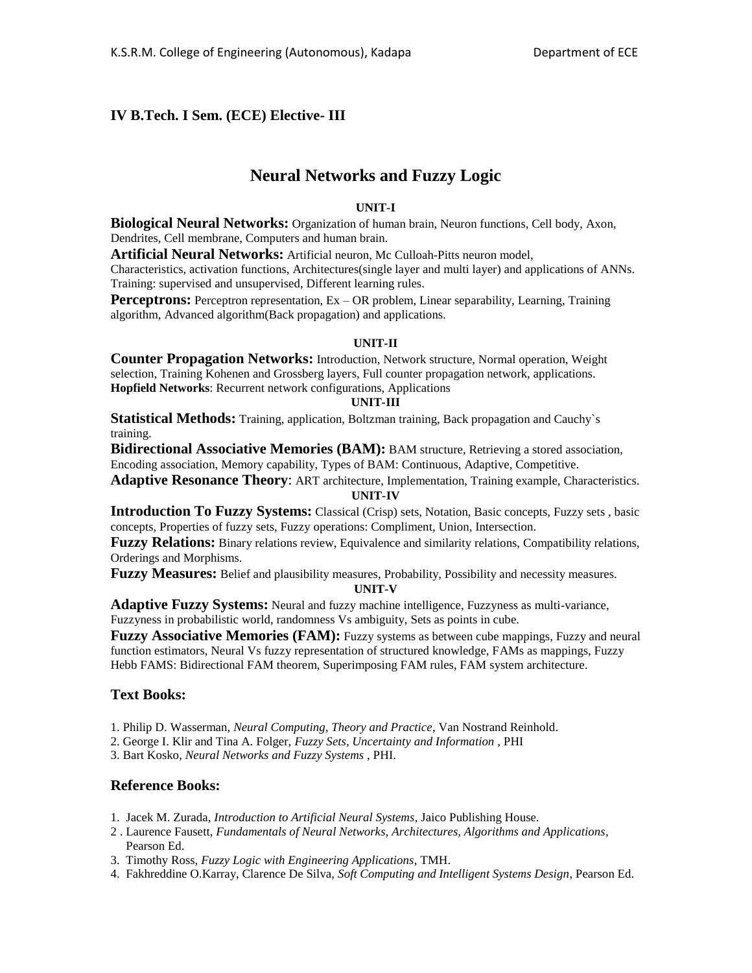# **IV B.Tech. I Sem. (ECE) Elective- III**

# **Neural Networks and Fuzzy Logic**

### **UNIT-I**

**Biological Neural Networks:** Organization of human brain, Neuron functions, Cell body, Axon, Dendrites, Cell membrane, Computers and human brain.

**Artificial Neural Networks:** Artificial neuron, Mc Culloah-Pitts neuron model,

Characteristics, activation functions, Architectures(single layer and multi layer) and applications of ANNs. Training: supervised and unsupervised, Different learning rules.

**Perceptrons:** Perceptron representation, Ex – OR problem, Linear separability, Learning, Training algorithm, Advanced algorithm(Back propagation) and applications.

### **UNIT-II**

**Counter Propagation Networks:** Introduction, Network structure, Normal operation, Weight selection, Training Kohenen and Grossberg layers, Full counter propagation network, applications. **Hopfield Networks**: Recurrent network configurations, Applications

### **UNIT-III**

**Statistical Methods:** Training, application, Boltzman training, Back propagation and Cauchy's training.

**Bidirectional Associative Memories (BAM):** BAM structure, Retrieving a stored association, Encoding association, Memory capability, Types of BAM: Continuous, Adaptive, Competitive.

**Adaptive Resonance Theory**: ART architecture, Implementation, Training example, Characteristics. **UNIT-IV**

**Introduction To Fuzzy Systems:** Classical (Crisp) sets, Notation, Basic concepts, Fuzzy sets, basic concepts, Properties of fuzzy sets, Fuzzy operations: Compliment, Union, Intersection.

**Fuzzy Relations:** Binary relations review, Equivalence and similarity relations, Compatibility relations, Orderings and Morphisms.

**Fuzzy Measures:** Belief and plausibility measures, Probability, Possibility and necessity measures.

### **UNIT-V**

**Adaptive Fuzzy Systems:** Neural and fuzzy machine intelligence, Fuzzyness as multi-variance, Fuzzyness in probabilistic world, randomness Vs ambiguity, Sets as points in cube.

**Fuzzy Associative Memories (FAM):** Fuzzy systems as between cube mappings, Fuzzy and neural function estimators, Neural Vs fuzzy representation of structured knowledge, FAMs as mappings, Fuzzy Hebb FAMS: Bidirectional FAM theorem, Superimposing FAM rules, FAM system architecture.

# **Text Books:**

1. Philip D. Wasserman, *Neural Computing, Theory and Practice*, Van Nostrand Reinhold.

2. George I. Klir and Tina A. Folger, *Fuzzy Sets, Uncertainty and Information ,* PHI

3. Bart Kosko, *Neural Networks and Fuzzy Systems* , PHI.

- 1. Jacek M. Zurada, *Introduction to Artificial Neural Systems*, Jaico Publishing House.
- 2 . Laurence Fausett, *Fundamentals of Neural Networks, Architectures, Algorithms and Applications*, Pearson Ed.
- 3. Timothy Ross, *Fuzzy Logic with Engineering Applications*, TMH.
- 4. Fakhreddine O.Karray, Clarence De Silva, *Soft Computing and Intelligent Systems Design*, Pearson Ed.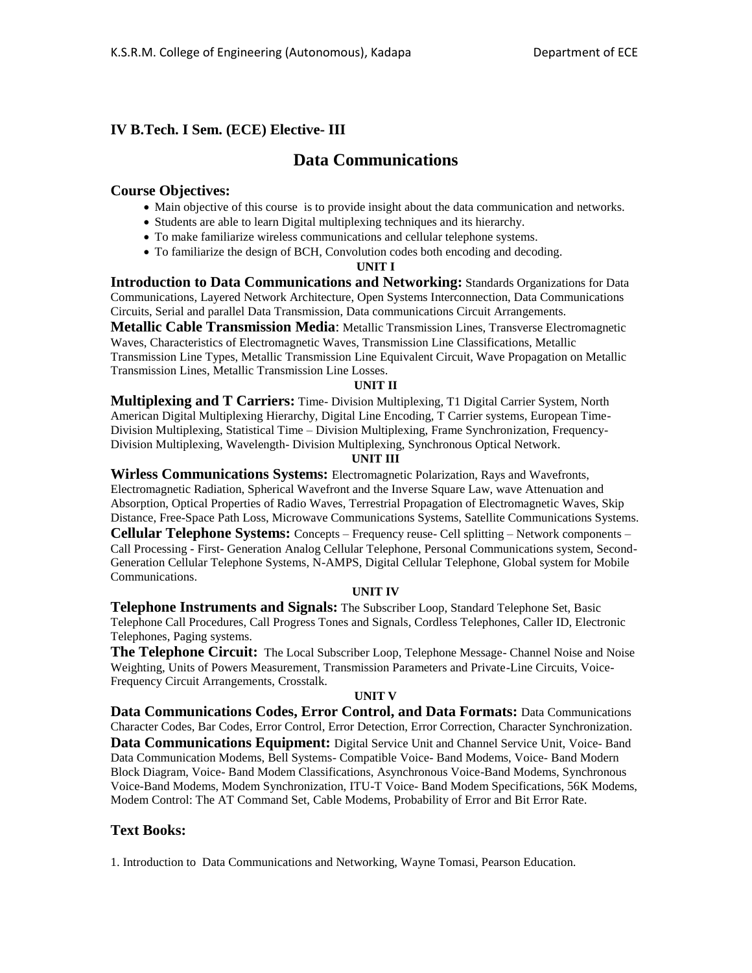# **IV B.Tech. I Sem. (ECE) Elective- III**

# **Data Communications**

# **Course Objectives:**

- Main objective of this course is to provide insight about the data communication and networks.
- Students are able to learn Digital multiplexing techniques and its hierarchy.
- To make familiarize wireless communications and cellular telephone systems.
- To familiarize the design of BCH, Convolution codes both encoding and decoding.

# **UNIT I**

**Introduction to Data Communications and Networking:** Standards Organizations for Data Communications, Layered Network Architecture, Open Systems Interconnection, Data Communications Circuits, Serial and parallel Data Transmission, Data communications Circuit Arrangements.

**Metallic Cable Transmission Media**: Metallic Transmission Lines, Transverse Electromagnetic Waves, Characteristics of Electromagnetic Waves, Transmission Line Classifications, Metallic Transmission Line Types, Metallic Transmission Line Equivalent Circuit, Wave Propagation on Metallic Transmission Lines, Metallic Transmission Line Losses.

### **UNIT II**

**Multiplexing and T Carriers:** Time- Division Multiplexing, T1 Digital Carrier System, North American Digital Multiplexing Hierarchy, Digital Line Encoding, T Carrier systems, European Time-Division Multiplexing, Statistical Time – Division Multiplexing, Frame Synchronization, Frequency-Division Multiplexing, Wavelength- Division Multiplexing, Synchronous Optical Network.

## **UNIT III**

**Wirless Communications Systems:** Electromagnetic Polarization, Rays and Wavefronts, Electromagnetic Radiation, Spherical Wavefront and the Inverse Square Law, wave Attenuation and Absorption, Optical Properties of Radio Waves, Terrestrial Propagation of Electromagnetic Waves, Skip Distance, Free-Space Path Loss, Microwave Communications Systems, Satellite Communications Systems.

**Cellular Telephone Systems:** Concepts – Frequency reuse- Cell splitting – Network components – Call Processing - First- Generation Analog Cellular Telephone, Personal Communications system, Second-Generation Cellular Telephone Systems, N-AMPS, Digital Cellular Telephone, Global system for Mobile Communications.

### **UNIT IV**

**Telephone Instruments and Signals:** The Subscriber Loop, Standard Telephone Set, Basic Telephone Call Procedures, Call Progress Tones and Signals, Cordless Telephones, Caller ID, Electronic Telephones, Paging systems.

**The Telephone Circuit:** The Local Subscriber Loop, Telephone Message- Channel Noise and Noise Weighting, Units of Powers Measurement, Transmission Parameters and Private-Line Circuits, Voice-Frequency Circuit Arrangements, Crosstalk.

### **UNIT V**

**Data Communications Codes, Error Control, and Data Formats:** Data Communications Character Codes, Bar Codes, Error Control, Error Detection, Error Correction, Character Synchronization. **Data Communications Equipment:** Digital Service Unit and Channel Service Unit, Voice- Band Data Communication Modems, Bell Systems- Compatible Voice- Band Modems, Voice- Band Modern Block Diagram, Voice- Band Modem Classifications, Asynchronous Voice-Band Modems, Synchronous Voice-Band Modems, Modem Synchronization, ITU-T Voice- Band Modem Specifications, 56K Modems, Modem Control: The AT Command Set, Cable Modems, Probability of Error and Bit Error Rate.

# **Text Books:**

1. Introduction to Data Communications and Networking, Wayne Tomasi, Pearson Education.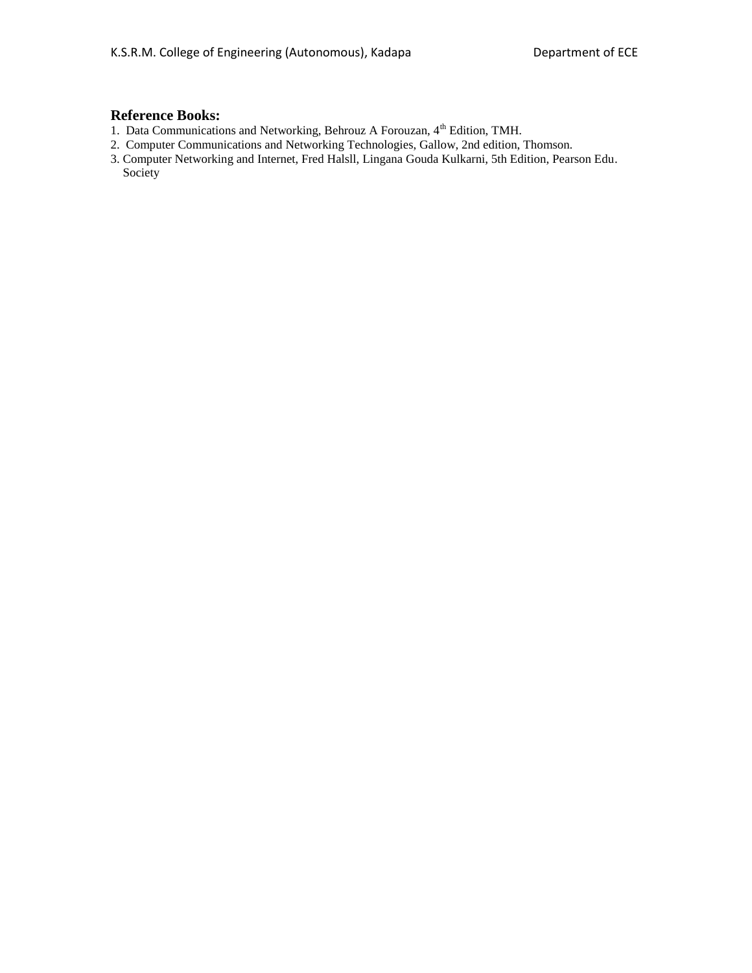- 1. Data Communications and Networking, Behrouz A Forouzan, 4<sup>th</sup> Edition, TMH.
- 2. Computer Communications and Networking Technologies, Gallow, 2nd edition, Thomson.
- 3. Computer Networking and Internet, Fred Halsll, Lingana Gouda Kulkarni, 5th Edition, Pearson Edu. Society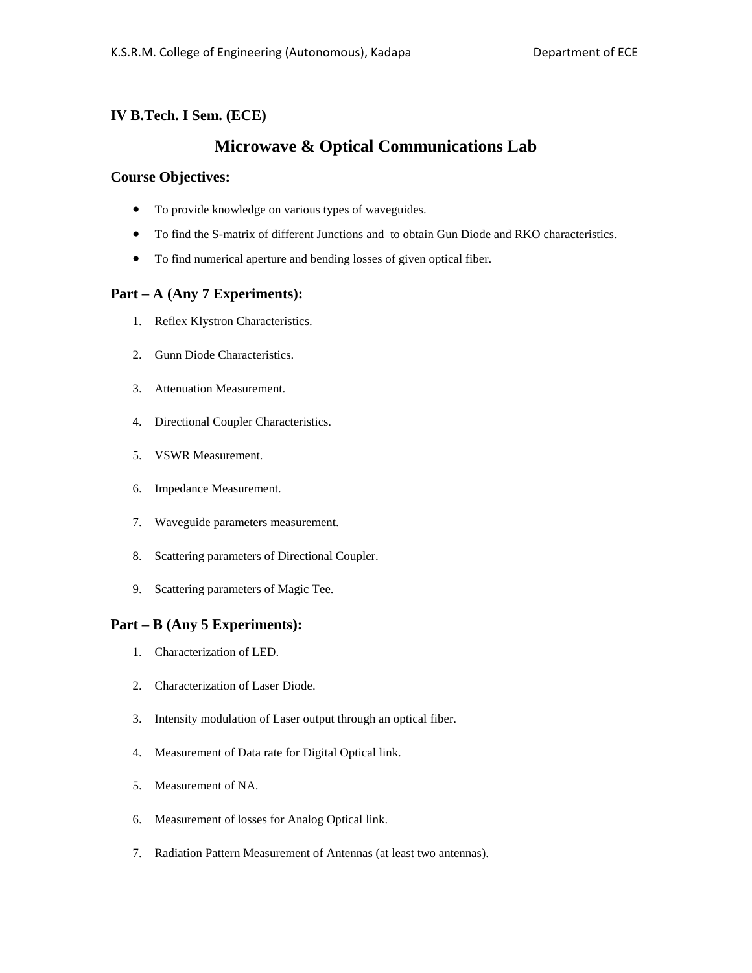# **Microwave & Optical Communications Lab**

# **Course Objectives:**

- To provide knowledge on various types of waveguides.
- To find the S-matrix of different Junctions and to obtain Gun Diode and RKO characteristics.
- To find numerical aperture and bending losses of given optical fiber.

# **Part – A (Any 7 Experiments):**

- 1. Reflex Klystron Characteristics.
- 2. Gunn Diode Characteristics.
- 3. Attenuation Measurement.
- 4. Directional Coupler Characteristics.
- 5. VSWR Measurement.
- 6. Impedance Measurement.
- 7. Waveguide parameters measurement.
- 8. Scattering parameters of Directional Coupler.
- 9. Scattering parameters of Magic Tee.

# **Part – B (Any 5 Experiments):**

- 1. Characterization of LED.
- 2. Characterization of Laser Diode.
- 3. Intensity modulation of Laser output through an optical fiber.
- 4. Measurement of Data rate for Digital Optical link.
- 5. Measurement of NA.
- 6. Measurement of losses for Analog Optical link.
- 7. Radiation Pattern Measurement of Antennas (at least two antennas).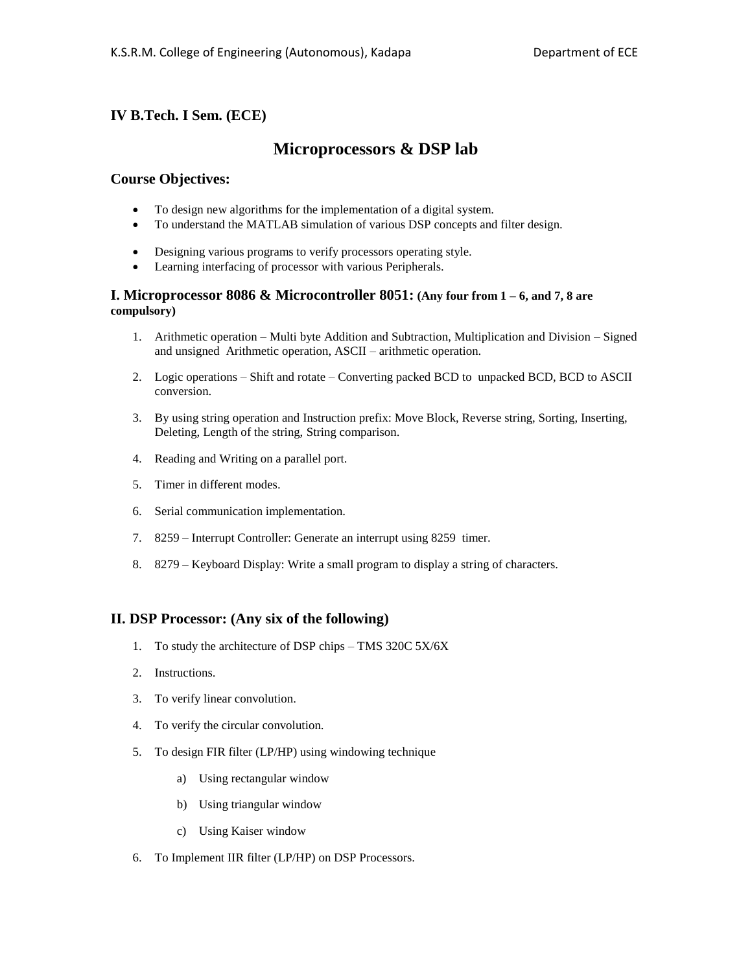# **Microprocessors & DSP lab**

# **Course Objectives:**

- To design new algorithms for the implementation of a digital system.
- To understand the MATLAB simulation of various DSP concepts and filter design.
- Designing various programs to verify processors operating style.
- Learning interfacing of processor with various Peripherals.

# **I. Microprocessor 8086 & Microcontroller 8051: (Any four from 1 – 6, and 7, 8 are compulsory)**

- 1. Arithmetic operation Multi byte Addition and Subtraction, Multiplication and Division Signed and unsigned Arithmetic operation, ASCII – arithmetic operation.
- 2. Logic operations Shift and rotate Converting packed BCD to unpacked BCD, BCD to ASCII conversion.
- 3. By using string operation and Instruction prefix: Move Block, Reverse string, Sorting, Inserting, Deleting, Length of the string, String comparison.
- 4. Reading and Writing on a parallel port.
- 5. Timer in different modes.
- 6. Serial communication implementation.
- 7. 8259 Interrupt Controller: Generate an interrupt using 8259 timer.
- 8. 8279 Keyboard Display: Write a small program to display a string of characters.

# **II. DSP Processor: (Any six of the following)**

- 1. To study the architecture of DSP chips TMS 320C 5X/6X
- 2. Instructions.
- 3. To verify linear convolution.
- 4. To verify the circular convolution.
- 5. To design FIR filter (LP/HP) using windowing technique
	- a) Using rectangular window
	- b) Using triangular window
	- c) Using Kaiser window
- 6. To Implement IIR filter (LP/HP) on DSP Processors.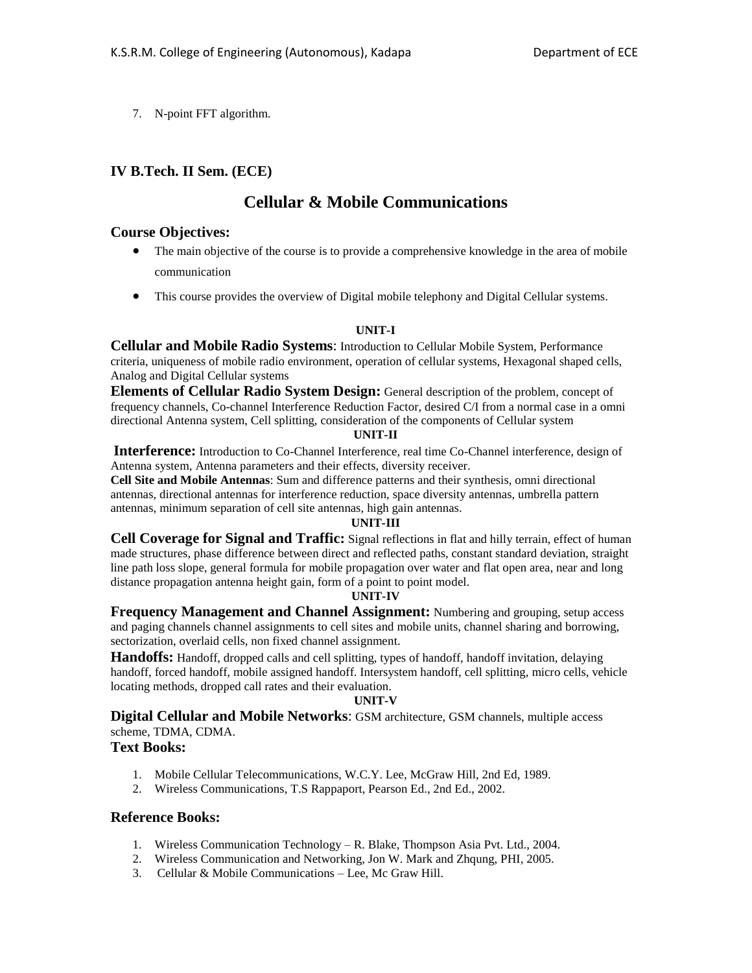7. N-point FFT algorithm.

# **IV B.Tech. II Sem. (ECE)**

# **Cellular & Mobile Communications**

## **Course Objectives:**

- The main objective of the course is to provide a comprehensive knowledge in the area of mobile communication
- This course provides the overview of Digital mobile telephony and Digital Cellular systems.

### **UNIT-I**

**Cellular and Mobile Radio Systems**: Introduction to Cellular Mobile System, Performance criteria, uniqueness of mobile radio environment, operation of cellular systems, Hexagonal shaped cells, Analog and Digital Cellular systems

**Elements of Cellular Radio System Design:** General description of the problem, concept of frequency channels, Co-channel Interference Reduction Factor, desired C/I from a normal case in a omni directional Antenna system, Cell splitting, consideration of the components of Cellular system

### **UNIT-II**

**Interference:** Introduction to Co-Channel Interference, real time Co-Channel interference, design of Antenna system, Antenna parameters and their effects, diversity receiver.

**Cell Site and Mobile Antennas**: Sum and difference patterns and their synthesis, omni directional antennas, directional antennas for interference reduction, space diversity antennas, umbrella pattern antennas, minimum separation of cell site antennas, high gain antennas.

### **UNIT-III**

**Cell Coverage for Signal and Traffic:** Signal reflections in flat and hilly terrain, effect of human made structures, phase difference between direct and reflected paths, constant standard deviation, straight line path loss slope, general formula for mobile propagation over water and flat open area, near and long distance propagation antenna height gain, form of a point to point model.

### **UNIT-IV**

**Frequency Management and Channel Assignment:** Numbering and grouping, setup access and paging channels channel assignments to cell sites and mobile units, channel sharing and borrowing, sectorization, overlaid cells, non fixed channel assignment.

**Handoffs:** Handoff, dropped calls and cell splitting, types of handoff, handoff invitation, delaying handoff, forced handoff, mobile assigned handoff. Intersystem handoff, cell splitting, micro cells, vehicle locating methods, dropped call rates and their evaluation.

### **UNIT-V**

**Digital Cellular and Mobile Networks**: GSM architecture, GSM channels, multiple access scheme, TDMA, CDMA.

**Text Books:**

- 1. Mobile Cellular Telecommunications, W.C.Y. Lee, McGraw Hill, 2nd Ed, 1989.
- 2. Wireless Communications, T.S Rappaport, Pearson Ed., 2nd Ed., 2002.

- 1. Wireless Communication Technology R. Blake, Thompson Asia Pvt. Ltd., 2004.
- 2. Wireless Communication and Networking, Jon W. Mark and Zhqung, PHI, 2005.
- 3. Cellular & Mobile Communications Lee, Mc Graw Hill.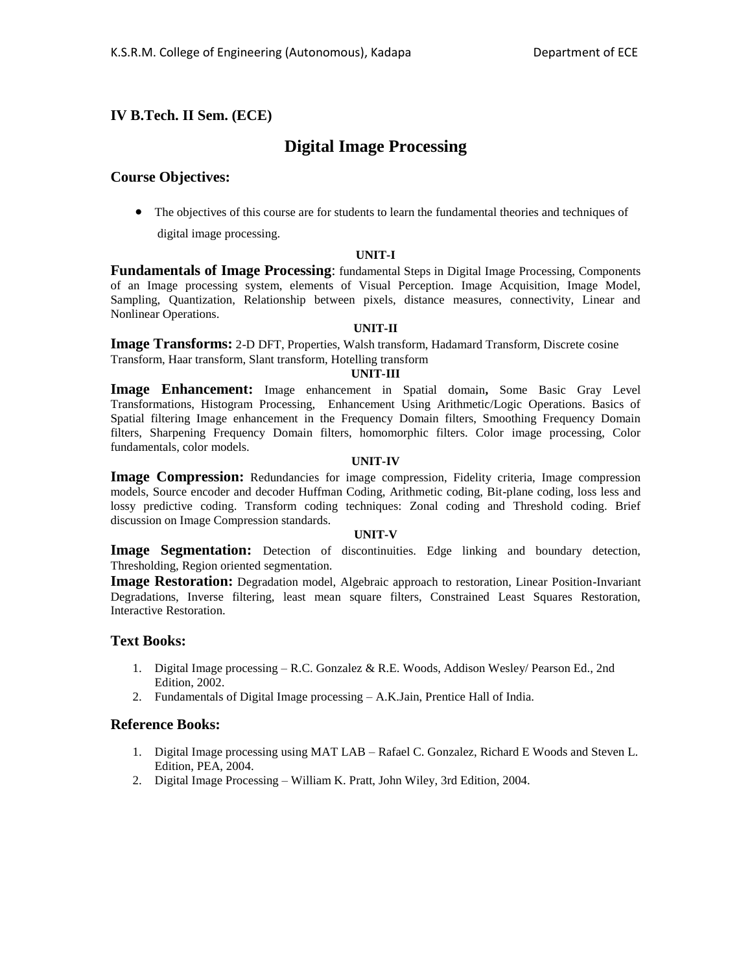# **Digital Image Processing**

### **Course Objectives:**

• The objectives of this course are for students to learn the fundamental theories and techniques of

digital image processing.

### **UNIT-I**

**Fundamentals of Image Processing**: fundamental Steps in Digital Image Processing, Components of an Image processing system, elements of Visual Perception. Image Acquisition, Image Model, Sampling, Quantization, Relationship between pixels, distance measures, connectivity, Linear and Nonlinear Operations.

### **UNIT-II**

**Image Transforms:** 2-D DFT, Properties, Walsh transform, Hadamard Transform, Discrete cosine Transform, Haar transform, Slant transform, Hotelling transform

### **UNIT-III**

**Image Enhancement:** Image enhancement in Spatial domain**,** Some Basic Gray Level Transformations, Histogram Processing, Enhancement Using Arithmetic/Logic Operations. Basics of Spatial filtering Image enhancement in the Frequency Domain filters, Smoothing Frequency Domain filters, Sharpening Frequency Domain filters, homomorphic filters. Color image processing, Color fundamentals, color models.

### **UNIT-IV**

**Image Compression:** Redundancies for image compression, Fidelity criteria, Image compression models, Source encoder and decoder Huffman Coding, Arithmetic coding, Bit-plane coding, loss less and lossy predictive coding. Transform coding techniques: Zonal coding and Threshold coding. Brief discussion on Image Compression standards.

### **UNIT-V**

**Image Segmentation:** Detection of discontinuities. Edge linking and boundary detection, Thresholding, Region oriented segmentation.

**Image Restoration:** Degradation model, Algebraic approach to restoration, Linear Position-Invariant Degradations, Inverse filtering, least mean square filters, Constrained Least Squares Restoration, Interactive Restoration.

### **Text Books:**

- 1. Digital Image processing R.C. Gonzalez & R.E. Woods, Addison Wesley/ Pearson Ed., 2nd Edition, 2002.
- 2. Fundamentals of Digital Image processing A.K.Jain, Prentice Hall of India.

- 1. Digital Image processing using MAT LAB Rafael C. Gonzalez, Richard E Woods and Steven L. Edition, PEA, 2004.
- 2. Digital Image Processing William K. Pratt, John Wiley, 3rd Edition, 2004.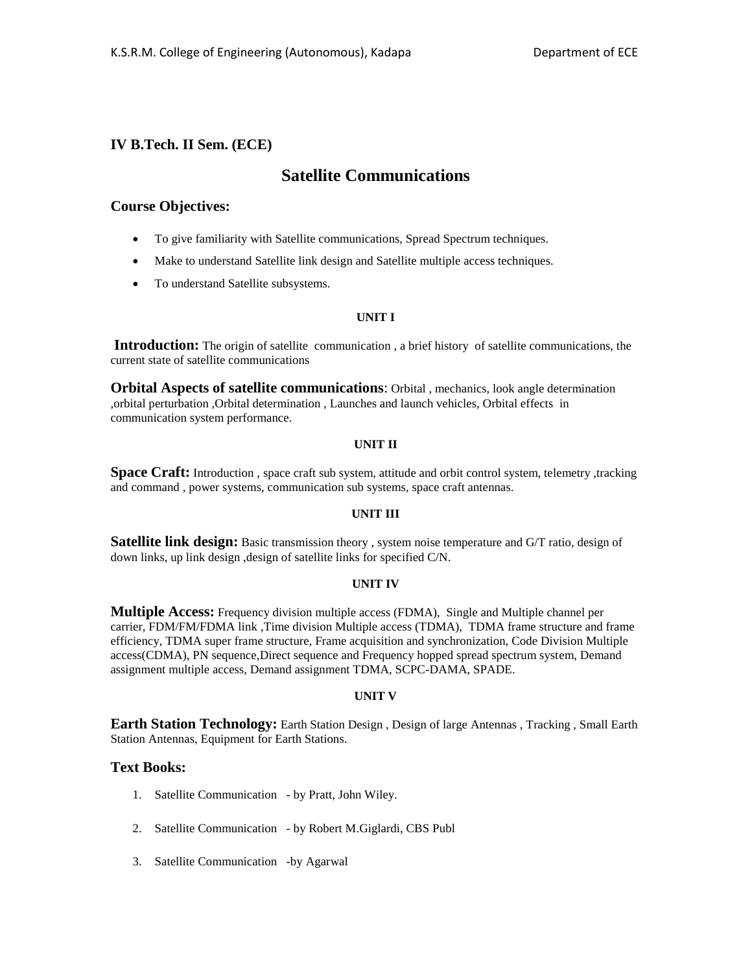# **Satellite Communications**

### **Course Objectives:**

- To give familiarity with Satellite communications, Spread Spectrum techniques.
- Make to understand Satellite link design and Satellite multiple access techniques.
- To understand Satellite subsystems.

### **UNIT I**

**Introduction:** The origin of satellite communication, a brief history of satellite communications, the current state of satellite communications

**Orbital Aspects of satellite communications**: Orbital , mechanics, look angle determination ,orbital perturbation ,Orbital determination , Launches and launch vehicles, Orbital effects in communication system performance.

### **UNIT II**

**Space Craft:** Introduction, space craft sub system, attitude and orbit control system, telemetry, tracking and command , power systems, communication sub systems, space craft antennas.

### **UNIT III**

**Satellite link design:** Basic transmission theory, system noise temperature and G/T ratio, design of down links, up link design ,design of satellite links for specified C/N.

### **UNIT IV**

**Multiple Access:** Frequency division multiple access (FDMA), Single and Multiple channel per carrier, FDM/FM/FDMA link ,Time division Multiple access (TDMA), TDMA frame structure and frame efficiency, TDMA super frame structure, Frame acquisition and synchronization, Code Division Multiple access(CDMA), PN sequence,Direct sequence and Frequency hopped spread spectrum system, Demand assignment multiple access, Demand assignment TDMA, SCPC-DAMA, SPADE.

### **UNIT V**

**Earth Station Technology:** Earth Station Design , Design of large Antennas , Tracking , Small Earth Station Antennas, Equipment for Earth Stations.

### **Text Books:**

- 1. Satellite Communication by Pratt, John Wiley.
- 2. Satellite Communication by Robert M.Giglardi, CBS Publ
- 3. Satellite Communication -by Agarwal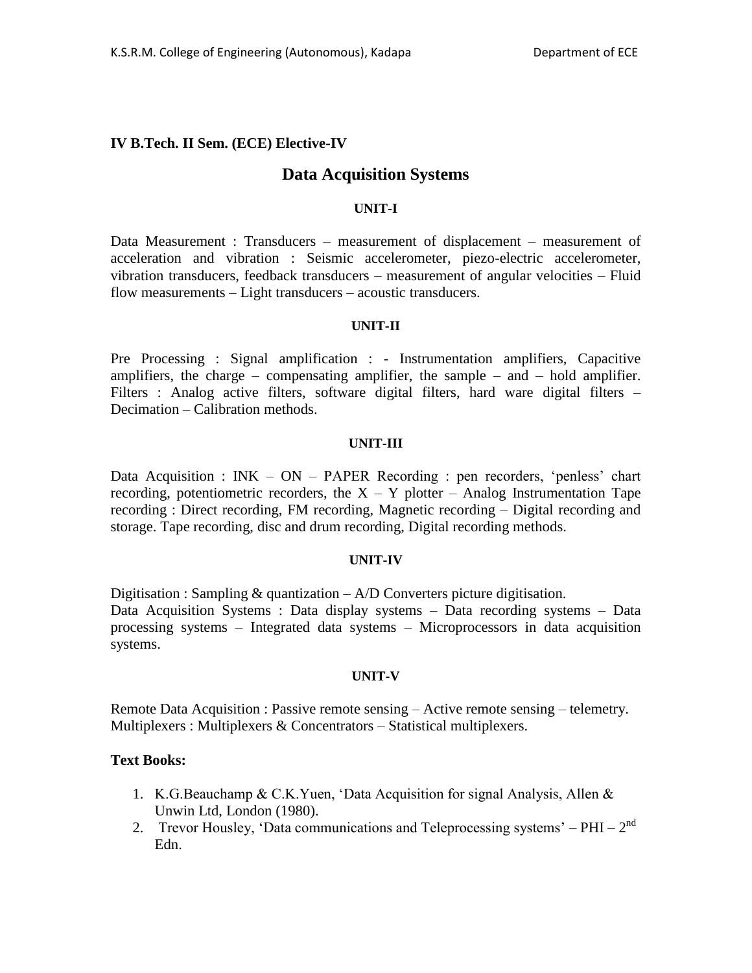# **IV B.Tech. II Sem. (ECE) Elective-IV**

# **Data Acquisition Systems**

### **UNIT-I**

Data Measurement : Transducers – measurement of displacement – measurement of acceleration and vibration : Seismic accelerometer, piezo-electric accelerometer, vibration transducers, feedback transducers – measurement of angular velocities – Fluid flow measurements – Light transducers – acoustic transducers.

### **UNIT-II**

Pre Processing : Signal amplification : - Instrumentation amplifiers, Capacitive amplifiers, the charge – compensating amplifier, the sample – and – hold amplifier. Filters : Analog active filters, software digital filters, hard ware digital filters – Decimation – Calibration methods.

### **UNIT-III**

Data Acquisition : INK – ON – PAPER Recording : pen recorders, 'penless' chart recording, potentiometric recorders, the  $X - Y$  plotter – Analog Instrumentation Tape recording : Direct recording, FM recording, Magnetic recording – Digital recording and storage. Tape recording, disc and drum recording, Digital recording methods.

## **UNIT-IV**

Digitisation : Sampling & quantization  $-A/D$  Converters picture digitisation. Data Acquisition Systems : Data display systems – Data recording systems – Data processing systems – Integrated data systems – Microprocessors in data acquisition systems.

### **UNIT-V**

Remote Data Acquisition : Passive remote sensing – Active remote sensing – telemetry. Multiplexers : Multiplexers & Concentrators – Statistical multiplexers.

## **Text Books:**

- 1. K.G.Beauchamp & C.K.Yuen, 'Data Acquisition for signal Analysis, Allen & Unwin Ltd, London (1980).
- 2. Trevor Housley, 'Data communications and Teleprocessing systems'  $PHI 2<sup>nd</sup>$ Edn.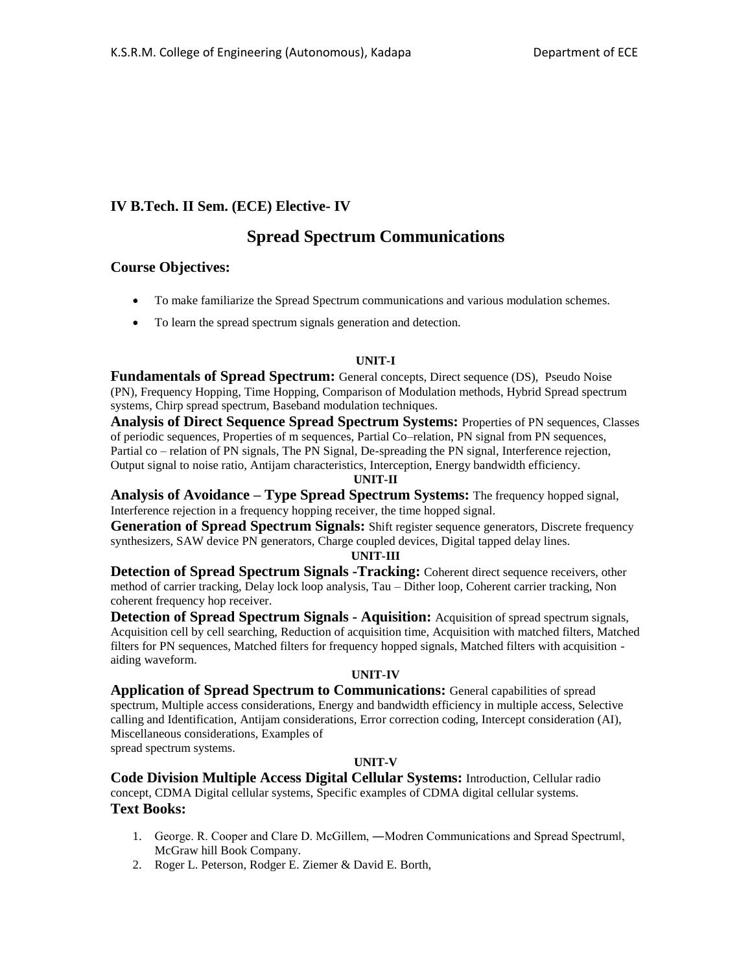# **IV B.Tech. II Sem. (ECE) Elective- IV**

# **Spread Spectrum Communications**

# **Course Objectives:**

- To make familiarize the Spread Spectrum communications and various modulation schemes.
- To learn the spread spectrum signals generation and detection.

### **UNIT-I**

**Fundamentals of Spread Spectrum:** General concepts, Direct sequence (DS), Pseudo Noise (PN), Frequency Hopping, Time Hopping, Comparison of Modulation methods, Hybrid Spread spectrum systems, Chirp spread spectrum, Baseband modulation techniques.

**Analysis of Direct Sequence Spread Spectrum Systems:** Properties of PN sequences, Classes of periodic sequences, Properties of m sequences, Partial Co–relation, PN signal from PN sequences, Partial co – relation of PN signals, The PN Signal, De-spreading the PN signal, Interference rejection, Output signal to noise ratio, Antijam characteristics, Interception, Energy bandwidth efficiency.

### **UNIT-II**

**Analysis of Avoidance – Type Spread Spectrum Systems:** The frequency hopped signal, Interference rejection in a frequency hopping receiver, the time hopped signal.

**Generation of Spread Spectrum Signals:** Shift register sequence generators, Discrete frequency synthesizers, SAW device PN generators, Charge coupled devices, Digital tapped delay lines.

### **UNIT-III**

**Detection of Spread Spectrum Signals -Tracking:** Coherent direct sequence receivers, other method of carrier tracking, Delay lock loop analysis, Tau – Dither loop, Coherent carrier tracking, Non coherent frequency hop receiver.

**Detection of Spread Spectrum Signals - Aquisition:** Acquisition of spread spectrum signals, Acquisition cell by cell searching, Reduction of acquisition time, Acquisition with matched filters, Matched filters for PN sequences, Matched filters for frequency hopped signals, Matched filters with acquisition aiding waveform.

### **UNIT-IV**

**Application of Spread Spectrum to Communications:** General capabilities of spread spectrum, Multiple access considerations, Energy and bandwidth efficiency in multiple access, Selective calling and Identification, Antijam considerations, Error correction coding, Intercept consideration (AI), Miscellaneous considerations, Examples of

spread spectrum systems.

### **UNIT-V**

**Code Division Multiple Access Digital Cellular Systems:** Introduction, Cellular radio concept, CDMA Digital cellular systems, Specific examples of CDMA digital cellular systems. **Text Books:**

- 1. George. R. Cooper and Clare D. McGillem, ―Modren Communications and Spread Spectrum‖, McGraw hill Book Company.
- 2. Roger L. Peterson, Rodger E. Ziemer & David E. Borth,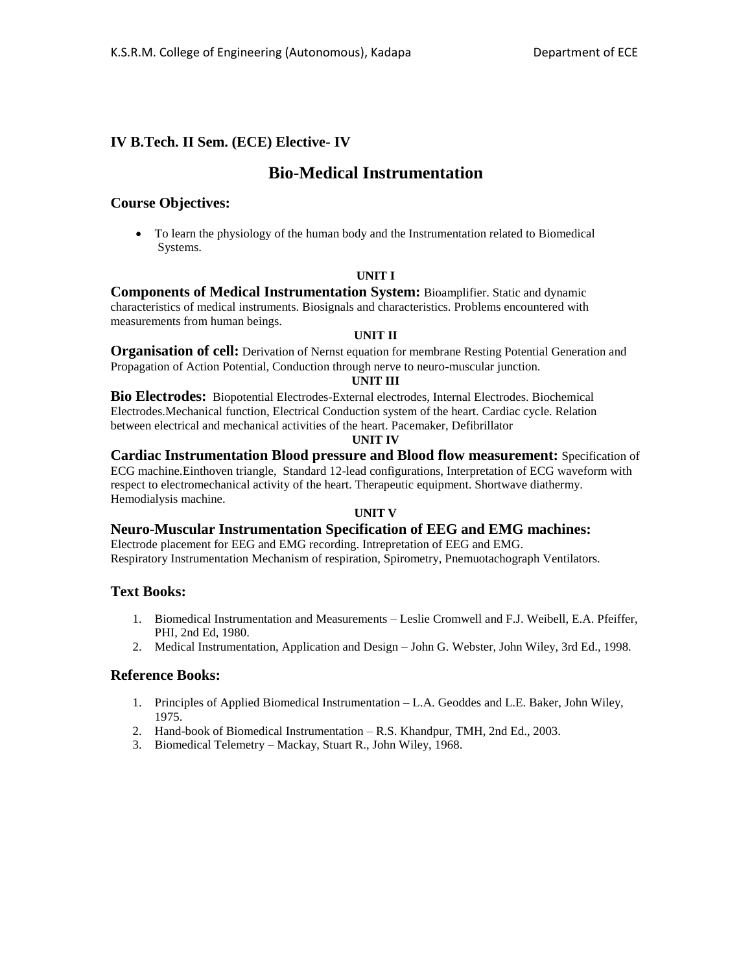# **IV B.Tech. II Sem. (ECE) Elective- IV**

# **Bio-Medical Instrumentation**

# **Course Objectives:**

 To learn the physiology of the human body and the Instrumentation related to Biomedical Systems.

### **UNIT I**

**Components of Medical Instrumentation System:** Bioamplifier. Static and dynamic characteristics of medical instruments. Biosignals and characteristics. Problems encountered with measurements from human beings.

### **UNIT II**

**Organisation of cell:** Derivation of Nernst equation for membrane Resting Potential Generation and Propagation of Action Potential, Conduction through nerve to neuro-muscular junction.

### **UNIT III**

**Bio Electrodes:** Biopotential Electrodes-External electrodes, Internal Electrodes. Biochemical Electrodes.Mechanical function, Electrical Conduction system of the heart. Cardiac cycle. Relation between electrical and mechanical activities of the heart. Pacemaker, Defibrillator

### **UNIT IV**

**Cardiac Instrumentation Blood pressure and Blood flow measurement:** Specification of ECG machine.Einthoven triangle, Standard 12-lead configurations, Interpretation of ECG waveform with respect to electromechanical activity of the heart. Therapeutic equipment. Shortwave diathermy. Hemodialysis machine.

### **UNIT V**

### **Neuro-Muscular Instrumentation Specification of EEG and EMG machines:**

Electrode placement for EEG and EMG recording. Intrepretation of EEG and EMG. Respiratory Instrumentation Mechanism of respiration, Spirometry, Pnemuotachograph Ventilators.

# **Text Books:**

- 1. Biomedical Instrumentation and Measurements Leslie Cromwell and F.J. Weibell, E.A. Pfeiffer, PHI, 2nd Ed, 1980.
- 2. Medical Instrumentation, Application and Design John G. Webster, John Wiley, 3rd Ed., 1998.

- 1. Principles of Applied Biomedical Instrumentation L.A. Geoddes and L.E. Baker, John Wiley, 1975.
- 2. Hand-book of Biomedical Instrumentation R.S. Khandpur, TMH, 2nd Ed., 2003.
- 3. Biomedical Telemetry Mackay, Stuart R., John Wiley, 1968.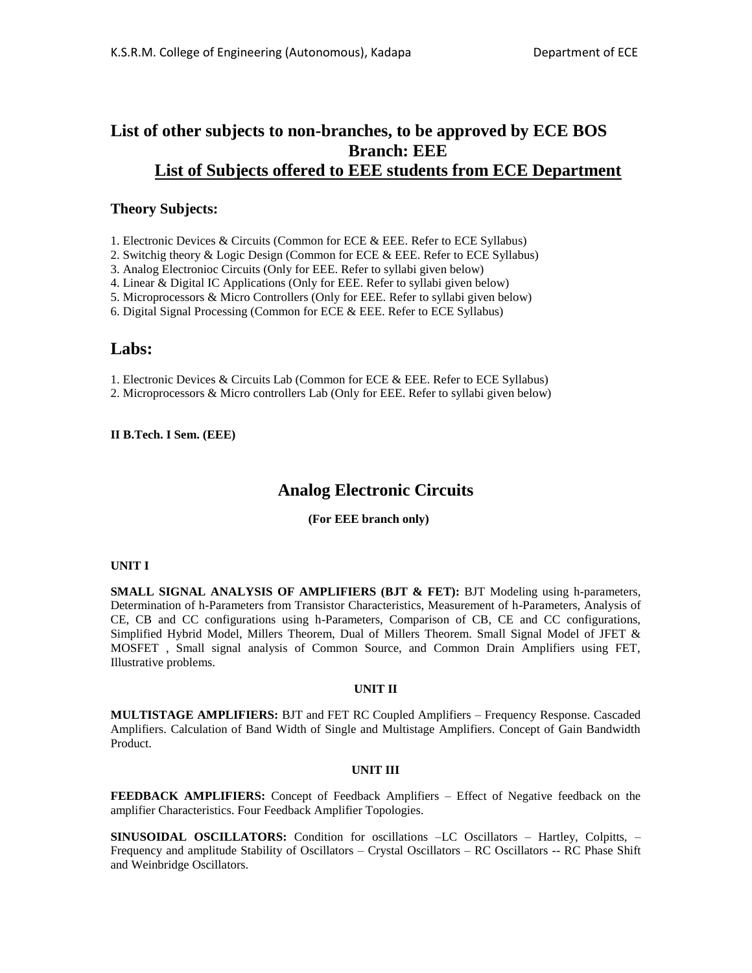# **List of other subjects to non-branches, to be approved by ECE BOS Branch: EEE List of Subjects offered to EEE students from ECE Department**

# **Theory Subjects:**

1. Electronic Devices & Circuits (Common for ECE & EEE. Refer to ECE Syllabus)

2. Switchig theory & Logic Design (Common for ECE & EEE. Refer to ECE Syllabus)

3. Analog Electronioc Circuits (Only for EEE. Refer to syllabi given below)

4. Linear & Digital IC Applications (Only for EEE. Refer to syllabi given below)

5. Microprocessors & Micro Controllers (Only for EEE. Refer to syllabi given below)

6. Digital Signal Processing (Common for ECE & EEE. Refer to ECE Syllabus)

# **Labs:**

1. Electronic Devices & Circuits Lab (Common for ECE & EEE. Refer to ECE Syllabus)

2. Microprocessors & Micro controllers Lab (Only for EEE. Refer to syllabi given below)

### **II B.Tech. I Sem. (EEE)**

# **Analog Electronic Circuits**

 **(For EEE branch only)**

### **UNIT I**

**SMALL SIGNAL ANALYSIS OF AMPLIFIERS (BJT & FET):** BJT Modeling using h-parameters, Determination of h-Parameters from Transistor Characteristics, Measurement of h-Parameters, Analysis of CE, CB and CC configurations using h-Parameters, Comparison of CB, CE and CC configurations, Simplified Hybrid Model, Millers Theorem, Dual of Millers Theorem. Small Signal Model of JFET & MOSFET , Small signal analysis of Common Source, and Common Drain Amplifiers using FET, Illustrative problems.

### **UNIT II**

**MULTISTAGE AMPLIFIERS:** BJT and FET RC Coupled Amplifiers – Frequency Response. Cascaded Amplifiers. Calculation of Band Width of Single and Multistage Amplifiers. Concept of Gain Bandwidth Product.

### **UNIT III**

**FEEDBACK AMPLIFIERS:** Concept of Feedback Amplifiers – Effect of Negative feedback on the amplifier Characteristics. Four Feedback Amplifier Topologies.

**SINUSOIDAL OSCILLATORS:** Condition for oscillations –LC Oscillators – Hartley, Colpitts, – Frequency and amplitude Stability of Oscillators – Crystal Oscillators – RC Oscillators -- RC Phase Shift and Weinbridge Oscillators.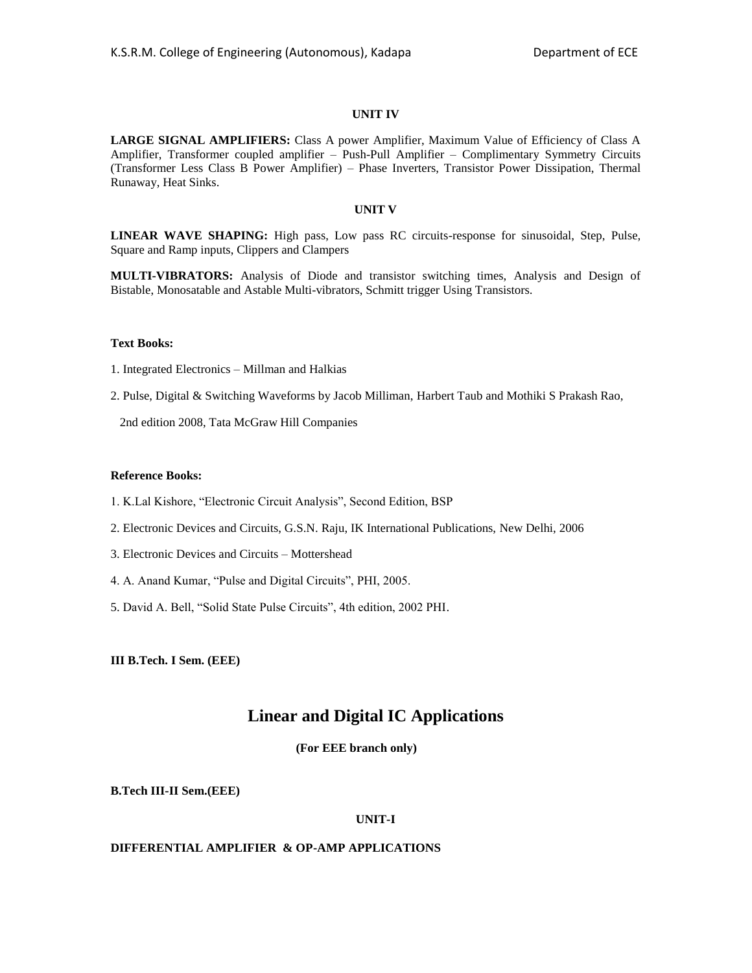### **UNIT IV**

**LARGE SIGNAL AMPLIFIERS:** Class A power Amplifier, Maximum Value of Efficiency of Class A Amplifier, Transformer coupled amplifier – Push-Pull Amplifier – Complimentary Symmetry Circuits (Transformer Less Class B Power Amplifier) – Phase Inverters, Transistor Power Dissipation, Thermal Runaway, Heat Sinks.

### **UNIT V**

**LINEAR WAVE SHAPING:** High pass, Low pass RC circuits-response for sinusoidal, Step, Pulse, Square and Ramp inputs, Clippers and Clampers

**MULTI-VIBRATORS:** Analysis of Diode and transistor switching times, Analysis and Design of Bistable, Monosatable and Astable Multi-vibrators, Schmitt trigger Using Transistors.

#### **Text Books:**

1. Integrated Electronics – Millman and Halkias

2. Pulse, Digital & Switching Waveforms by Jacob Milliman, Harbert Taub and Mothiki S Prakash Rao,

2nd edition 2008, Tata McGraw Hill Companies

### **Reference Books:**

- 1. K.Lal Kishore, "Electronic Circuit Analysis", Second Edition, BSP
- 2. Electronic Devices and Circuits, G.S.N. Raju, IK International Publications, New Delhi, 2006
- 3. Electronic Devices and Circuits Mottershead
- 4. A. Anand Kumar, "Pulse and Digital Circuits", PHI, 2005.
- 5. David A. Bell, "Solid State Pulse Circuits", 4th edition, 2002 PHI.

**III B.Tech. I Sem. (EEE)**

# **Linear and Digital IC Applications**

### **(For EEE branch only)**

**B.Tech III-II Sem.(EEE)**

### **UNIT-I**

### **DIFFERENTIAL AMPLIFIER & OP-AMP APPLICATIONS**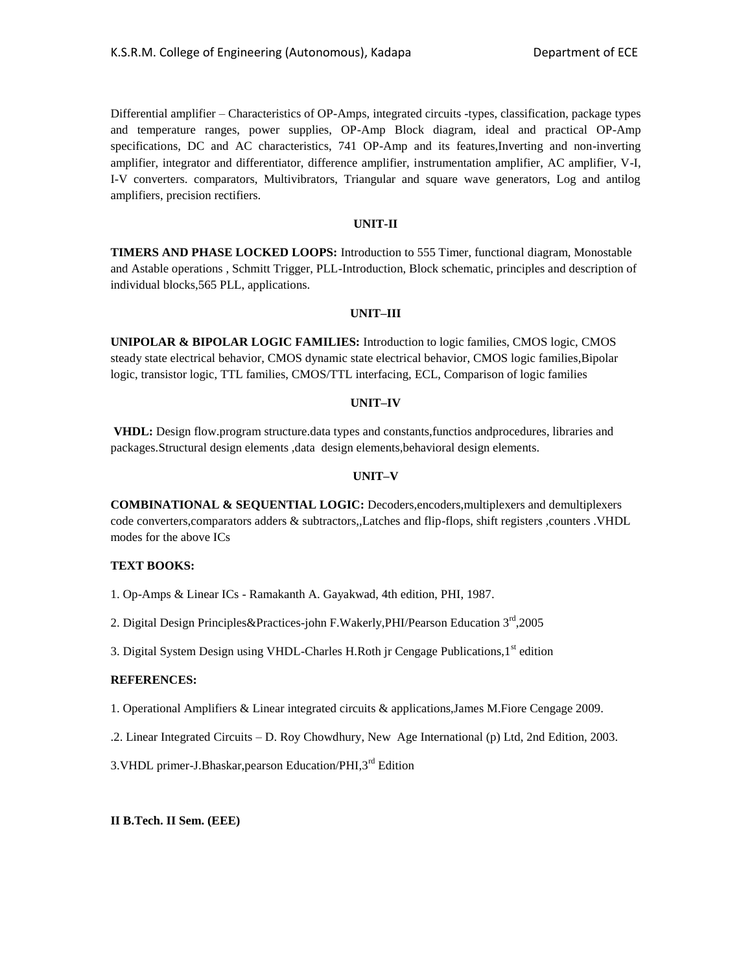Differential amplifier – Characteristics of OP-Amps, integrated circuits -types, classification, package types and temperature ranges, power supplies, OP-Amp Block diagram, ideal and practical OP-Amp specifications, DC and AC characteristics, 741 OP-Amp and its features,Inverting and non-inverting amplifier, integrator and differentiator, difference amplifier, instrumentation amplifier, AC amplifier, V-I, I-V converters. comparators, Multivibrators, Triangular and square wave generators, Log and antilog amplifiers, precision rectifiers.

### **UNIT-II**

**TIMERS AND PHASE LOCKED LOOPS:** Introduction to 555 Timer, functional diagram, Monostable and Astable operations , Schmitt Trigger, PLL-Introduction, Block schematic, principles and description of individual blocks,565 PLL, applications.

### **UNIT–III**

**UNIPOLAR & BIPOLAR LOGIC FAMILIES:** Introduction to logic families, CMOS logic, CMOS steady state electrical behavior, CMOS dynamic state electrical behavior, CMOS logic families,Bipolar logic, transistor logic, TTL families, CMOS/TTL interfacing, ECL, Comparison of logic families

#### **UNIT–IV**

**VHDL:** Design flow.program structure.data types and constants,functios andprocedures, libraries and packages.Structural design elements ,data design elements,behavioral design elements.

#### **UNIT–V**

**COMBINATIONAL & SEQUENTIAL LOGIC:** Decoders,encoders,multiplexers and demultiplexers code converters,comparators adders & subtractors,,Latches and flip-flops, shift registers ,counters .VHDL modes for the above ICs

### **TEXT BOOKS:**

1. Op-Amps & Linear ICs - Ramakanth A. Gayakwad, 4th edition, PHI, 1987.

2. Digital Design Principles&Practices-john F.Wakerly,PHI/Pearson Education 3<sup>rd</sup>,2005

3. Digital System Design using VHDL-Charles H.Roth ir Cengage Publications, 1<sup>st</sup> edition

### **REFERENCES:**

1. Operational Amplifiers & Linear integrated circuits & applications,James M.Fiore Cengage 2009.

.2. Linear Integrated Circuits – D. Roy Chowdhury, New Age International (p) Ltd, 2nd Edition, 2003.

3.VHDL primer-J.Bhaskar,pearson Education/PHI,3rd Edition

**II B.Tech. II Sem. (EEE)**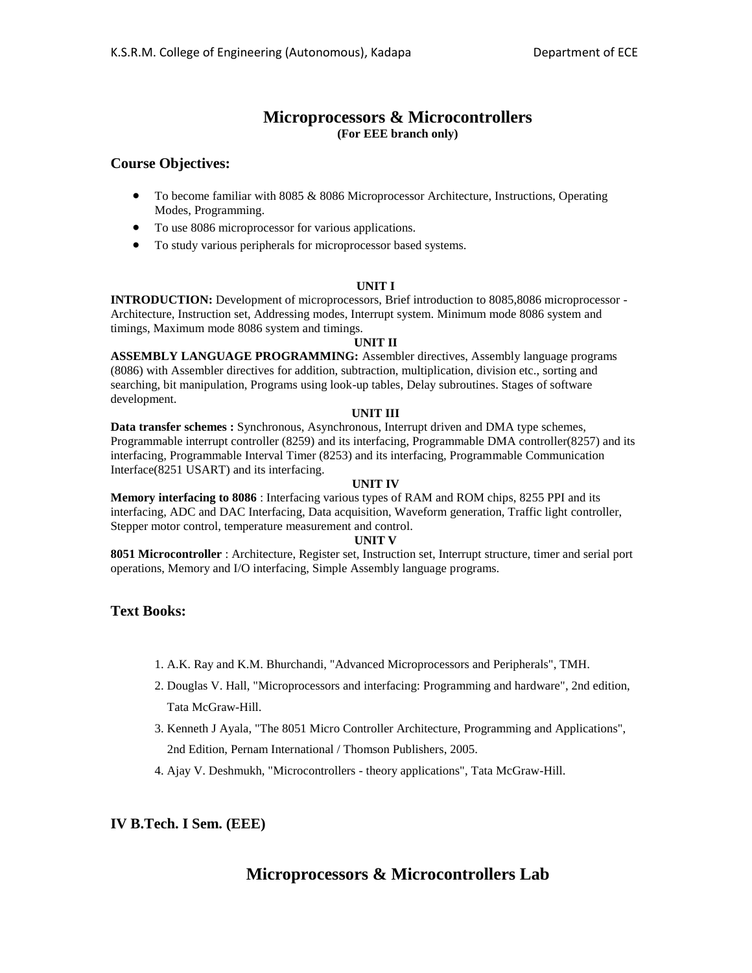# **Microprocessors & Microcontrollers (For EEE branch only)**

# **Course Objectives:**

- To become familiar with 8085 & 8086 Microprocessor Architecture, Instructions, Operating Modes, Programming.
- To use 8086 microprocessor for various applications.
- To study various peripherals for microprocessor based systems.

### **UNIT I**

**INTRODUCTION:** Development of microprocessors, Brief introduction to 8085,8086 microprocessor - Architecture, Instruction set, Addressing modes, Interrupt system. Minimum mode 8086 system and timings, Maximum mode 8086 system and timings.

### **UNIT II**

**ASSEMBLY LANGUAGE PROGRAMMING:** Assembler directives, Assembly language programs (8086) with Assembler directives for addition, subtraction, multiplication, division etc., sorting and searching, bit manipulation, Programs using look-up tables, Delay subroutines. Stages of software development.

### **UNIT III**

**Data transfer schemes :** Synchronous, Asynchronous, Interrupt driven and DMA type schemes, Programmable interrupt controller (8259) and its interfacing, Programmable DMA controller(8257) and its interfacing, Programmable Interval Timer (8253) and its interfacing, Programmable Communication Interface(8251 USART) and its interfacing.

### **UNIT IV**

**Memory interfacing to 8086** : Interfacing various types of RAM and ROM chips, 8255 PPI and its interfacing, ADC and DAC Interfacing, Data acquisition, Waveform generation, Traffic light controller, Stepper motor control, temperature measurement and control.

## **UNIT V**

**8051 Microcontroller** : Architecture, Register set, Instruction set, Interrupt structure, timer and serial port operations, Memory and I/O interfacing, Simple Assembly language programs.

# **Text Books:**

- 1. A.K. Ray and K.M. Bhurchandi, "Advanced Microprocessors and Peripherals", TMH.
- 2. Douglas V. Hall, "Microprocessors and interfacing: Programming and hardware", 2nd edition, Tata McGraw-Hill.
- 3. Kenneth J Ayala, "The 8051 Micro Controller Architecture, Programming and Applications", 2nd Edition, Pernam International / Thomson Publishers, 2005.
- 4. Ajay V. Deshmukh, "Microcontrollers theory applications", Tata McGraw-Hill.

# **IV B.Tech. I Sem. (EEE)**

# **Microprocessors & Microcontrollers Lab**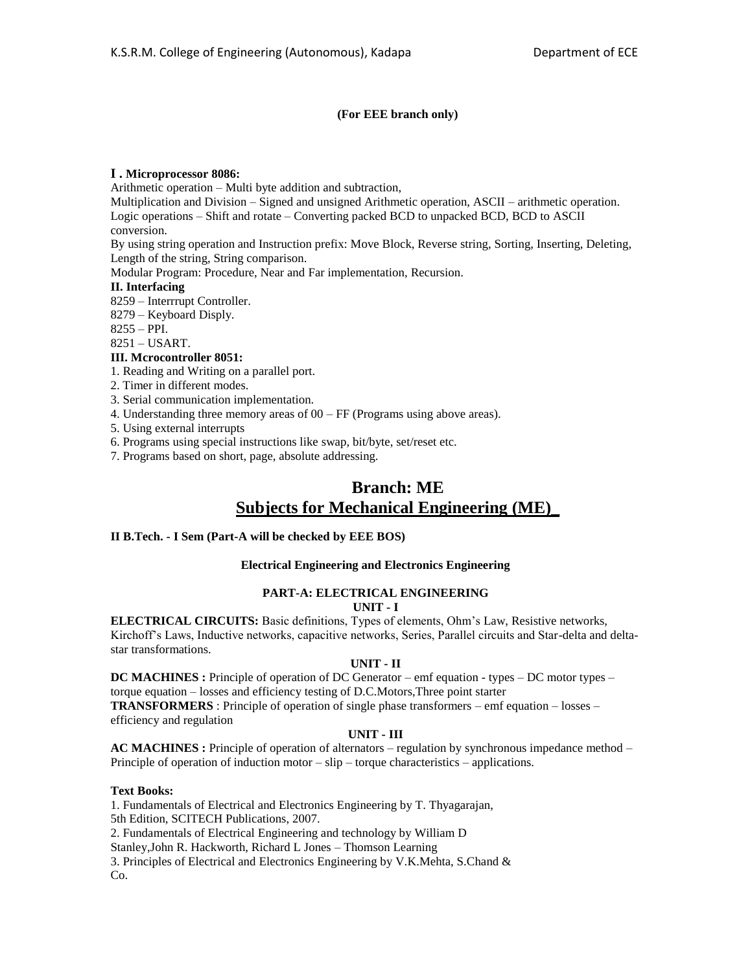## **(For EEE branch only)**

## **I . Microprocessor 8086:**

Arithmetic operation – Multi byte addition and subtraction,

Multiplication and Division – Signed and unsigned Arithmetic operation, ASCII – arithmetic operation. Logic operations – Shift and rotate – Converting packed BCD to unpacked BCD, BCD to ASCII conversion.

By using string operation and Instruction prefix: Move Block, Reverse string, Sorting, Inserting, Deleting, Length of the string, String comparison.

Modular Program: Procedure, Near and Far implementation, Recursion.

### **II. Interfacing**

8259 – Interrrupt Controller.

8279 – Keyboard Disply.

8255 – PPI.

8251 – USART.

### **III. Mcrocontroller 8051:**

- 1. Reading and Writing on a parallel port.
- 2. Timer in different modes.
- 3. Serial communication implementation.
- 4. Understanding three memory areas of 00 FF (Programs using above areas).
- 5. Using external interrupts
- 6. Programs using special instructions like swap, bit/byte, set/reset etc.

7. Programs based on short, page, absolute addressing.

# **Branch: ME Subjects for Mechanical Engineering (ME)\_**

## **II B.Tech. - I Sem (Part-A will be checked by EEE BOS)**

#### **Electrical Engineering and Electronics Engineering**

#### **PART-A: ELECTRICAL ENGINEERING UNIT - I**

**ELECTRICAL CIRCUITS:** Basic definitions, Types of elements, Ohm's Law, Resistive networks, Kirchoff's Laws, Inductive networks, capacitive networks, Series, Parallel circuits and Star-delta and deltastar transformations.

## **UNIT - II**

**DC MACHINES :** Principle of operation of DC Generator – emf equation - types – DC motor types – torque equation – losses and efficiency testing of D.C.Motors,Three point starter **TRANSFORMERS** : Principle of operation of single phase transformers – emf equation – losses – efficiency and regulation

## **UNIT - III**

**AC MACHINES :** Principle of operation of alternators – regulation by synchronous impedance method – Principle of operation of induction motor – slip – torque characteristics – applications.

## **Text Books:**

1. Fundamentals of Electrical and Electronics Engineering by T. Thyagarajan, 5th Edition, SCITECH Publications, 2007. 2. Fundamentals of Electrical Engineering and technology by William D Stanley,John R. Hackworth, Richard L Jones – Thomson Learning 3. Principles of Electrical and Electronics Engineering by V.K.Mehta, S.Chand & Co.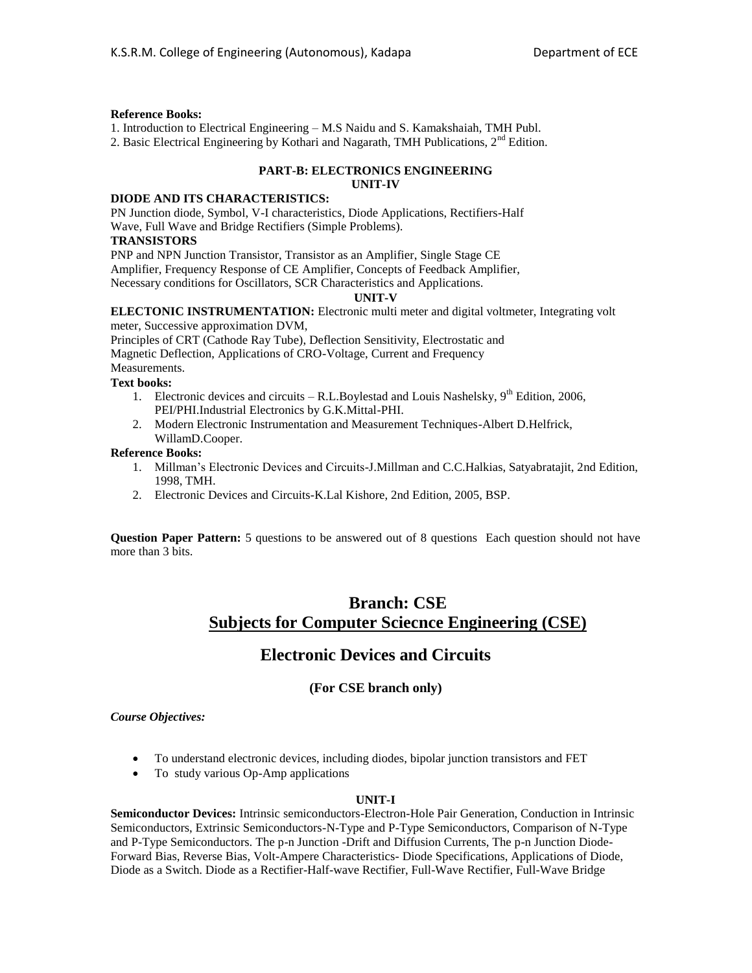#### **Reference Books:**

1. Introduction to Electrical Engineering – M.S Naidu and S. Kamakshaiah, TMH Publ. 2. Basic Electrical Engineering by Kothari and Nagarath, TMH Publications,  $2<sup>nd</sup>$  Edition.

## **PART-B: ELECTRONICS ENGINEERING UNIT-IV**

## **DIODE AND ITS CHARACTERISTICS:**

PN Junction diode, Symbol, V-I characteristics, Diode Applications, Rectifiers-Half Wave, Full Wave and Bridge Rectifiers (Simple Problems). **TRANSISTORS**

PNP and NPN Junction Transistor, Transistor as an Amplifier, Single Stage CE Amplifier, Frequency Response of CE Amplifier, Concepts of Feedback Amplifier, Necessary conditions for Oscillators, SCR Characteristics and Applications.

#### **UNIT-V**

**ELECTONIC INSTRUMENTATION:** Electronic multi meter and digital voltmeter, Integrating volt meter, Successive approximation DVM,

Principles of CRT (Cathode Ray Tube), Deflection Sensitivity, Electrostatic and

Magnetic Deflection, Applications of CRO-Voltage, Current and Frequency

Measurements.

#### **Text books:**

- 1. Electronic devices and circuits R.L.Boylestad and Louis Nashelsky,  $9^{th}$  Edition, 2006, PEI/PHI.Industrial Electronics by G.K.Mittal-PHI.
- 2. Modern Electronic Instrumentation and Measurement Techniques-Albert D.Helfrick, WillamD.Cooper.

#### **Reference Books:**

- 1. Millman's Electronic Devices and Circuits-J.Millman and C.C.Halkias, Satyabratajit, 2nd Edition, 1998, TMH.
- 2. Electronic Devices and Circuits-K.Lal Kishore, 2nd Edition, 2005, BSP.

**Question Paper Pattern:** 5 questions to be answered out of 8 questions Each question should not have more than 3 bits.

# **Branch: CSE Subjects for Computer Sciecnce Engineering (CSE)**

## **Electronic Devices and Circuits**

## **(For CSE branch only)**

### *Course Objectives:*

- To understand electronic devices, including diodes, bipolar junction transistors and FET
- To study various Op-Amp applications

#### **UNIT-I**

**Semiconductor Devices:** Intrinsic semiconductors-Electron-Hole Pair Generation, Conduction in Intrinsic Semiconductors, Extrinsic Semiconductors-N-Type and P-Type Semiconductors, Comparison of N-Type and P-Type Semiconductors. The p-n Junction -Drift and Diffusion Currents, The p-n Junction Diode-Forward Bias, Reverse Bias, Volt-Ampere Characteristics- Diode Specifications, Applications of Diode, Diode as a Switch. Diode as a Rectifier-Half-wave Rectifier, Full-Wave Rectifier, Full-Wave Bridge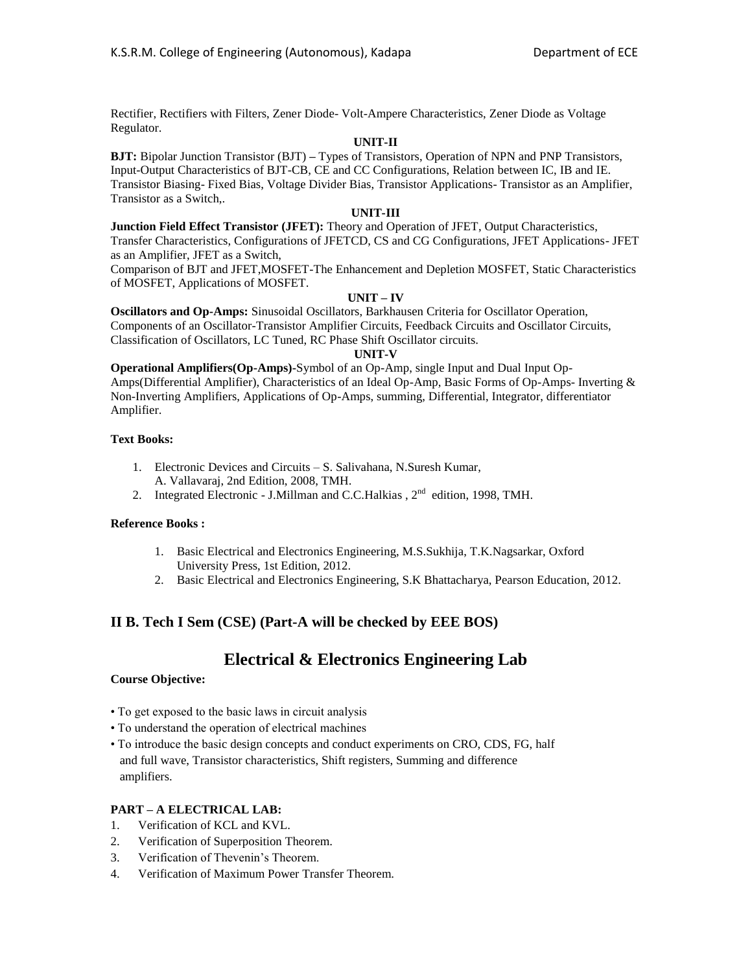Rectifier, Rectifiers with Filters, Zener Diode- Volt-Ampere Characteristics, Zener Diode as Voltage Regulator.

### **UNIT-II**

**BJT:** Bipolar Junction Transistor (BJT) **–** Types of Transistors, Operation of NPN and PNP Transistors, Input-Output Characteristics of BJT-CB, CE and CC Configurations, Relation between IC, IB and IE. Transistor Biasing- Fixed Bias, Voltage Divider Bias, Transistor Applications- Transistor as an Amplifier, Transistor as a Switch,.

### **UNIT-III**

**Junction Field Effect Transistor (JFET):** Theory and Operation of JFET, Output Characteristics, Transfer Characteristics, Configurations of JFETCD, CS and CG Configurations, JFET Applications- JFET as an Amplifier, JFET as a Switch,

Comparison of BJT and JFET,MOSFET-The Enhancement and Depletion MOSFET, Static Characteristics of MOSFET, Applications of MOSFET.

### **UNIT – IV**

**Oscillators and Op-Amps:** Sinusoidal Oscillators, Barkhausen Criteria for Oscillator Operation, Components of an Oscillator-Transistor Amplifier Circuits, Feedback Circuits and Oscillator Circuits, Classification of Oscillators, LC Tuned, RC Phase Shift Oscillator circuits.

#### **UNIT-V**

**Operational Amplifiers(Op-Amps)-**Symbol of an Op-Amp, single Input and Dual Input Op-Amps(Differential Amplifier), Characteristics of an Ideal Op-Amp, Basic Forms of Op-Amps- Inverting & Non-Inverting Amplifiers, Applications of Op-Amps, summing, Differential, Integrator, differentiator Amplifier.

### **Text Books:**

- 1. Electronic Devices and Circuits S. Salivahana, N.Suresh Kumar, A. Vallavaraj, 2nd Edition, 2008, TMH.
- 2. Integrated Electronic J.Millman and C.C.Halkias ,  $2<sup>nd</sup>$  edition, 1998, TMH.

## **Reference Books :**

- 1. Basic Electrical and Electronics Engineering, M.S.Sukhija, T.K.Nagsarkar, Oxford University Press, 1st Edition, 2012.
- 2. Basic Electrical and Electronics Engineering, S.K Bhattacharya, Pearson Education, 2012.

## **II B. Tech I Sem (CSE) (Part-A will be checked by EEE BOS)**

## **Electrical & Electronics Engineering Lab**

#### **Course Objective:**

- To get exposed to the basic laws in circuit analysis
- To understand the operation of electrical machines
- To introduce the basic design concepts and conduct experiments on CRO, CDS, FG, half and full wave, Transistor characteristics, Shift registers, Summing and difference amplifiers.

#### **PART – A ELECTRICAL LAB:**

- 1. Verification of KCL and KVL.
- 2. Verification of Superposition Theorem.
- 3. Verification of Thevenin's Theorem.
- 4. Verification of Maximum Power Transfer Theorem.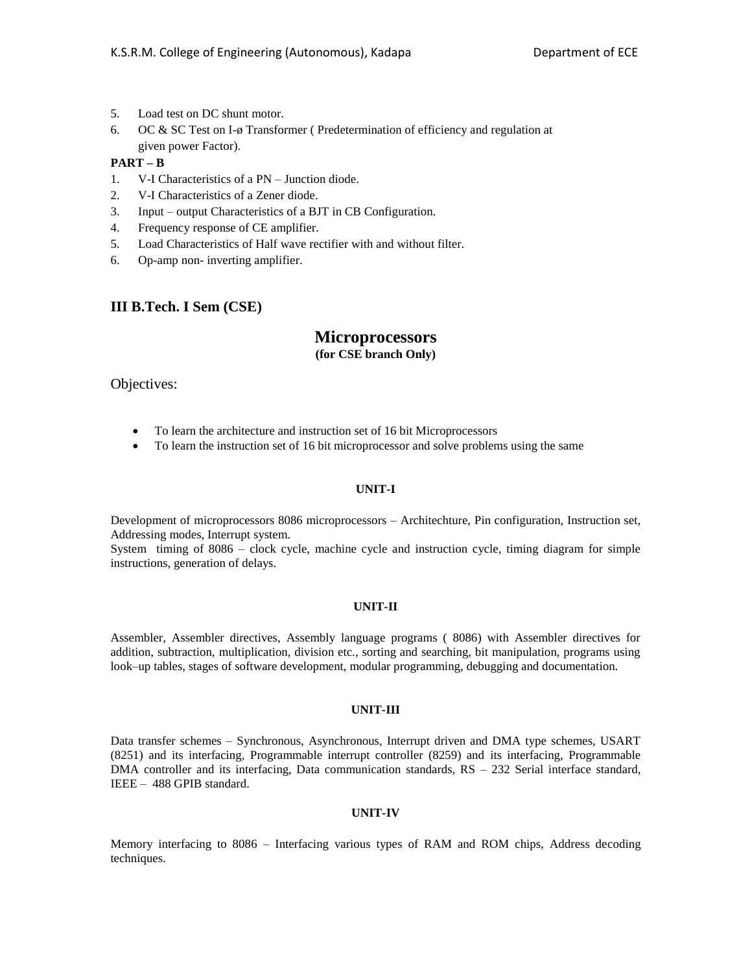- 5. Load test on DC shunt motor.
- 6. OC & SC Test on I- $\phi$  Transformer (Predetermination of efficiency and regulation at given power Factor).

## **PART – B**

- 1. V-I Characteristics of a PN Junction diode.
- 2. V-I Characteristics of a Zener diode.
- 3. Input output Characteristics of a BJT in CB Configuration.
- 4. Frequency response of CE amplifier.
- 5. Load Characteristics of Half wave rectifier with and without filter.
- 6. Op-amp non- inverting amplifier.

## **III B.Tech. I Sem (CSE)**

## **Microprocessors**

## **(for CSE branch Only)**

## Objectives:

- To learn the architecture and instruction set of 16 bit Microprocessors
- To learn the instruction set of 16 bit microprocessor and solve problems using the same

#### **UNIT-I**

Development of microprocessors 8086 microprocessors – Architechture, Pin configuration, Instruction set, Addressing modes, Interrupt system.

System timing of 8086 – clock cycle, machine cycle and instruction cycle, timing diagram for simple instructions, generation of delays.

#### **UNIT-II**

Assembler, Assembler directives, Assembly language programs ( 8086) with Assembler directives for addition, subtraction, multiplication, division etc., sorting and searching, bit manipulation, programs using look–up tables, stages of software development, modular programming, debugging and documentation.

#### **UNIT-III**

Data transfer schemes – Synchronous, Asynchronous, Interrupt driven and DMA type schemes, USART (8251) and its interfacing, Programmable interrupt controller (8259) and its interfacing, Programmable DMA controller and its interfacing, Data communication standards, RS – 232 Serial interface standard, IEEE – 488 GPIB standard.

## **UNIT-IV**

Memory interfacing to 8086 – Interfacing various types of RAM and ROM chips, Address decoding techniques.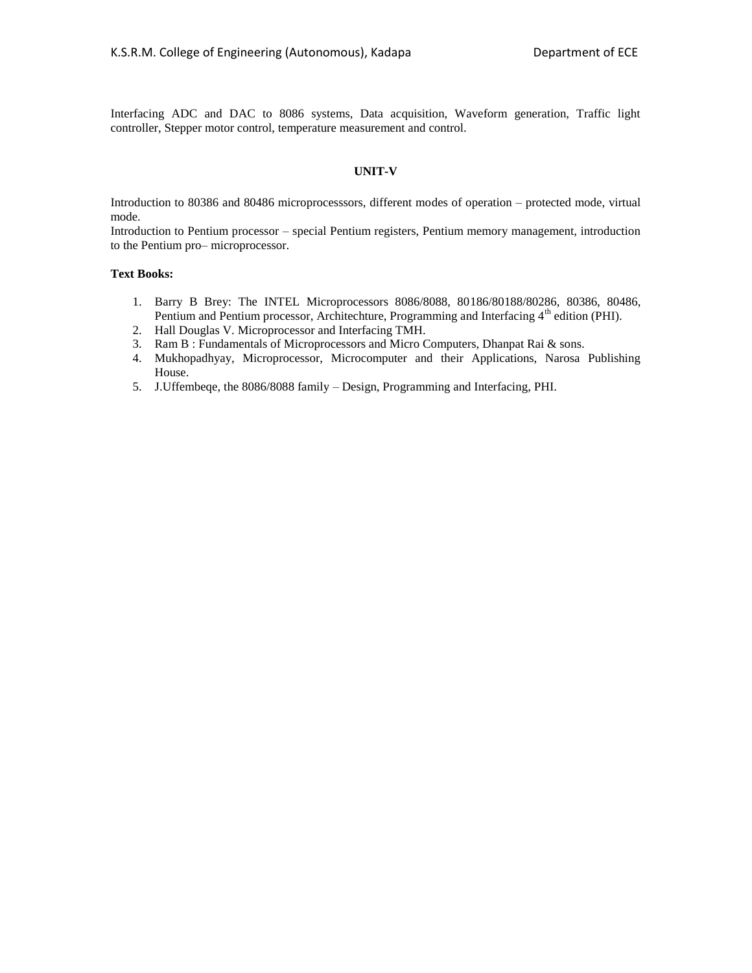Interfacing ADC and DAC to 8086 systems, Data acquisition, Waveform generation, Traffic light controller, Stepper motor control, temperature measurement and control.

#### **UNIT-V**

Introduction to 80386 and 80486 microprocesssors, different modes of operation – protected mode, virtual mode.

Introduction to Pentium processor – special Pentium registers, Pentium memory management, introduction to the Pentium pro– microprocessor.

#### **Text Books:**

- 1. Barry B Brey: The INTEL Microprocessors 8086/8088, 80186/80188/80286, 80386, 80486, Pentium and Pentium processor, Architechture, Programming and Interfacing  $4<sup>th</sup>$  edition (PHI).
- 2. Hall Douglas V. Microprocessor and Interfacing TMH.
- 3. Ram B : Fundamentals of Microprocessors and Micro Computers, Dhanpat Rai & sons.
- 4. Mukhopadhyay, Microprocessor, Microcomputer and their Applications, Narosa Publishing House.
- 5. J.Uffembeqe, the 8086/8088 family Design, Programming and Interfacing, PHI.